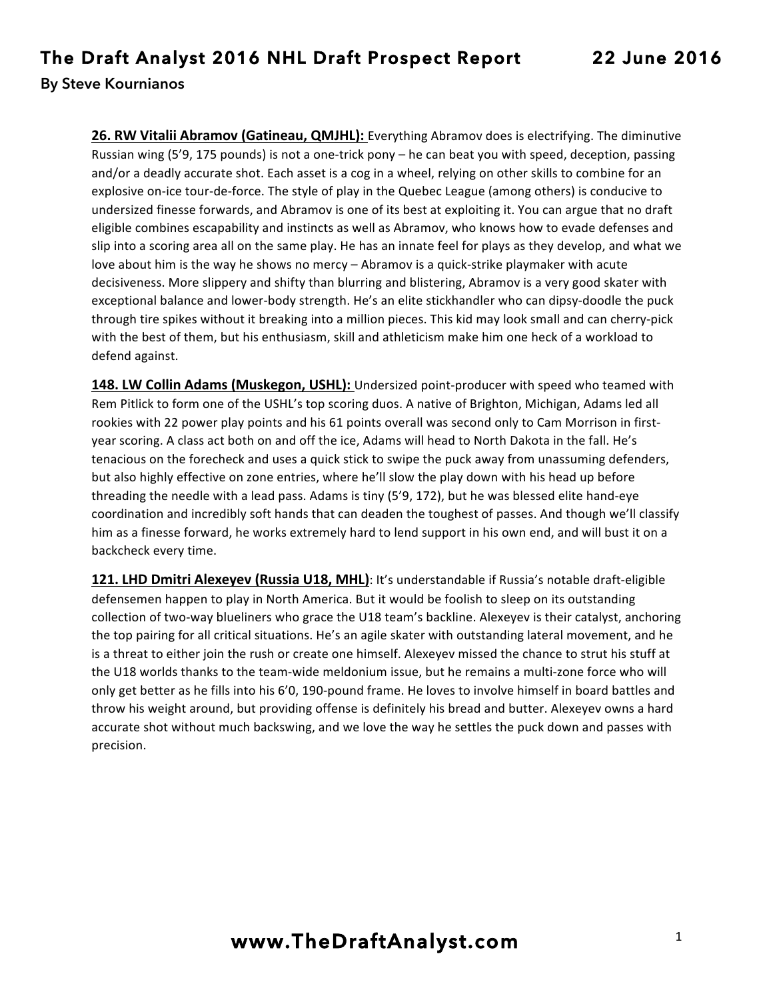**26. RW Vitalii Abramov (Gatineau, QMJHL):** Everything Abramov does is electrifying. The diminutive Russian wing  $(5'9, 175$  pounds) is not a one-trick pony – he can beat you with speed, deception, passing and/or a deadly accurate shot. Each asset is a cog in a wheel, relying on other skills to combine for an explosive on-ice tour-de-force. The style of play in the Quebec League (among others) is conducive to undersized finesse forwards, and Abramov is one of its best at exploiting it. You can argue that no draft eligible combines escapability and instincts as well as Abramov, who knows how to evade defenses and slip into a scoring area all on the same play. He has an innate feel for plays as they develop, and what we love about him is the way he shows no mercy – Abramov is a quick-strike playmaker with acute decisiveness. More slippery and shifty than blurring and blistering, Abramov is a very good skater with exceptional balance and lower-body strength. He's an elite stickhandler who can dipsy-doodle the puck through tire spikes without it breaking into a million pieces. This kid may look small and can cherry-pick with the best of them, but his enthusiasm, skill and athleticism make him one heck of a workload to defend against.

**148. LW Collin Adams (Muskegon, USHL):** Undersized point-producer with speed who teamed with Rem Pitlick to form one of the USHL's top scoring duos. A native of Brighton, Michigan, Adams led all rookies with 22 power play points and his 61 points overall was second only to Cam Morrison in firstyear scoring. A class act both on and off the ice, Adams will head to North Dakota in the fall. He's tenacious on the forecheck and uses a quick stick to swipe the puck away from unassuming defenders, but also highly effective on zone entries, where he'll slow the play down with his head up before threading the needle with a lead pass. Adams is tiny  $(5'9, 172)$ , but he was blessed elite hand-eye coordination and incredibly soft hands that can deaden the toughest of passes. And though we'll classify him as a finesse forward, he works extremely hard to lend support in his own end, and will bust it on a backcheck every time.

**121. LHD Dmitri Alexeyev (Russia U18, MHL)**: It's understandable if Russia's notable draft-eligible defensemen happen to play in North America. But it would be foolish to sleep on its outstanding collection of two-way blueliners who grace the U18 team's backline. Alexeyev is their catalyst, anchoring the top pairing for all critical situations. He's an agile skater with outstanding lateral movement, and he is a threat to either join the rush or create one himself. Alexeyev missed the chance to strut his stuff at the U18 worlds thanks to the team-wide meldonium issue, but he remains a multi-zone force who will only get better as he fills into his 6'0, 190-pound frame. He loves to involve himself in board battles and throw his weight around, but providing offense is definitely his bread and butter. Alexeyev owns a hard accurate shot without much backswing, and we love the way he settles the puck down and passes with precision.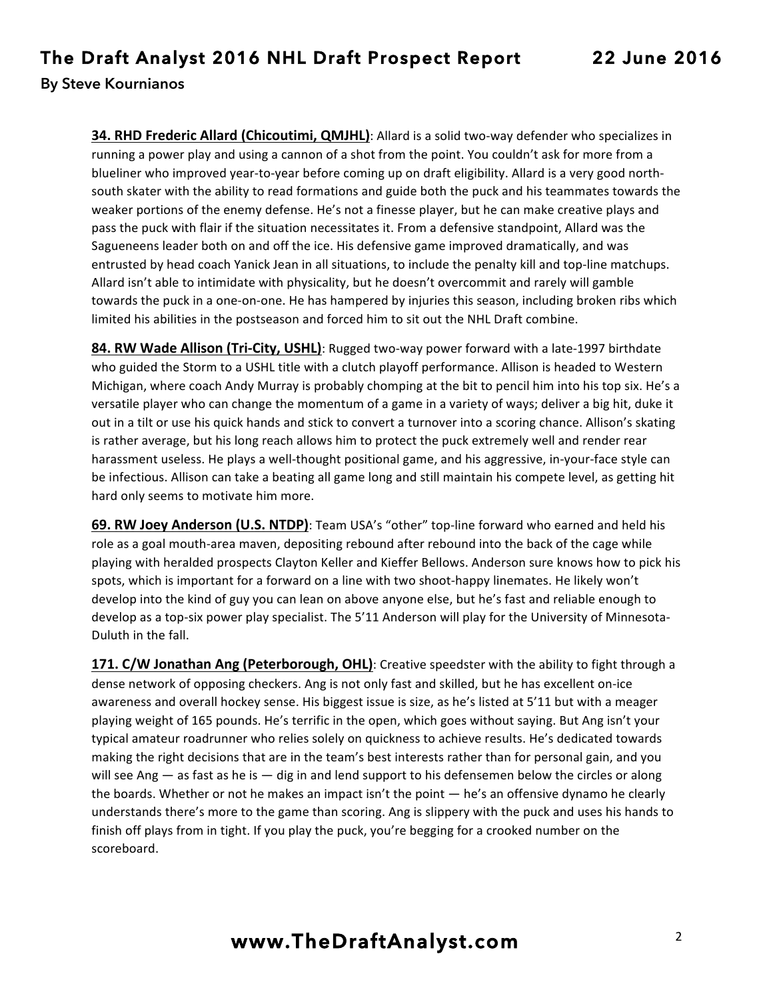**34. RHD Frederic Allard (Chicoutimi, QMJHL)**: Allard is a solid two-way defender who specializes in running a power play and using a cannon of a shot from the point. You couldn't ask for more from a blueliner who improved year-to-year before coming up on draft eligibility. Allard is a very good northsouth skater with the ability to read formations and guide both the puck and his teammates towards the weaker portions of the enemy defense. He's not a finesse player, but he can make creative plays and pass the puck with flair if the situation necessitates it. From a defensive standpoint, Allard was the Sagueneens leader both on and off the ice. His defensive game improved dramatically, and was entrusted by head coach Yanick Jean in all situations, to include the penalty kill and top-line matchups. Allard isn't able to intimidate with physicality, but he doesn't overcommit and rarely will gamble towards the puck in a one-on-one. He has hampered by injuries this season, including broken ribs which limited his abilities in the postseason and forced him to sit out the NHL Draft combine.

**84. RW Wade Allison (Tri-City, USHL)**: Rugged two-way power forward with a late-1997 birthdate who guided the Storm to a USHL title with a clutch playoff performance. Allison is headed to Western Michigan, where coach Andy Murray is probably chomping at the bit to pencil him into his top six. He's a versatile player who can change the momentum of a game in a variety of ways; deliver a big hit, duke it out in a tilt or use his quick hands and stick to convert a turnover into a scoring chance. Allison's skating is rather average, but his long reach allows him to protect the puck extremely well and render rear harassment useless. He plays a well-thought positional game, and his aggressive, in-your-face style can be infectious. Allison can take a beating all game long and still maintain his compete level, as getting hit hard only seems to motivate him more.

**69. RW Joey Anderson (U.S. NTDP)**: Team USA's "other" top-line forward who earned and held his role as a goal mouth-area maven, depositing rebound after rebound into the back of the cage while playing with heralded prospects Clayton Keller and Kieffer Bellows. Anderson sure knows how to pick his spots, which is important for a forward on a line with two shoot-happy linemates. He likely won't develop into the kind of guy you can lean on above anyone else, but he's fast and reliable enough to develop as a top-six power play specialist. The 5'11 Anderson will play for the University of Minnesota-Duluth in the fall.

**171. C/W Jonathan Ang (Peterborough, OHL)**: Creative speedster with the ability to fight through a dense network of opposing checkers. Ang is not only fast and skilled, but he has excellent on-ice awareness and overall hockey sense. His biggest issue is size, as he's listed at 5'11 but with a meager playing weight of 165 pounds. He's terrific in the open, which goes without saying. But Ang isn't your typical amateur roadrunner who relies solely on quickness to achieve results. He's dedicated towards making the right decisions that are in the team's best interests rather than for personal gain, and you will see Ang  $-$  as fast as he is  $-$  dig in and lend support to his defensemen below the circles or along the boards. Whether or not he makes an impact isn't the point  $-$  he's an offensive dynamo he clearly understands there's more to the game than scoring. Ang is slippery with the puck and uses his hands to finish off plays from in tight. If you play the puck, you're begging for a crooked number on the scoreboard.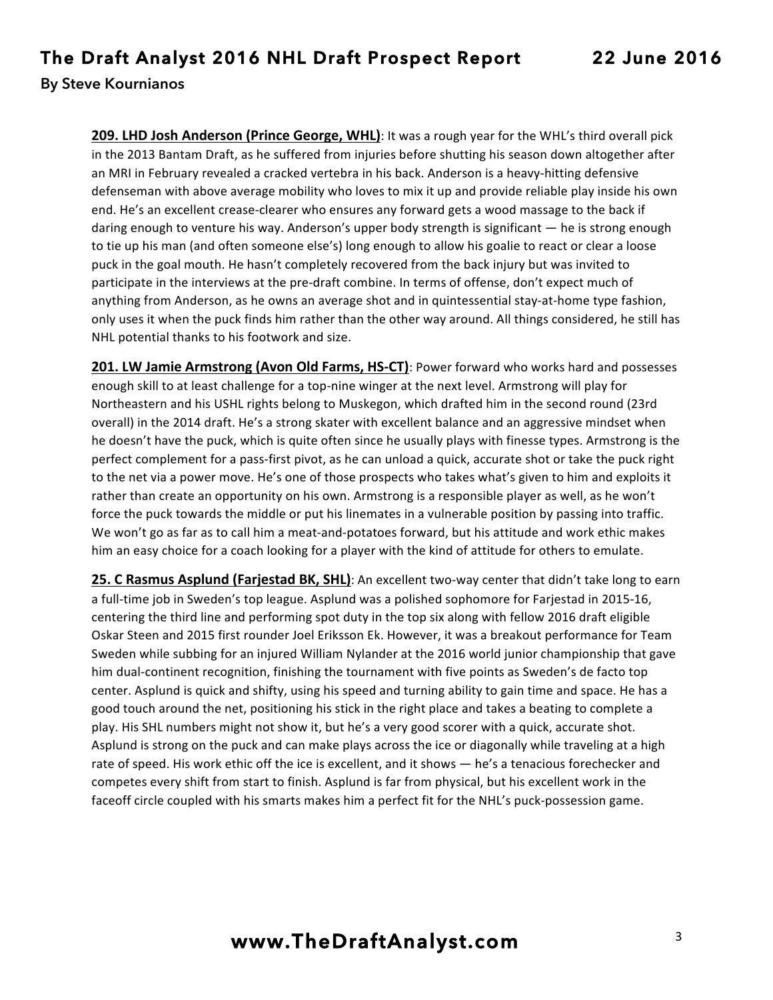**209. LHD Josh Anderson (Prince George, WHL)**: It was a rough year for the WHL's third overall pick in the 2013 Bantam Draft, as he suffered from injuries before shutting his season down altogether after an MRI in February revealed a cracked vertebra in his back. Anderson is a heavy-hitting defensive defenseman with above average mobility who loves to mix it up and provide reliable play inside his own end. He's an excellent crease-clearer who ensures any forward gets a wood massage to the back if daring enough to venture his way. Anderson's upper body strength is significant — he is strong enough to tie up his man (and often someone else's) long enough to allow his goalie to react or clear a loose puck in the goal mouth. He hasn't completely recovered from the back injury but was invited to participate in the interviews at the pre-draft combine. In terms of offense, don't expect much of anything from Anderson, as he owns an average shot and in quintessential stay-at-home type fashion, only uses it when the puck finds him rather than the other way around. All things considered, he still has NHL potential thanks to his footwork and size.

**201. LW Jamie Armstrong (Avon Old Farms, HS-CT)**: Power forward who works hard and possesses enough skill to at least challenge for a top-nine winger at the next level. Armstrong will play for Northeastern and his USHL rights belong to Muskegon, which drafted him in the second round (23rd overall) in the 2014 draft. He's a strong skater with excellent balance and an aggressive mindset when he doesn't have the puck, which is quite often since he usually plays with finesse types. Armstrong is the perfect complement for a pass-first pivot, as he can unload a quick, accurate shot or take the puck right to the net via a power move. He's one of those prospects who takes what's given to him and exploits it rather than create an opportunity on his own. Armstrong is a responsible player as well, as he won't force the puck towards the middle or put his linemates in a vulnerable position by passing into traffic. We won't go as far as to call him a meat-and-potatoes forward, but his attitude and work ethic makes him an easy choice for a coach looking for a player with the kind of attitude for others to emulate.

**25. C Rasmus Asplund (Farjestad BK, SHL)**: An excellent two-way center that didn't take long to earn a full-time job in Sweden's top league. Asplund was a polished sophomore for Farjestad in 2015-16, centering the third line and performing spot duty in the top six along with fellow 2016 draft eligible Oskar Steen and 2015 first rounder Joel Eriksson Ek. However, it was a breakout performance for Team Sweden while subbing for an injured William Nylander at the 2016 world junior championship that gave him dual-continent recognition, finishing the tournament with five points as Sweden's de facto top center. Asplund is quick and shifty, using his speed and turning ability to gain time and space. He has a good touch around the net, positioning his stick in the right place and takes a beating to complete a play. His SHL numbers might not show it, but he's a very good scorer with a quick, accurate shot. Asplund is strong on the puck and can make plays across the ice or diagonally while traveling at a high rate of speed. His work ethic off the ice is excellent, and it shows — he's a tenacious forechecker and competes every shift from start to finish. Asplund is far from physical, but his excellent work in the faceoff circle coupled with his smarts makes him a perfect fit for the NHL's puck-possession game.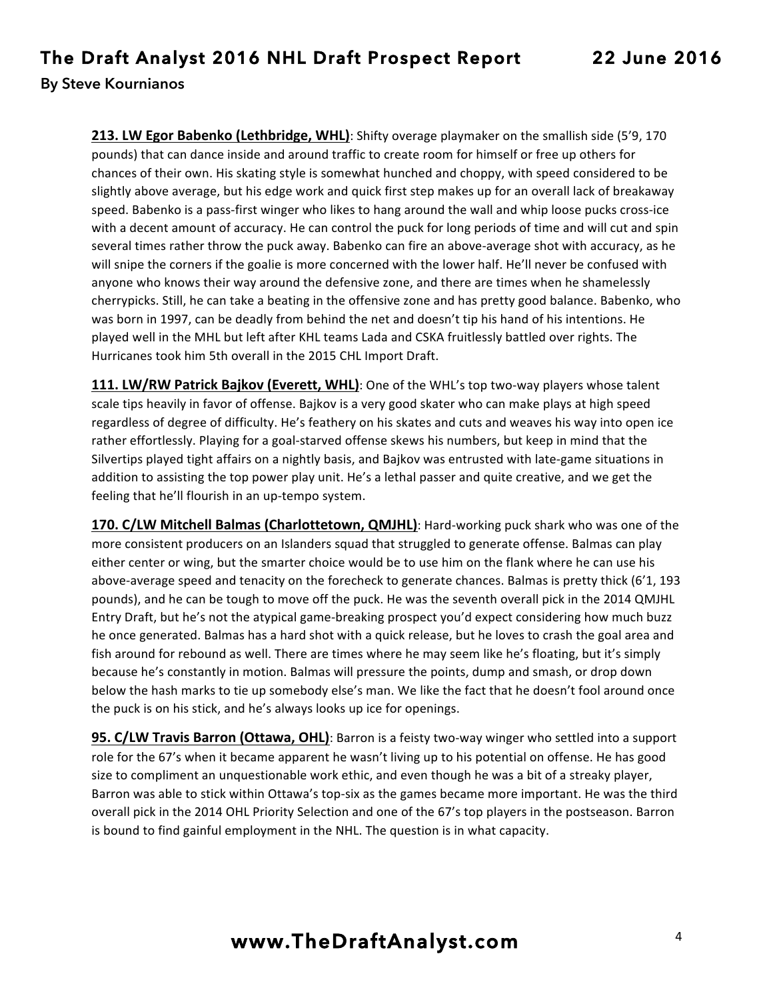**213. LW Egor Babenko (Lethbridge, WHL)**: Shifty overage playmaker on the smallish side (5'9, 170) pounds) that can dance inside and around traffic to create room for himself or free up others for chances of their own. His skating style is somewhat hunched and choppy, with speed considered to be slightly above average, but his edge work and quick first step makes up for an overall lack of breakaway speed. Babenko is a pass-first winger who likes to hang around the wall and whip loose pucks cross-ice with a decent amount of accuracy. He can control the puck for long periods of time and will cut and spin several times rather throw the puck away. Babenko can fire an above-average shot with accuracy, as he will snipe the corners if the goalie is more concerned with the lower half. He'll never be confused with anyone who knows their way around the defensive zone, and there are times when he shamelessly cherrypicks. Still, he can take a beating in the offensive zone and has pretty good balance. Babenko, who was born in 1997, can be deadly from behind the net and doesn't tip his hand of his intentions. He played well in the MHL but left after KHL teams Lada and CSKA fruitlessly battled over rights. The Hurricanes took him 5th overall in the 2015 CHL Import Draft.

**111. LW/RW Patrick Bajkov (Everett, WHL)**: One of the WHL's top two-way players whose talent scale tips heavily in favor of offense. Bajkov is a very good skater who can make plays at high speed regardless of degree of difficulty. He's feathery on his skates and cuts and weaves his way into open ice rather effortlessly. Playing for a goal-starved offense skews his numbers, but keep in mind that the Silvertips played tight affairs on a nightly basis, and Bajkov was entrusted with late-game situations in addition to assisting the top power play unit. He's a lethal passer and quite creative, and we get the feeling that he'll flourish in an up-tempo system.

**170. C/LW Mitchell Balmas (Charlottetown, QMJHL)**: Hard-working puck shark who was one of the more consistent producers on an Islanders squad that struggled to generate offense. Balmas can play either center or wing, but the smarter choice would be to use him on the flank where he can use his above-average speed and tenacity on the forecheck to generate chances. Balmas is pretty thick (6'1, 193 pounds), and he can be tough to move off the puck. He was the seventh overall pick in the 2014 QMJHL Entry Draft, but he's not the atypical game-breaking prospect you'd expect considering how much buzz he once generated. Balmas has a hard shot with a quick release, but he loves to crash the goal area and fish around for rebound as well. There are times where he may seem like he's floating, but it's simply because he's constantly in motion. Balmas will pressure the points, dump and smash, or drop down below the hash marks to tie up somebody else's man. We like the fact that he doesn't fool around once the puck is on his stick, and he's always looks up ice for openings.

**95. C/LW Travis Barron (Ottawa, OHL)**: Barron is a feisty two-way winger who settled into a support role for the 67's when it became apparent he wasn't living up to his potential on offense. He has good size to compliment an unquestionable work ethic, and even though he was a bit of a streaky player, Barron was able to stick within Ottawa's top-six as the games became more important. He was the third overall pick in the 2014 OHL Priority Selection and one of the 67's top players in the postseason. Barron is bound to find gainful employment in the NHL. The question is in what capacity.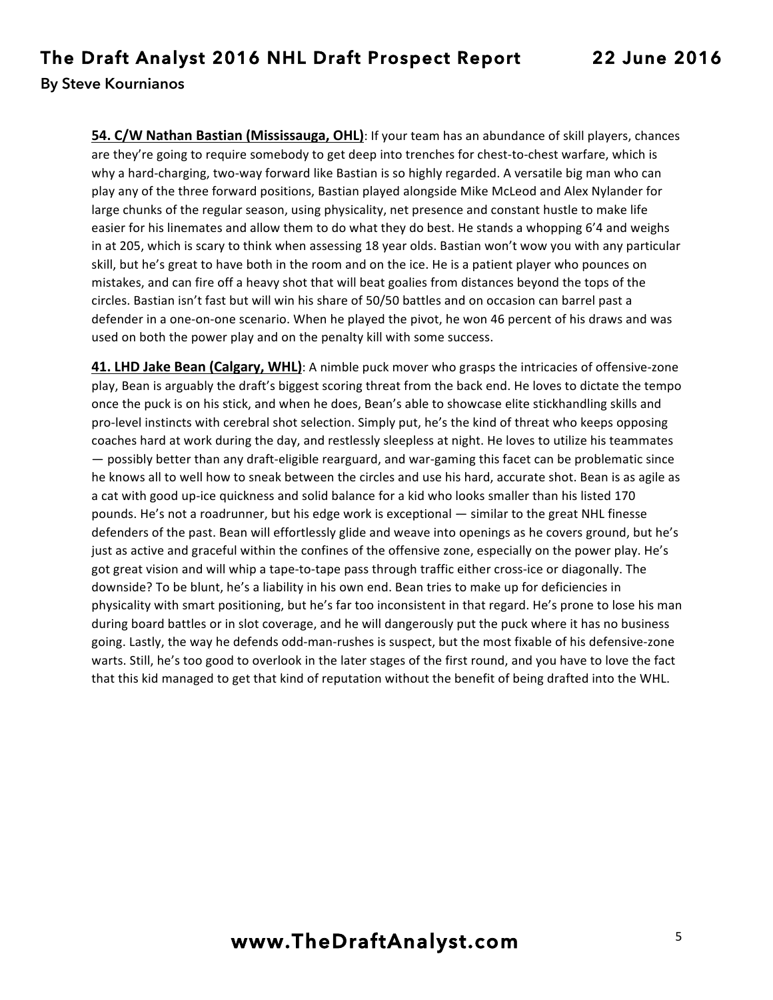**54. C/W Nathan Bastian (Mississauga, OHL)**: If your team has an abundance of skill players, chances are they're going to require somebody to get deep into trenches for chest-to-chest warfare, which is why a hard-charging, two-way forward like Bastian is so highly regarded. A versatile big man who can play any of the three forward positions, Bastian played alongside Mike McLeod and Alex Nylander for large chunks of the regular season, using physicality, net presence and constant hustle to make life easier for his linemates and allow them to do what they do best. He stands a whopping 6'4 and weighs in at 205, which is scary to think when assessing 18 year olds. Bastian won't wow you with any particular skill, but he's great to have both in the room and on the ice. He is a patient player who pounces on mistakes, and can fire off a heavy shot that will beat goalies from distances beyond the tops of the circles. Bastian isn't fast but will win his share of 50/50 battles and on occasion can barrel past a defender in a one-on-one scenario. When he played the pivot, he won 46 percent of his draws and was used on both the power play and on the penalty kill with some success.

**41. LHD Jake Bean (Calgary, WHL)**: A nimble puck mover who grasps the intricacies of offensive-zone play, Bean is arguably the draft's biggest scoring threat from the back end. He loves to dictate the tempo once the puck is on his stick, and when he does, Bean's able to showcase elite stickhandling skills and pro-level instincts with cerebral shot selection. Simply put, he's the kind of threat who keeps opposing coaches hard at work during the day, and restlessly sleepless at night. He loves to utilize his teammates  $-$  possibly better than any draft-eligible rearguard, and war-gaming this facet can be problematic since he knows all to well how to sneak between the circles and use his hard, accurate shot. Bean is as agile as a cat with good up-ice quickness and solid balance for a kid who looks smaller than his listed 170 pounds. He's not a roadrunner, but his edge work is exceptional — similar to the great NHL finesse defenders of the past. Bean will effortlessly glide and weave into openings as he covers ground, but he's just as active and graceful within the confines of the offensive zone, especially on the power play. He's got great vision and will whip a tape-to-tape pass through traffic either cross-ice or diagonally. The downside? To be blunt, he's a liability in his own end. Bean tries to make up for deficiencies in physicality with smart positioning, but he's far too inconsistent in that regard. He's prone to lose his man during board battles or in slot coverage, and he will dangerously put the puck where it has no business going. Lastly, the way he defends odd-man-rushes is suspect, but the most fixable of his defensive-zone warts. Still, he's too good to overlook in the later stages of the first round, and you have to love the fact that this kid managed to get that kind of reputation without the benefit of being drafted into the WHL.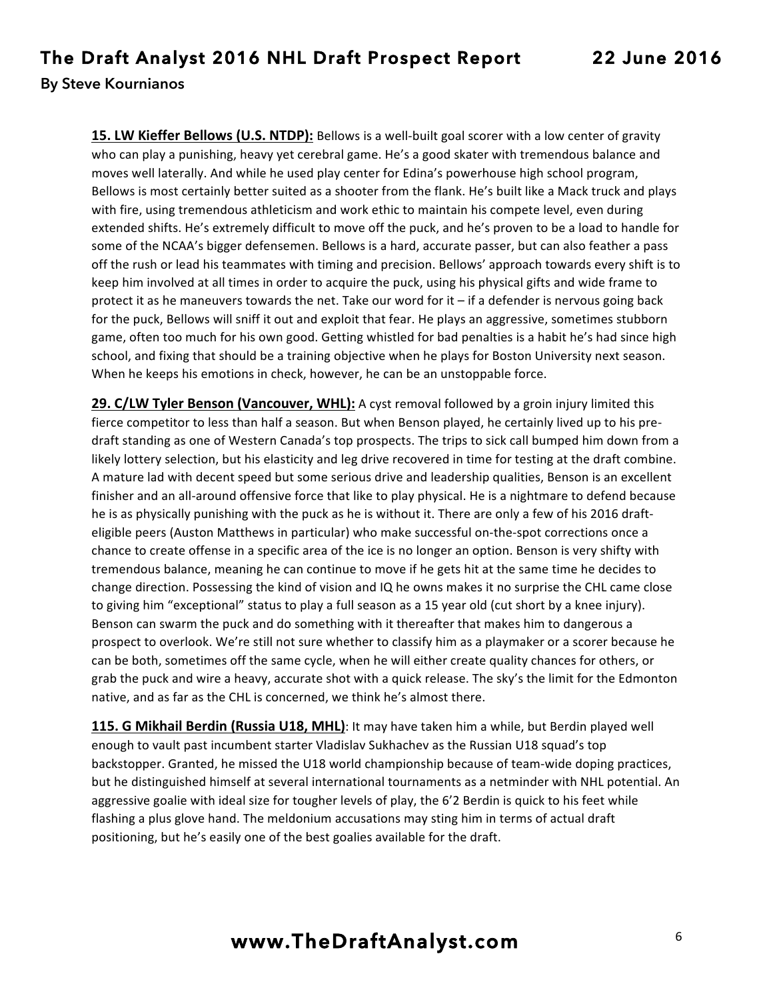**15. LW Kieffer Bellows (U.S. NTDP):** Bellows is a well-built goal scorer with a low center of gravity who can play a punishing, heavy yet cerebral game. He's a good skater with tremendous balance and moves well laterally. And while he used play center for Edina's powerhouse high school program, Bellows is most certainly better suited as a shooter from the flank. He's built like a Mack truck and plays with fire, using tremendous athleticism and work ethic to maintain his compete level, even during extended shifts. He's extremely difficult to move off the puck, and he's proven to be a load to handle for some of the NCAA's bigger defensemen. Bellows is a hard, accurate passer, but can also feather a pass off the rush or lead his teammates with timing and precision. Bellows' approach towards every shift is to keep him involved at all times in order to acquire the puck, using his physical gifts and wide frame to protect it as he maneuvers towards the net. Take our word for it  $-$  if a defender is nervous going back for the puck, Bellows will sniff it out and exploit that fear. He plays an aggressive, sometimes stubborn game, often too much for his own good. Getting whistled for bad penalties is a habit he's had since high school, and fixing that should be a training objective when he plays for Boston University next season. When he keeps his emotions in check, however, he can be an unstoppable force.

**29. C/LW Tyler Benson (Vancouver, WHL):** A cyst removal followed by a groin injury limited this fierce competitor to less than half a season. But when Benson played, he certainly lived up to his predraft standing as one of Western Canada's top prospects. The trips to sick call bumped him down from a likely lottery selection, but his elasticity and leg drive recovered in time for testing at the draft combine. A mature lad with decent speed but some serious drive and leadership qualities, Benson is an excellent finisher and an all-around offensive force that like to play physical. He is a nightmare to defend because he is as physically punishing with the puck as he is without it. There are only a few of his 2016 drafteligible peers (Auston Matthews in particular) who make successful on-the-spot corrections once a chance to create offense in a specific area of the ice is no longer an option. Benson is very shifty with tremendous balance, meaning he can continue to move if he gets hit at the same time he decides to change direction. Possessing the kind of vision and IQ he owns makes it no surprise the CHL came close to giving him "exceptional" status to play a full season as a 15 year old (cut short by a knee injury). Benson can swarm the puck and do something with it thereafter that makes him to dangerous a prospect to overlook. We're still not sure whether to classify him as a playmaker or a scorer because he can be both, sometimes off the same cycle, when he will either create quality chances for others, or grab the puck and wire a heavy, accurate shot with a quick release. The sky's the limit for the Edmonton native, and as far as the CHL is concerned, we think he's almost there.

**115. G Mikhail Berdin (Russia U18, MHL)**: It may have taken him a while, but Berdin played well enough to vault past incumbent starter Vladislav Sukhachev as the Russian U18 squad's top backstopper. Granted, he missed the U18 world championship because of team-wide doping practices, but he distinguished himself at several international tournaments as a netminder with NHL potential. An aggressive goalie with ideal size for tougher levels of play, the 6'2 Berdin is quick to his feet while flashing a plus glove hand. The meldonium accusations may sting him in terms of actual draft positioning, but he's easily one of the best goalies available for the draft.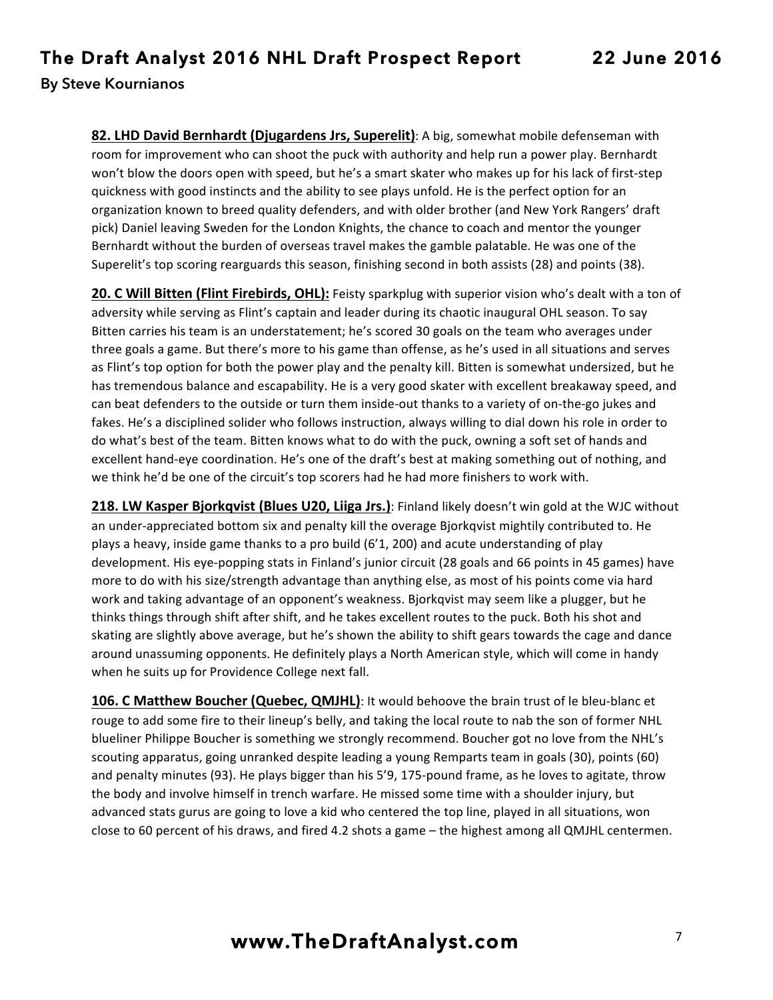**82. LHD David Bernhardt (Djugardens Jrs, Superelit)**: A big, somewhat mobile defenseman with room for improvement who can shoot the puck with authority and help run a power play. Bernhardt won't blow the doors open with speed, but he's a smart skater who makes up for his lack of first-step quickness with good instincts and the ability to see plays unfold. He is the perfect option for an organization known to breed quality defenders, and with older brother (and New York Rangers' draft pick) Daniel leaving Sweden for the London Knights, the chance to coach and mentor the younger Bernhardt without the burden of overseas travel makes the gamble palatable. He was one of the Superelit's top scoring rearguards this season, finishing second in both assists (28) and points (38).

**20. C Will Bitten (Flint Firebirds, OHL):** Feisty sparkplug with superior vision who's dealt with a ton of adversity while serving as Flint's captain and leader during its chaotic inaugural OHL season. To say Bitten carries his team is an understatement; he's scored 30 goals on the team who averages under three goals a game. But there's more to his game than offense, as he's used in all situations and serves as Flint's top option for both the power play and the penalty kill. Bitten is somewhat undersized, but he has tremendous balance and escapability. He is a very good skater with excellent breakaway speed, and can beat defenders to the outside or turn them inside-out thanks to a variety of on-the-go jukes and fakes. He's a disciplined solider who follows instruction, always willing to dial down his role in order to do what's best of the team. Bitten knows what to do with the puck, owning a soft set of hands and excellent hand-eye coordination. He's one of the draft's best at making something out of nothing, and we think he'd be one of the circuit's top scorers had he had more finishers to work with.

**218. LW Kasper Bjorkqvist (Blues U20, Liiga Jrs.)**: Finland likely doesn't win gold at the WJC without an under-appreciated bottom six and penalty kill the overage Bjorkqvist mightily contributed to. He plays a heavy, inside game thanks to a pro build  $(6'1, 200)$  and acute understanding of play development. His eye-popping stats in Finland's junior circuit (28 goals and 66 points in 45 games) have more to do with his size/strength advantage than anything else, as most of his points come via hard work and taking advantage of an opponent's weakness. Bjorkqvist may seem like a plugger, but he thinks things through shift after shift, and he takes excellent routes to the puck. Both his shot and skating are slightly above average, but he's shown the ability to shift gears towards the cage and dance around unassuming opponents. He definitely plays a North American style, which will come in handy when he suits up for Providence College next fall.

106. C Matthew Boucher (Quebec, QMJHL): It would behoove the brain trust of le bleu-blanc et rouge to add some fire to their lineup's belly, and taking the local route to nab the son of former NHL blueliner Philippe Boucher is something we strongly recommend. Boucher got no love from the NHL's scouting apparatus, going unranked despite leading a young Remparts team in goals (30), points (60) and penalty minutes (93). He plays bigger than his 5'9, 175-pound frame, as he loves to agitate, throw the body and involve himself in trench warfare. He missed some time with a shoulder injury, but advanced stats gurus are going to love a kid who centered the top line, played in all situations, won close to 60 percent of his draws, and fired 4.2 shots a game – the highest among all QMJHL centermen.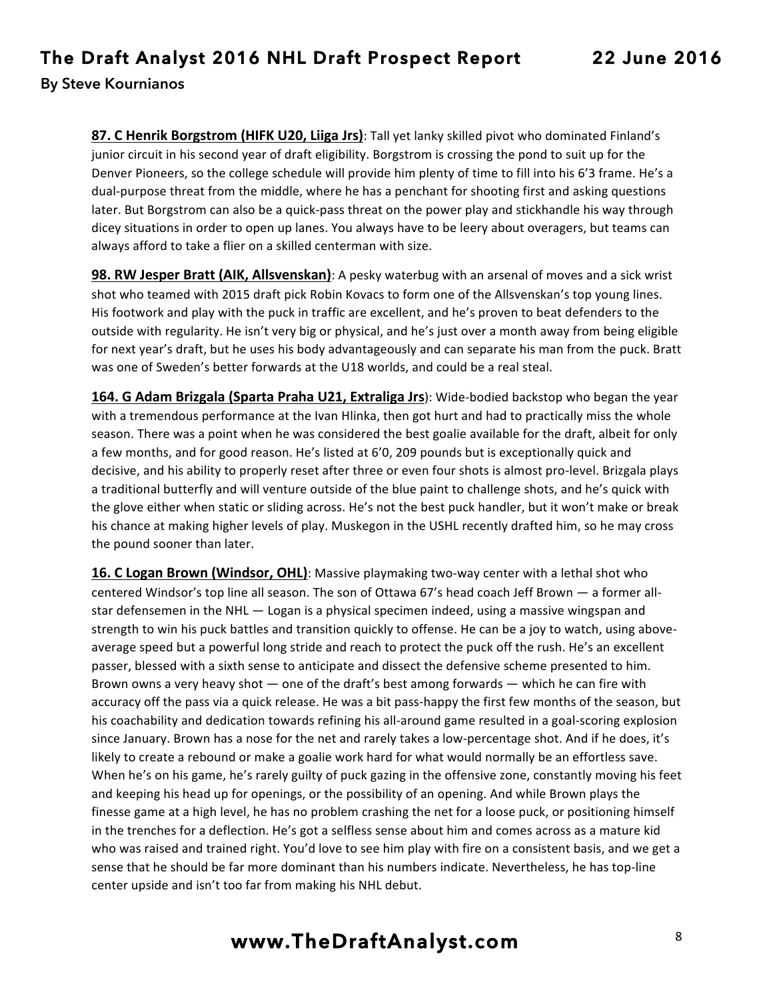**87. C Henrik Borgstrom (HIFK U20, Liiga Jrs)**: Tall yet lanky skilled pivot who dominated Finland's junior circuit in his second year of draft eligibility. Borgstrom is crossing the pond to suit up for the Denver Pioneers, so the college schedule will provide him plenty of time to fill into his 6'3 frame. He's a dual-purpose threat from the middle, where he has a penchant for shooting first and asking questions later. But Borgstrom can also be a quick-pass threat on the power play and stickhandle his way through dicey situations in order to open up lanes. You always have to be leery about overagers, but teams can always afford to take a flier on a skilled centerman with size.

**98. RW Jesper Bratt (AIK, Allsvenskan)**: A pesky waterbug with an arsenal of moves and a sick wrist shot who teamed with 2015 draft pick Robin Kovacs to form one of the Allsvenskan's top young lines. His footwork and play with the puck in traffic are excellent, and he's proven to beat defenders to the outside with regularity. He isn't very big or physical, and he's just over a month away from being eligible for next year's draft, but he uses his body advantageously and can separate his man from the puck. Bratt was one of Sweden's better forwards at the U18 worlds, and could be a real steal.

**164. G Adam Brizgala (Sparta Praha U21, Extraliga Jrs**): Wide-bodied backstop who began the year with a tremendous performance at the Ivan Hlinka, then got hurt and had to practically miss the whole season. There was a point when he was considered the best goalie available for the draft, albeit for only a few months, and for good reason. He's listed at 6'0, 209 pounds but is exceptionally quick and decisive, and his ability to properly reset after three or even four shots is almost pro-level. Brizgala plays a traditional butterfly and will venture outside of the blue paint to challenge shots, and he's quick with the glove either when static or sliding across. He's not the best puck handler, but it won't make or break his chance at making higher levels of play. Muskegon in the USHL recently drafted him, so he may cross the pound sooner than later.

**16. C Logan Brown (Windsor, OHL)**: Massive playmaking two-way center with a lethal shot who centered Windsor's top line all season. The son of Ottawa 67's head coach Jeff Brown — a former allstar defensemen in the NHL - Logan is a physical specimen indeed, using a massive wingspan and strength to win his puck battles and transition quickly to offense. He can be a joy to watch, using aboveaverage speed but a powerful long stride and reach to protect the puck off the rush. He's an excellent passer, blessed with a sixth sense to anticipate and dissect the defensive scheme presented to him. Brown owns a very heavy shot  $-$  one of the draft's best among forwards  $-$  which he can fire with accuracy off the pass via a quick release. He was a bit pass-happy the first few months of the season, but his coachability and dedication towards refining his all-around game resulted in a goal-scoring explosion since January. Brown has a nose for the net and rarely takes a low-percentage shot. And if he does, it's likely to create a rebound or make a goalie work hard for what would normally be an effortless save. When he's on his game, he's rarely guilty of puck gazing in the offensive zone, constantly moving his feet and keeping his head up for openings, or the possibility of an opening. And while Brown plays the finesse game at a high level, he has no problem crashing the net for a loose puck, or positioning himself in the trenches for a deflection. He's got a selfless sense about him and comes across as a mature kid who was raised and trained right. You'd love to see him play with fire on a consistent basis, and we get a sense that he should be far more dominant than his numbers indicate. Nevertheless, he has top-line center upside and isn't too far from making his NHL debut.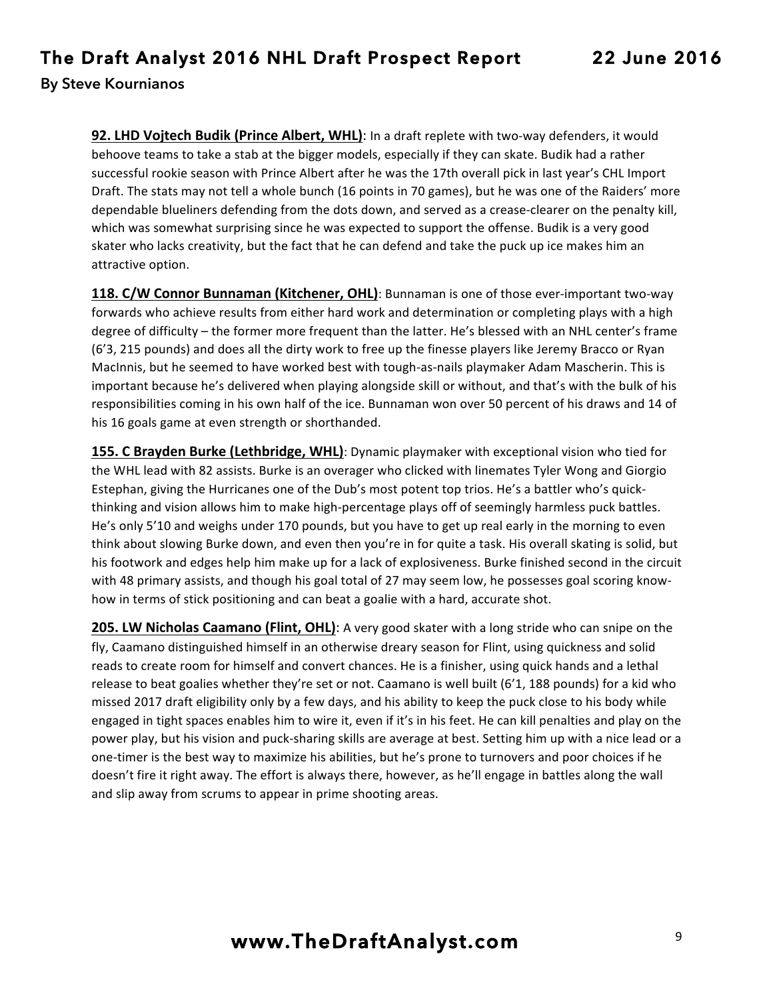92. LHD Vojtech Budik (Prince Albert, WHL): In a draft replete with two-way defenders, it would behoove teams to take a stab at the bigger models, especially if they can skate. Budik had a rather successful rookie season with Prince Albert after he was the 17th overall pick in last year's CHL Import Draft. The stats may not tell a whole bunch (16 points in 70 games), but he was one of the Raiders' more dependable blueliners defending from the dots down, and served as a crease-clearer on the penalty kill, which was somewhat surprising since he was expected to support the offense. Budik is a very good skater who lacks creativity, but the fact that he can defend and take the puck up ice makes him an attractive option.

**118. C/W Connor Bunnaman (Kitchener, OHL)**: Bunnaman is one of those ever-important two-way forwards who achieve results from either hard work and determination or completing plays with a high degree of difficulty – the former more frequent than the latter. He's blessed with an NHL center's frame (6'3, 215 pounds) and does all the dirty work to free up the finesse players like Jeremy Bracco or Ryan MacInnis, but he seemed to have worked best with tough-as-nails playmaker Adam Mascherin. This is important because he's delivered when playing alongside skill or without, and that's with the bulk of his responsibilities coming in his own half of the ice. Bunnaman won over 50 percent of his draws and 14 of his 16 goals game at even strength or shorthanded.

155. C Brayden Burke (Lethbridge, WHL): Dynamic playmaker with exceptional vision who tied for the WHL lead with 82 assists. Burke is an overager who clicked with linemates Tyler Wong and Giorgio Estephan, giving the Hurricanes one of the Dub's most potent top trios. He's a battler who's quickthinking and vision allows him to make high-percentage plays off of seemingly harmless puck battles. He's only 5'10 and weighs under 170 pounds, but you have to get up real early in the morning to even think about slowing Burke down, and even then you're in for quite a task. His overall skating is solid, but his footwork and edges help him make up for a lack of explosiveness. Burke finished second in the circuit with 48 primary assists, and though his goal total of 27 may seem low, he possesses goal scoring knowhow in terms of stick positioning and can beat a goalie with a hard, accurate shot.

**205. LW Nicholas Caamano (Flint, OHL)**: A very good skater with a long stride who can snipe on the fly, Caamano distinguished himself in an otherwise dreary season for Flint, using quickness and solid reads to create room for himself and convert chances. He is a finisher, using quick hands and a lethal release to beat goalies whether they're set or not. Caamano is well built  $(6'1, 188$  pounds) for a kid who missed 2017 draft eligibility only by a few days, and his ability to keep the puck close to his body while engaged in tight spaces enables him to wire it, even if it's in his feet. He can kill penalties and play on the power play, but his vision and puck-sharing skills are average at best. Setting him up with a nice lead or a one-timer is the best way to maximize his abilities, but he's prone to turnovers and poor choices if he doesn't fire it right away. The effort is always there, however, as he'll engage in battles along the wall and slip away from scrums to appear in prime shooting areas.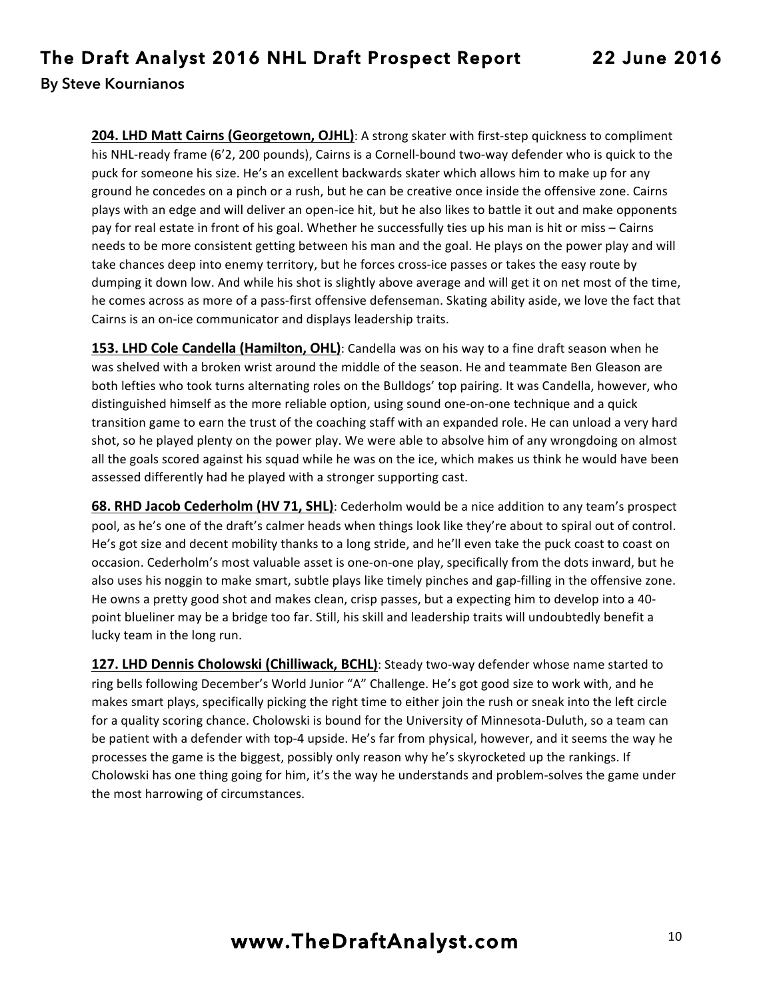**204. LHD Matt Cairns (Georgetown, OJHL)**: A strong skater with first-step quickness to compliment his NHL-ready frame (6'2, 200 pounds), Cairns is a Cornell-bound two-way defender who is quick to the puck for someone his size. He's an excellent backwards skater which allows him to make up for any ground he concedes on a pinch or a rush, but he can be creative once inside the offensive zone. Cairns plays with an edge and will deliver an open-ice hit, but he also likes to battle it out and make opponents pay for real estate in front of his goal. Whether he successfully ties up his man is hit or miss - Cairns needs to be more consistent getting between his man and the goal. He plays on the power play and will take chances deep into enemy territory, but he forces cross-ice passes or takes the easy route by dumping it down low. And while his shot is slightly above average and will get it on net most of the time, he comes across as more of a pass-first offensive defenseman. Skating ability aside, we love the fact that Cairns is an on-ice communicator and displays leadership traits.

**153. LHD Cole Candella (Hamilton, OHL)**: Candella was on his way to a fine draft season when he was shelved with a broken wrist around the middle of the season. He and teammate Ben Gleason are both lefties who took turns alternating roles on the Bulldogs' top pairing. It was Candella, however, who distinguished himself as the more reliable option, using sound one-on-one technique and a quick transition game to earn the trust of the coaching staff with an expanded role. He can unload a very hard shot, so he played plenty on the power play. We were able to absolve him of any wrongdoing on almost all the goals scored against his squad while he was on the ice, which makes us think he would have been assessed differently had he played with a stronger supporting cast.

**68. RHD Jacob Cederholm (HV 71, SHL)**: Cederholm would be a nice addition to any team's prospect pool, as he's one of the draft's calmer heads when things look like they're about to spiral out of control. He's got size and decent mobility thanks to a long stride, and he'll even take the puck coast to coast on occasion. Cederholm's most valuable asset is one-on-one play, specifically from the dots inward, but he also uses his noggin to make smart, subtle plays like timely pinches and gap-filling in the offensive zone. He owns a pretty good shot and makes clean, crisp passes, but a expecting him to develop into a 40point blueliner may be a bridge too far. Still, his skill and leadership traits will undoubtedly benefit a lucky team in the long run.

**127. LHD Dennis Cholowski (Chilliwack, BCHL)**: Steady two-way defender whose name started to ring bells following December's World Junior "A" Challenge. He's got good size to work with, and he makes smart plays, specifically picking the right time to either join the rush or sneak into the left circle for a quality scoring chance. Cholowski is bound for the University of Minnesota-Duluth, so a team can be patient with a defender with top-4 upside. He's far from physical, however, and it seems the way he processes the game is the biggest, possibly only reason why he's skyrocketed up the rankings. If Cholowski has one thing going for him, it's the way he understands and problem-solves the game under the most harrowing of circumstances.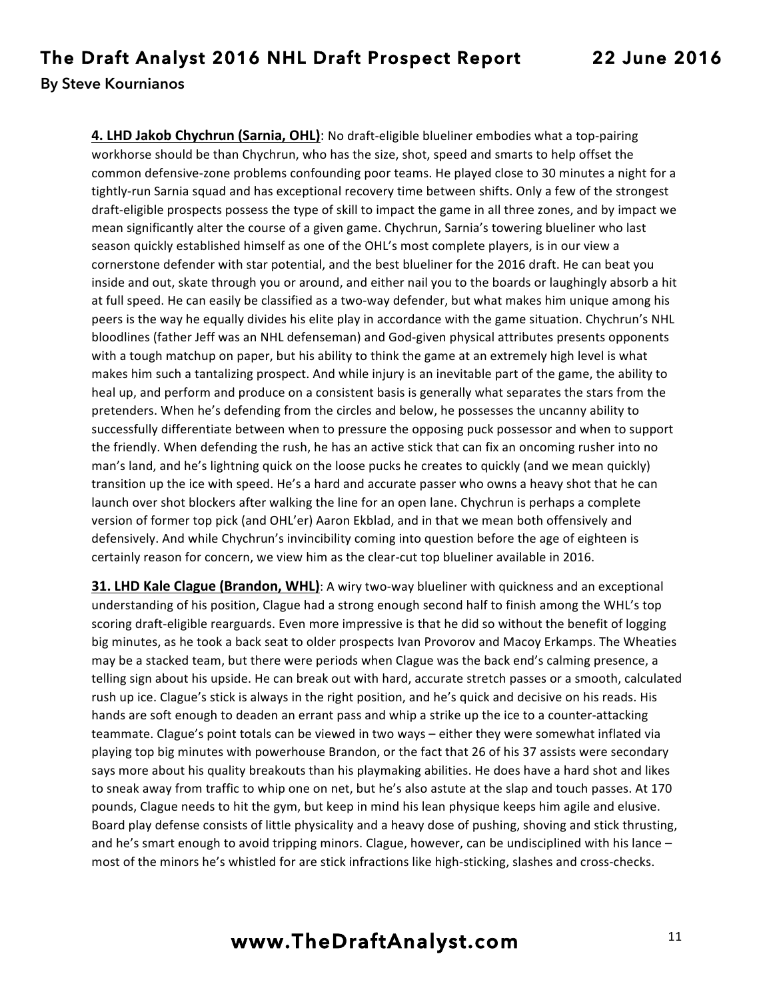**4. LHD Jakob Chychrun (Sarnia, OHL)**: No draft-eligible blueliner embodies what a top-pairing workhorse should be than Chychrun, who has the size, shot, speed and smarts to help offset the common defensive-zone problems confounding poor teams. He played close to 30 minutes a night for a tightly-run Sarnia squad and has exceptional recovery time between shifts. Only a few of the strongest draft-eligible prospects possess the type of skill to impact the game in all three zones, and by impact we mean significantly alter the course of a given game. Chychrun, Sarnia's towering blueliner who last season quickly established himself as one of the OHL's most complete players, is in our view a cornerstone defender with star potential, and the best blueliner for the 2016 draft. He can beat you inside and out, skate through you or around, and either nail you to the boards or laughingly absorb a hit at full speed. He can easily be classified as a two-way defender, but what makes him unique among his peers is the way he equally divides his elite play in accordance with the game situation. Chychrun's NHL bloodlines (father Jeff was an NHL defenseman) and God-given physical attributes presents opponents with a tough matchup on paper, but his ability to think the game at an extremely high level is what makes him such a tantalizing prospect. And while injury is an inevitable part of the game, the ability to heal up, and perform and produce on a consistent basis is generally what separates the stars from the pretenders. When he's defending from the circles and below, he possesses the uncanny ability to successfully differentiate between when to pressure the opposing puck possessor and when to support the friendly. When defending the rush, he has an active stick that can fix an oncoming rusher into no man's land, and he's lightning quick on the loose pucks he creates to quickly (and we mean quickly) transition up the ice with speed. He's a hard and accurate passer who owns a heavy shot that he can launch over shot blockers after walking the line for an open lane. Chychrun is perhaps a complete version of former top pick (and OHL'er) Aaron Ekblad, and in that we mean both offensively and defensively. And while Chychrun's invincibility coming into question before the age of eighteen is certainly reason for concern, we view him as the clear-cut top blueliner available in 2016.

**31. LHD Kale Clague (Brandon, WHL)**: A wiry two-way blueliner with quickness and an exceptional understanding of his position, Clague had a strong enough second half to finish among the WHL's top scoring draft-eligible rearguards. Even more impressive is that he did so without the benefit of logging big minutes, as he took a back seat to older prospects Ivan Provorov and Macoy Erkamps. The Wheaties may be a stacked team, but there were periods when Clague was the back end's calming presence, a telling sign about his upside. He can break out with hard, accurate stretch passes or a smooth, calculated rush up ice. Clague's stick is always in the right position, and he's quick and decisive on his reads. His hands are soft enough to deaden an errant pass and whip a strike up the ice to a counter-attacking teammate. Clague's point totals can be viewed in two ways – either they were somewhat inflated via playing top big minutes with powerhouse Brandon, or the fact that 26 of his 37 assists were secondary says more about his quality breakouts than his playmaking abilities. He does have a hard shot and likes to sneak away from traffic to whip one on net, but he's also astute at the slap and touch passes. At 170 pounds, Clague needs to hit the gym, but keep in mind his lean physique keeps him agile and elusive. Board play defense consists of little physicality and a heavy dose of pushing, shoving and stick thrusting, and he's smart enough to avoid tripping minors. Clague, however, can be undisciplined with his lance most of the minors he's whistled for are stick infractions like high-sticking, slashes and cross-checks.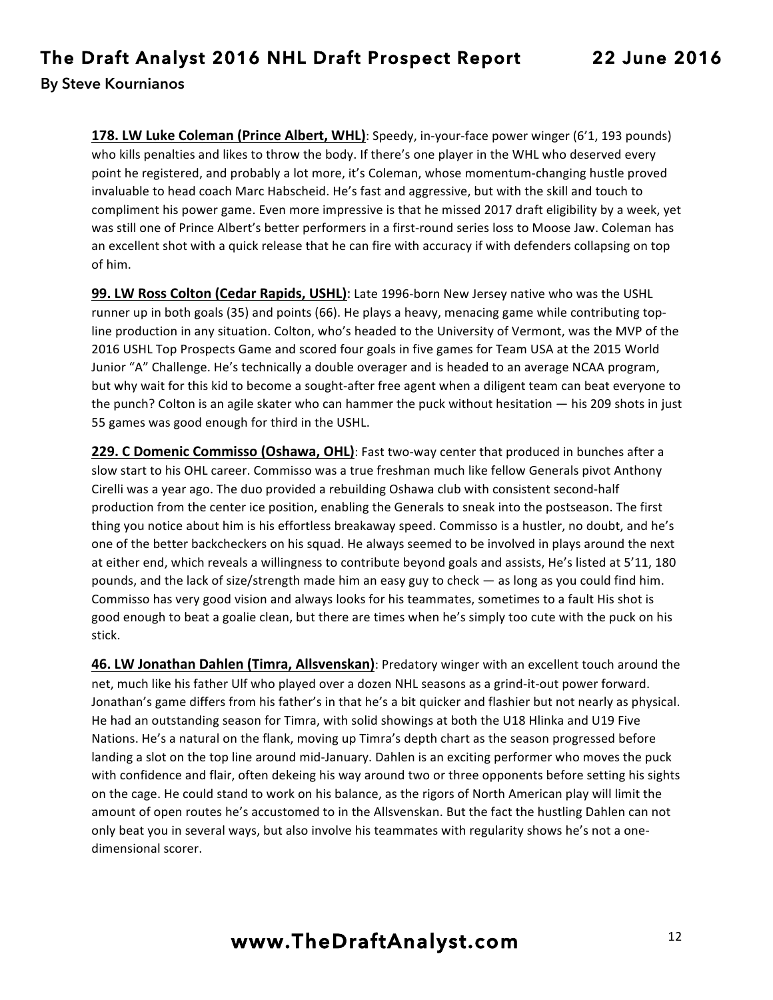**178. LW Luke Coleman (Prince Albert, WHL)**: Speedy, in-your-face power winger (6'1, 193 pounds) who kills penalties and likes to throw the body. If there's one player in the WHL who deserved every point he registered, and probably a lot more, it's Coleman, whose momentum-changing hustle proved invaluable to head coach Marc Habscheid. He's fast and aggressive, but with the skill and touch to compliment his power game. Even more impressive is that he missed 2017 draft eligibility by a week, yet was still one of Prince Albert's better performers in a first-round series loss to Moose Jaw. Coleman has an excellent shot with a quick release that he can fire with accuracy if with defenders collapsing on top of him.

**99. LW Ross Colton (Cedar Rapids, USHL)**: Late 1996-born New Jersey native who was the USHL runner up in both goals (35) and points (66). He plays a heavy, menacing game while contributing topline production in any situation. Colton, who's headed to the University of Vermont, was the MVP of the 2016 USHL Top Prospects Game and scored four goals in five games for Team USA at the 2015 World Junior "A" Challenge. He's technically a double overager and is headed to an average NCAA program, but why wait for this kid to become a sought-after free agent when a diligent team can beat everyone to the punch? Colton is an agile skater who can hammer the puck without hesitation  $-$  his 209 shots in just 55 games was good enough for third in the USHL.

**229. C Domenic Commisso (Oshawa, OHL)**: Fast two-way center that produced in bunches after a slow start to his OHL career. Commisso was a true freshman much like fellow Generals pivot Anthony Cirelli was a year ago. The duo provided a rebuilding Oshawa club with consistent second-half production from the center ice position, enabling the Generals to sneak into the postseason. The first thing you notice about him is his effortless breakaway speed. Commisso is a hustler, no doubt, and he's one of the better backcheckers on his squad. He always seemed to be involved in plays around the next at either end, which reveals a willingness to contribute beyond goals and assists, He's listed at 5'11, 180 pounds, and the lack of size/strength made him an easy guy to check — as long as you could find him. Commisso has very good vision and always looks for his teammates, sometimes to a fault His shot is good enough to beat a goalie clean, but there are times when he's simply too cute with the puck on his stick.

**46. LW Jonathan Dahlen (Timra, Allsvenskan)**: Predatory winger with an excellent touch around the net, much like his father Ulf who played over a dozen NHL seasons as a grind-it-out power forward. Jonathan's game differs from his father's in that he's a bit quicker and flashier but not nearly as physical. He had an outstanding season for Timra, with solid showings at both the U18 Hlinka and U19 Five Nations. He's a natural on the flank, moving up Timra's depth chart as the season progressed before landing a slot on the top line around mid-January. Dahlen is an exciting performer who moves the puck with confidence and flair, often dekeing his way around two or three opponents before setting his sights on the cage. He could stand to work on his balance, as the rigors of North American play will limit the amount of open routes he's accustomed to in the Allsvenskan. But the fact the hustling Dahlen can not only beat you in several ways, but also involve his teammates with regularity shows he's not a onedimensional scorer.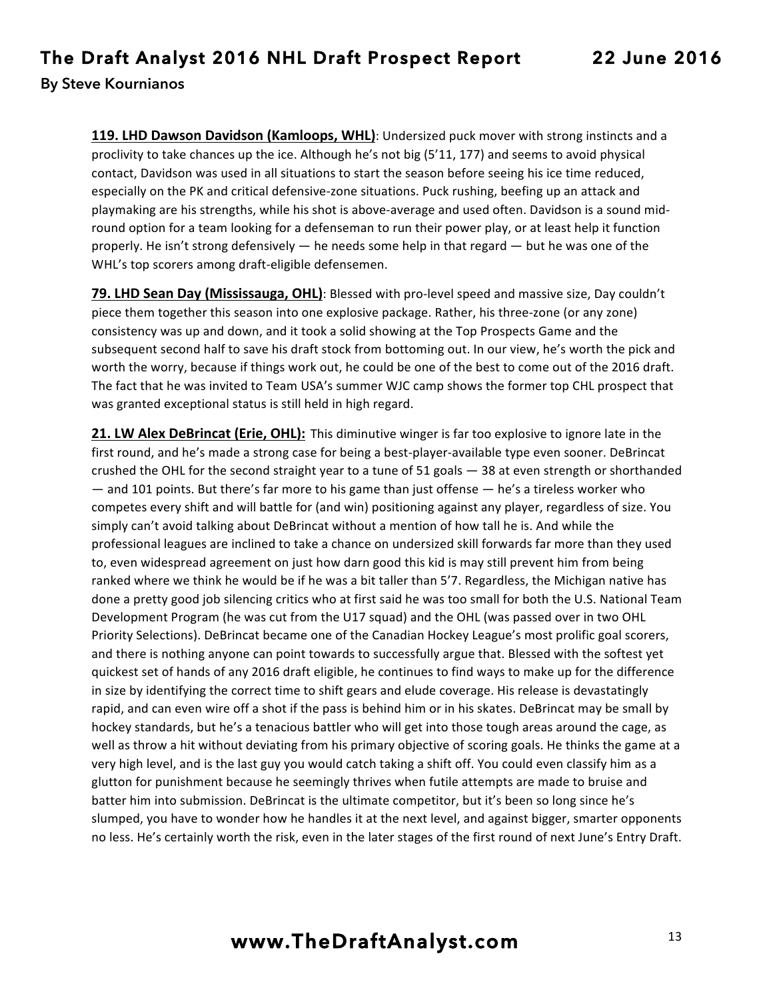**119. LHD Dawson Davidson (Kamloops, WHL)**: Undersized puck mover with strong instincts and a proclivity to take chances up the ice. Although he's not big  $(5'11, 177)$  and seems to avoid physical contact, Davidson was used in all situations to start the season before seeing his ice time reduced, especially on the PK and critical defensive-zone situations. Puck rushing, beefing up an attack and playmaking are his strengths, while his shot is above-average and used often. Davidson is a sound midround option for a team looking for a defenseman to run their power play, or at least help it function properly. He isn't strong defensively  $-$  he needs some help in that regard  $-$  but he was one of the WHL's top scorers among draft-eligible defensemen.

**79. LHD Sean Day (Mississauga, OHL)**: Blessed with pro-level speed and massive size, Day couldn't piece them together this season into one explosive package. Rather, his three-zone (or any zone) consistency was up and down, and it took a solid showing at the Top Prospects Game and the subsequent second half to save his draft stock from bottoming out. In our view, he's worth the pick and worth the worry, because if things work out, he could be one of the best to come out of the 2016 draft. The fact that he was invited to Team USA's summer WJC camp shows the former top CHL prospect that was granted exceptional status is still held in high regard.

**21. LW Alex DeBrincat (Erie, OHL):** This diminutive winger is far too explosive to ignore late in the first round, and he's made a strong case for being a best-player-available type even sooner. DeBrincat crushed the OHL for the second straight year to a tune of 51 goals - 38 at even strength or shorthanded  $-$  and 101 points. But there's far more to his game than just offense  $-$  he's a tireless worker who competes every shift and will battle for (and win) positioning against any player, regardless of size. You simply can't avoid talking about DeBrincat without a mention of how tall he is. And while the professional leagues are inclined to take a chance on undersized skill forwards far more than they used to, even widespread agreement on just how darn good this kid is may still prevent him from being ranked where we think he would be if he was a bit taller than 5'7. Regardless, the Michigan native has done a pretty good job silencing critics who at first said he was too small for both the U.S. National Team Development Program (he was cut from the U17 squad) and the OHL (was passed over in two OHL Priority Selections). DeBrincat became one of the Canadian Hockey League's most prolific goal scorers, and there is nothing anyone can point towards to successfully argue that. Blessed with the softest yet quickest set of hands of any 2016 draft eligible, he continues to find ways to make up for the difference in size by identifying the correct time to shift gears and elude coverage. His release is devastatingly rapid, and can even wire off a shot if the pass is behind him or in his skates. DeBrincat may be small by hockey standards, but he's a tenacious battler who will get into those tough areas around the cage, as well as throw a hit without deviating from his primary objective of scoring goals. He thinks the game at a very high level, and is the last guy you would catch taking a shift off. You could even classify him as a glutton for punishment because he seemingly thrives when futile attempts are made to bruise and batter him into submission. DeBrincat is the ultimate competitor, but it's been so long since he's slumped, you have to wonder how he handles it at the next level, and against bigger, smarter opponents no less. He's certainly worth the risk, even in the later stages of the first round of next June's Entry Draft.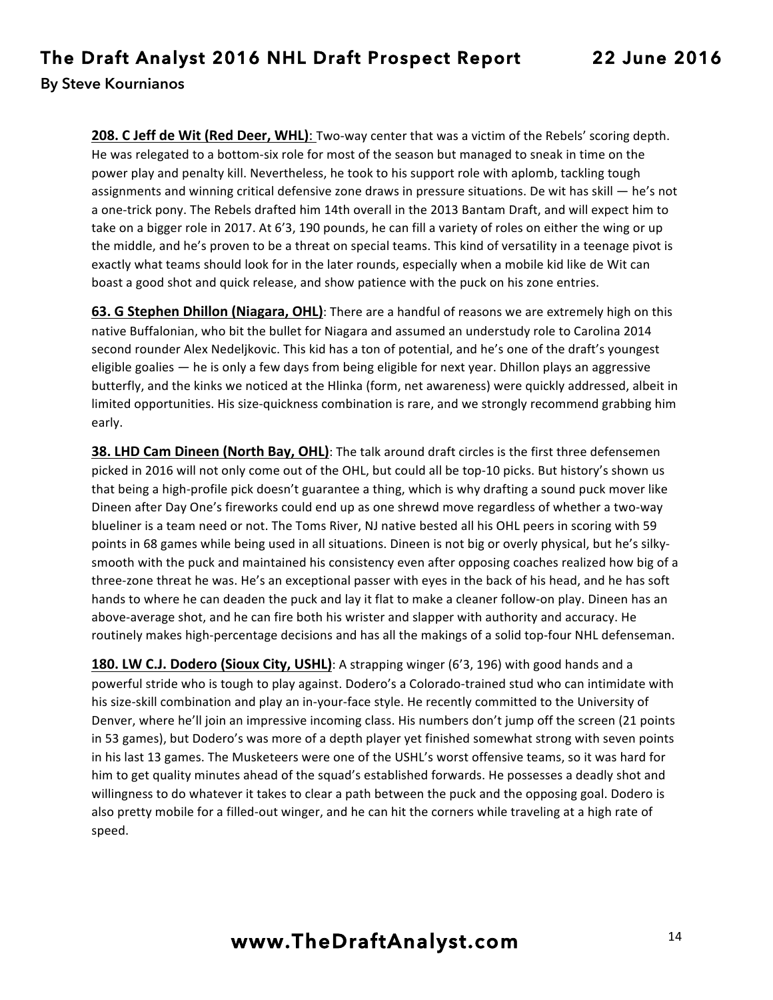**208. C Jeff de Wit (Red Deer, WHL):** Two-way center that was a victim of the Rebels' scoring depth. He was relegated to a bottom-six role for most of the season but managed to sneak in time on the power play and penalty kill. Nevertheless, he took to his support role with aplomb, tackling tough assignments and winning critical defensive zone draws in pressure situations. De wit has skill — he's not a one-trick pony. The Rebels drafted him 14th overall in the 2013 Bantam Draft, and will expect him to take on a bigger role in 2017. At 6'3, 190 pounds, he can fill a variety of roles on either the wing or up the middle, and he's proven to be a threat on special teams. This kind of versatility in a teenage pivot is exactly what teams should look for in the later rounds, especially when a mobile kid like de Wit can boast a good shot and quick release, and show patience with the puck on his zone entries.

**63. G Stephen Dhillon (Niagara, OHL)**: There are a handful of reasons we are extremely high on this native Buffalonian, who bit the bullet for Niagara and assumed an understudy role to Carolina 2014 second rounder Alex Nedelikovic. This kid has a ton of potential, and he's one of the draft's youngest eligible goalies - he is only a few days from being eligible for next year. Dhillon plays an aggressive butterfly, and the kinks we noticed at the Hlinka (form, net awareness) were quickly addressed, albeit in limited opportunities. His size-quickness combination is rare, and we strongly recommend grabbing him early.

**38. LHD Cam Dineen (North Bay, OHL)**: The talk around draft circles is the first three defensemen picked in 2016 will not only come out of the OHL, but could all be top-10 picks. But history's shown us that being a high-profile pick doesn't guarantee a thing, which is why drafting a sound puck mover like Dineen after Day One's fireworks could end up as one shrewd move regardless of whether a two-way blueliner is a team need or not. The Toms River, NJ native bested all his OHL peers in scoring with 59 points in 68 games while being used in all situations. Dineen is not big or overly physical, but he's silkysmooth with the puck and maintained his consistency even after opposing coaches realized how big of a three-zone threat he was. He's an exceptional passer with eyes in the back of his head, and he has soft hands to where he can deaden the puck and lay it flat to make a cleaner follow-on play. Dineen has an above-average shot, and he can fire both his wrister and slapper with authority and accuracy. He routinely makes high-percentage decisions and has all the makings of a solid top-four NHL defenseman.

**180. LW C.J. Dodero (Sioux City, USHL)**: A strapping winger (6'3, 196) with good hands and a powerful stride who is tough to play against. Dodero's a Colorado-trained stud who can intimidate with his size-skill combination and play an in-your-face style. He recently committed to the University of Denver, where he'll join an impressive incoming class. His numbers don't jump off the screen (21 points in 53 games), but Dodero's was more of a depth player yet finished somewhat strong with seven points in his last 13 games. The Musketeers were one of the USHL's worst offensive teams, so it was hard for him to get quality minutes ahead of the squad's established forwards. He possesses a deadly shot and willingness to do whatever it takes to clear a path between the puck and the opposing goal. Dodero is also pretty mobile for a filled-out winger, and he can hit the corners while traveling at a high rate of speed.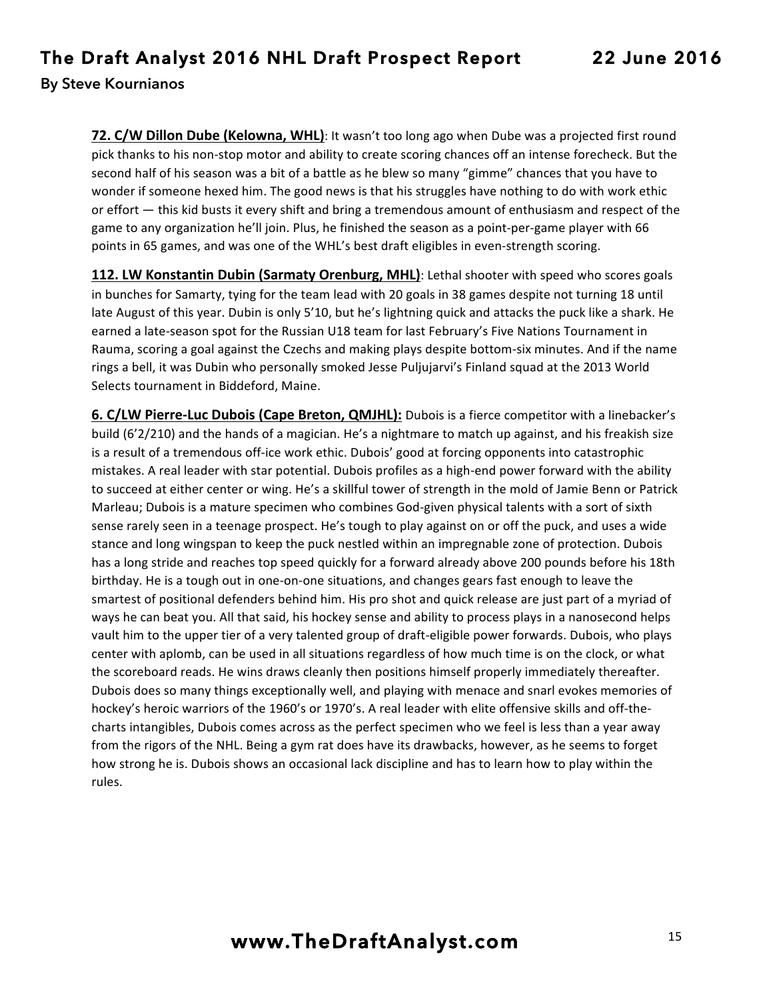**72. C/W Dillon Dube (Kelowna, WHL)**: It wasn't too long ago when Dube was a projected first round pick thanks to his non-stop motor and ability to create scoring chances off an intense forecheck. But the second half of his season was a bit of a battle as he blew so many "gimme" chances that you have to wonder if someone hexed him. The good news is that his struggles have nothing to do with work ethic or effort — this kid busts it every shift and bring a tremendous amount of enthusiasm and respect of the game to any organization he'll join. Plus, he finished the season as a point-per-game player with 66 points in 65 games, and was one of the WHL's best draft eligibles in even-strength scoring.

**112. LW Konstantin Dubin (Sarmaty Orenburg, MHL)**: Lethal shooter with speed who scores goals in bunches for Samarty, tying for the team lead with 20 goals in 38 games despite not turning 18 until late August of this year. Dubin is only 5'10, but he's lightning quick and attacks the puck like a shark. He earned a late-season spot for the Russian U18 team for last February's Five Nations Tournament in Rauma, scoring a goal against the Czechs and making plays despite bottom-six minutes. And if the name rings a bell, it was Dubin who personally smoked Jesse Puljujarvi's Finland squad at the 2013 World Selects tournament in Biddeford, Maine.

**6.** C/LW Pierre-Luc Dubois (Cape Breton, QMJHL): Dubois is a fierce competitor with a linebacker's build (6'2/210) and the hands of a magician. He's a nightmare to match up against, and his freakish size is a result of a tremendous off-ice work ethic. Dubois' good at forcing opponents into catastrophic mistakes. A real leader with star potential. Dubois profiles as a high-end power forward with the ability to succeed at either center or wing. He's a skillful tower of strength in the mold of Jamie Benn or Patrick Marleau; Dubois is a mature specimen who combines God-given physical talents with a sort of sixth sense rarely seen in a teenage prospect. He's tough to play against on or off the puck, and uses a wide stance and long wingspan to keep the puck nestled within an impregnable zone of protection. Dubois has a long stride and reaches top speed quickly for a forward already above 200 pounds before his 18th birthday. He is a tough out in one-on-one situations, and changes gears fast enough to leave the smartest of positional defenders behind him. His pro shot and quick release are just part of a myriad of ways he can beat you. All that said, his hockey sense and ability to process plays in a nanosecond helps vault him to the upper tier of a very talented group of draft-eligible power forwards. Dubois, who plays center with aplomb, can be used in all situations regardless of how much time is on the clock, or what the scoreboard reads. He wins draws cleanly then positions himself properly immediately thereafter. Dubois does so many things exceptionally well, and playing with menace and snarl evokes memories of hockey's heroic warriors of the 1960's or 1970's. A real leader with elite offensive skills and off-thecharts intangibles, Dubois comes across as the perfect specimen who we feel is less than a year away from the rigors of the NHL. Being a gym rat does have its drawbacks, however, as he seems to forget how strong he is. Dubois shows an occasional lack discipline and has to learn how to play within the rules.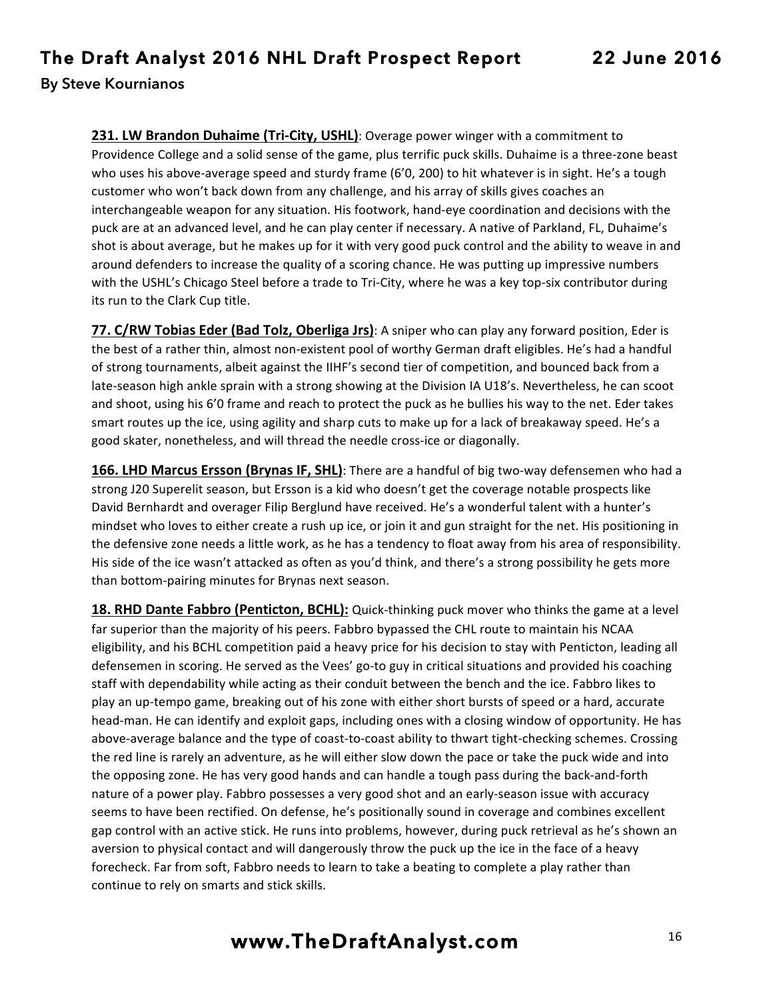**231. LW Brandon Duhaime (Tri-City, USHL)**: Overage power winger with a commitment to Providence College and a solid sense of the game, plus terrific puck skills. Duhaime is a three-zone beast who uses his above-average speed and sturdy frame (6'0, 200) to hit whatever is in sight. He's a tough customer who won't back down from any challenge, and his array of skills gives coaches an interchangeable weapon for any situation. His footwork, hand-eye coordination and decisions with the puck are at an advanced level, and he can play center if necessary. A native of Parkland, FL, Duhaime's shot is about average, but he makes up for it with very good puck control and the ability to weave in and around defenders to increase the quality of a scoring chance. He was putting up impressive numbers with the USHL's Chicago Steel before a trade to Tri-City, where he was a key top-six contributor during its run to the Clark Cup title.

**77. C/RW Tobias Eder (Bad Tolz, Oberliga Jrs)**: A sniper who can play any forward position, Eder is the best of a rather thin, almost non-existent pool of worthy German draft eligibles. He's had a handful of strong tournaments, albeit against the IIHF's second tier of competition, and bounced back from a late-season high ankle sprain with a strong showing at the Division IA U18's. Nevertheless, he can scoot and shoot, using his 6'0 frame and reach to protect the puck as he bullies his way to the net. Eder takes smart routes up the ice, using agility and sharp cuts to make up for a lack of breakaway speed. He's a good skater, nonetheless, and will thread the needle cross-ice or diagonally.

**166. LHD Marcus Ersson (Brynas IF, SHL)**: There are a handful of big two-way defensemen who had a strong J20 Superelit season, but Ersson is a kid who doesn't get the coverage notable prospects like David Bernhardt and overager Filip Berglund have received. He's a wonderful talent with a hunter's mindset who loves to either create a rush up ice, or join it and gun straight for the net. His positioning in the defensive zone needs a little work, as he has a tendency to float away from his area of responsibility. His side of the ice wasn't attacked as often as you'd think, and there's a strong possibility he gets more than bottom-pairing minutes for Brynas next season.

**18. RHD Dante Fabbro (Penticton, BCHL):** Quick-thinking puck mover who thinks the game at a level far superior than the majority of his peers. Fabbro bypassed the CHL route to maintain his NCAA eligibility, and his BCHL competition paid a heavy price for his decision to stay with Penticton, leading all defensemen in scoring. He served as the Vees' go-to guy in critical situations and provided his coaching staff with dependability while acting as their conduit between the bench and the ice. Fabbro likes to play an up-tempo game, breaking out of his zone with either short bursts of speed or a hard, accurate head-man. He can identify and exploit gaps, including ones with a closing window of opportunity. He has above-average balance and the type of coast-to-coast ability to thwart tight-checking schemes. Crossing the red line is rarely an adventure, as he will either slow down the pace or take the puck wide and into the opposing zone. He has very good hands and can handle a tough pass during the back-and-forth nature of a power play. Fabbro possesses a very good shot and an early-season issue with accuracy seems to have been rectified. On defense, he's positionally sound in coverage and combines excellent gap control with an active stick. He runs into problems, however, during puck retrieval as he's shown an aversion to physical contact and will dangerously throw the puck up the ice in the face of a heavy forecheck. Far from soft, Fabbro needs to learn to take a beating to complete a play rather than continue to rely on smarts and stick skills.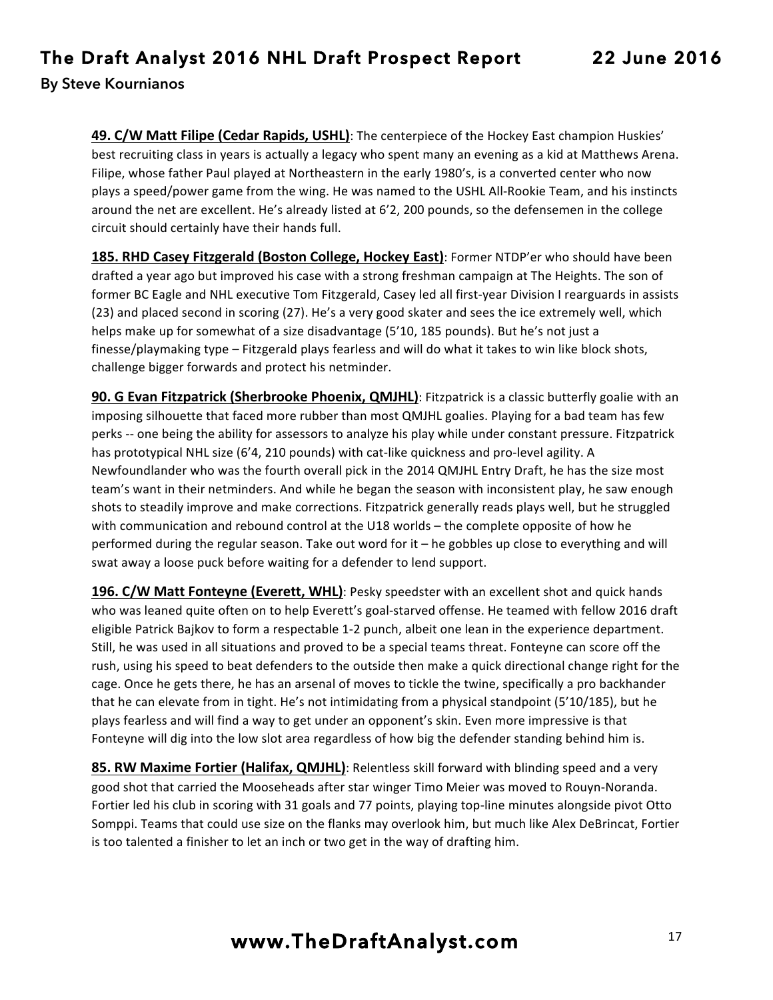## **The Draft Analyst 2016 NHL Draft Prospect Report 22 June 2016**

**By Steve Kournianos** 

**49. C/W Matt Filipe (Cedar Rapids, USHL)**: The centerpiece of the Hockey East champion Huskies' best recruiting class in years is actually a legacy who spent many an evening as a kid at Matthews Arena. Filipe, whose father Paul played at Northeastern in the early 1980's, is a converted center who now plays a speed/power game from the wing. He was named to the USHL All-Rookie Team, and his instincts around the net are excellent. He's already listed at 6'2, 200 pounds, so the defensemen in the college circuit should certainly have their hands full.

**185. RHD Casey Fitzgerald (Boston College, Hockey East)**: Former NTDP'er who should have been drafted a year ago but improved his case with a strong freshman campaign at The Heights. The son of former BC Eagle and NHL executive Tom Fitzgerald, Casey led all first-year Division I rearguards in assists (23) and placed second in scoring (27). He's a very good skater and sees the ice extremely well, which helps make up for somewhat of a size disadvantage (5'10, 185 pounds). But he's not just a finesse/playmaking type – Fitzgerald plays fearless and will do what it takes to win like block shots, challenge bigger forwards and protect his netminder.

**90. G Evan Fitzpatrick (Sherbrooke Phoenix, QMJHL)**: Fitzpatrick is a classic butterfly goalie with an imposing silhouette that faced more rubber than most QMJHL goalies. Playing for a bad team has few perks -- one being the ability for assessors to analyze his play while under constant pressure. Fitzpatrick has prototypical NHL size (6'4, 210 pounds) with cat-like quickness and pro-level agility. A Newfoundlander who was the fourth overall pick in the 2014 QMJHL Entry Draft, he has the size most team's want in their netminders. And while he began the season with inconsistent play, he saw enough shots to steadily improve and make corrections. Fitzpatrick generally reads plays well, but he struggled with communication and rebound control at the U18 worlds – the complete opposite of how he performed during the regular season. Take out word for it  $-$  he gobbles up close to everything and will swat away a loose puck before waiting for a defender to lend support.

**196. C/W Matt Fonteyne (Everett, WHL)**: Pesky speedster with an excellent shot and quick hands who was leaned quite often on to help Everett's goal-starved offense. He teamed with fellow 2016 draft eligible Patrick Bajkov to form a respectable 1-2 punch, albeit one lean in the experience department. Still, he was used in all situations and proved to be a special teams threat. Fonteyne can score off the rush, using his speed to beat defenders to the outside then make a quick directional change right for the cage. Once he gets there, he has an arsenal of moves to tickle the twine, specifically a pro backhander that he can elevate from in tight. He's not intimidating from a physical standpoint (5'10/185), but he plays fearless and will find a way to get under an opponent's skin. Even more impressive is that Fonteyne will dig into the low slot area regardless of how big the defender standing behind him is.

**85. RW Maxime Fortier (Halifax, QMJHL)**: Relentless skill forward with blinding speed and a very good shot that carried the Mooseheads after star winger Timo Meier was moved to Rouyn-Noranda. Fortier led his club in scoring with 31 goals and 77 points, playing top-line minutes alongside pivot Otto Somppi. Teams that could use size on the flanks may overlook him, but much like Alex DeBrincat, Fortier is too talented a finisher to let an inch or two get in the way of drafting him.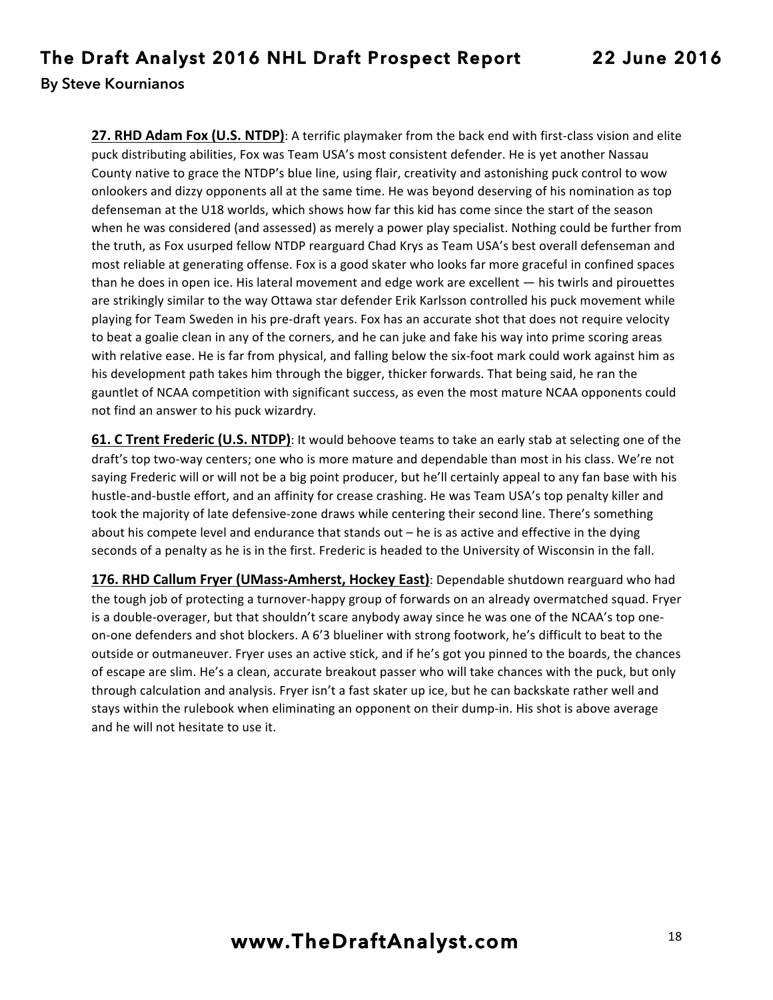**27. RHD Adam Fox (U.S. NTDP)**: A terrific playmaker from the back end with first-class vision and elite puck distributing abilities, Fox was Team USA's most consistent defender. He is yet another Nassau County native to grace the NTDP's blue line, using flair, creativity and astonishing puck control to wow onlookers and dizzy opponents all at the same time. He was beyond deserving of his nomination as top defenseman at the U18 worlds, which shows how far this kid has come since the start of the season when he was considered (and assessed) as merely a power play specialist. Nothing could be further from the truth, as Fox usurped fellow NTDP rearguard Chad Krys as Team USA's best overall defenseman and most reliable at generating offense. Fox is a good skater who looks far more graceful in confined spaces than he does in open ice. His lateral movement and edge work are excellent  $-$  his twirls and pirouettes are strikingly similar to the way Ottawa star defender Erik Karlsson controlled his puck movement while playing for Team Sweden in his pre-draft years. Fox has an accurate shot that does not require velocity to beat a goalie clean in any of the corners, and he can juke and fake his way into prime scoring areas with relative ease. He is far from physical, and falling below the six-foot mark could work against him as his development path takes him through the bigger, thicker forwards. That being said, he ran the gauntlet of NCAA competition with significant success, as even the most mature NCAA opponents could not find an answer to his puck wizardry.

**61. C Trent Frederic (U.S. NTDP)**: It would behoove teams to take an early stab at selecting one of the draft's top two-way centers; one who is more mature and dependable than most in his class. We're not saying Frederic will or will not be a big point producer, but he'll certainly appeal to any fan base with his hustle-and-bustle effort, and an affinity for crease crashing. He was Team USA's top penalty killer and took the majority of late defensive-zone draws while centering their second line. There's something about his compete level and endurance that stands out  $-$  he is as active and effective in the dying seconds of a penalty as he is in the first. Frederic is headed to the University of Wisconsin in the fall.

**176. RHD Callum Fryer (UMass-Amherst, Hockey East)**: Dependable shutdown rearguard who had the tough job of protecting a turnover-happy group of forwards on an already overmatched squad. Fryer is a double-overager, but that shouldn't scare anybody away since he was one of the NCAA's top oneon-one defenders and shot blockers. A 6'3 blueliner with strong footwork, he's difficult to beat to the outside or outmaneuver. Fryer uses an active stick, and if he's got you pinned to the boards, the chances of escape are slim. He's a clean, accurate breakout passer who will take chances with the puck, but only through calculation and analysis. Fryer isn't a fast skater up ice, but he can backskate rather well and stays within the rulebook when eliminating an opponent on their dump-in. His shot is above average and he will not hesitate to use it.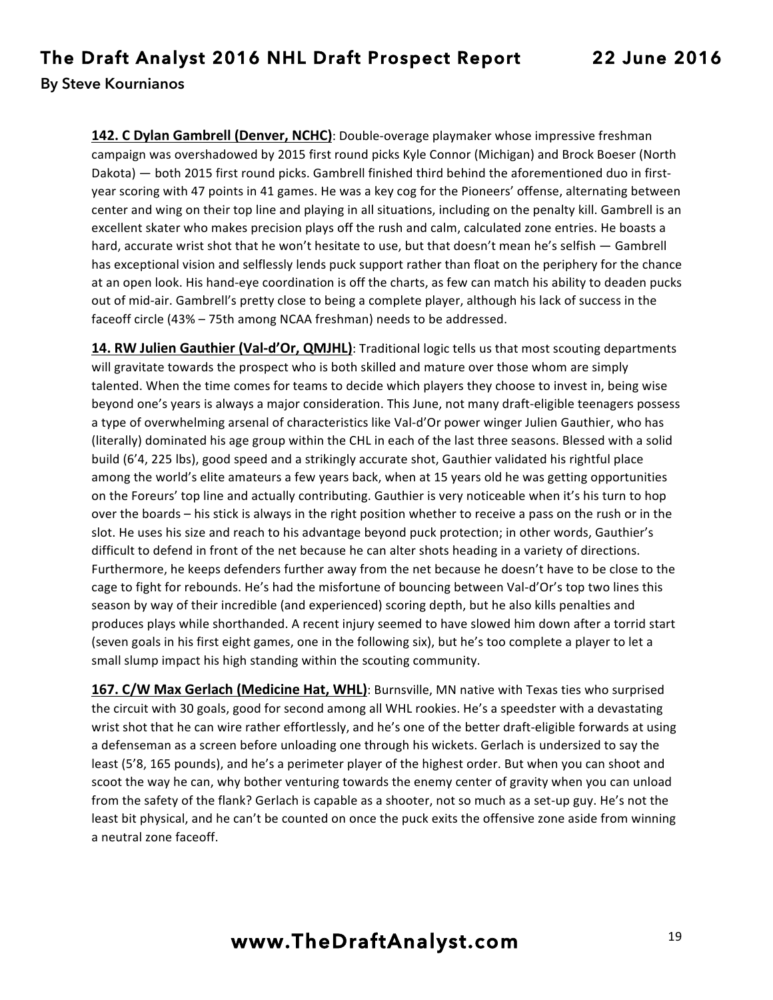**142. C Dylan Gambrell (Denver, NCHC)**: Double-overage playmaker whose impressive freshman campaign was overshadowed by 2015 first round picks Kyle Connor (Michigan) and Brock Boeser (North Dakota) — both 2015 first round picks. Gambrell finished third behind the aforementioned duo in firstyear scoring with 47 points in 41 games. He was a key cog for the Pioneers' offense, alternating between center and wing on their top line and playing in all situations, including on the penalty kill. Gambrell is an excellent skater who makes precision plays off the rush and calm, calculated zone entries. He boasts a hard, accurate wrist shot that he won't hesitate to use, but that doesn't mean he's selfish - Gambrell has exceptional vision and selflessly lends puck support rather than float on the periphery for the chance at an open look. His hand-eye coordination is off the charts, as few can match his ability to deaden pucks out of mid-air. Gambrell's pretty close to being a complete player, although his lack of success in the faceoff circle (43% – 75th among NCAA freshman) needs to be addressed.

**14. RW Julien Gauthier (Val-d'Or, QMJHL)**: Traditional logic tells us that most scouting departments will gravitate towards the prospect who is both skilled and mature over those whom are simply talented. When the time comes for teams to decide which players they choose to invest in, being wise beyond one's years is always a major consideration. This June, not many draft-eligible teenagers possess a type of overwhelming arsenal of characteristics like Val-d'Or power winger Julien Gauthier, who has (literally) dominated his age group within the CHL in each of the last three seasons. Blessed with a solid build (6'4, 225 lbs), good speed and a strikingly accurate shot, Gauthier validated his rightful place among the world's elite amateurs a few years back, when at 15 years old he was getting opportunities on the Foreurs' top line and actually contributing. Gauthier is very noticeable when it's his turn to hop over the boards – his stick is always in the right position whether to receive a pass on the rush or in the slot. He uses his size and reach to his advantage beyond puck protection; in other words, Gauthier's difficult to defend in front of the net because he can alter shots heading in a variety of directions. Furthermore, he keeps defenders further away from the net because he doesn't have to be close to the cage to fight for rebounds. He's had the misfortune of bouncing between Val-d'Or's top two lines this season by way of their incredible (and experienced) scoring depth, but he also kills penalties and produces plays while shorthanded. A recent injury seemed to have slowed him down after a torrid start (seven goals in his first eight games, one in the following six), but he's too complete a player to let a small slump impact his high standing within the scouting community.

**167. C/W Max Gerlach (Medicine Hat, WHL)**: Burnsville, MN native with Texas ties who surprised the circuit with 30 goals, good for second among all WHL rookies. He's a speedster with a devastating wrist shot that he can wire rather effortlessly, and he's one of the better draft-eligible forwards at using a defenseman as a screen before unloading one through his wickets. Gerlach is undersized to say the least (5'8, 165 pounds), and he's a perimeter player of the highest order. But when you can shoot and scoot the way he can, why bother venturing towards the enemy center of gravity when you can unload from the safety of the flank? Gerlach is capable as a shooter, not so much as a set-up guy. He's not the least bit physical, and he can't be counted on once the puck exits the offensive zone aside from winning a neutral zone faceoff.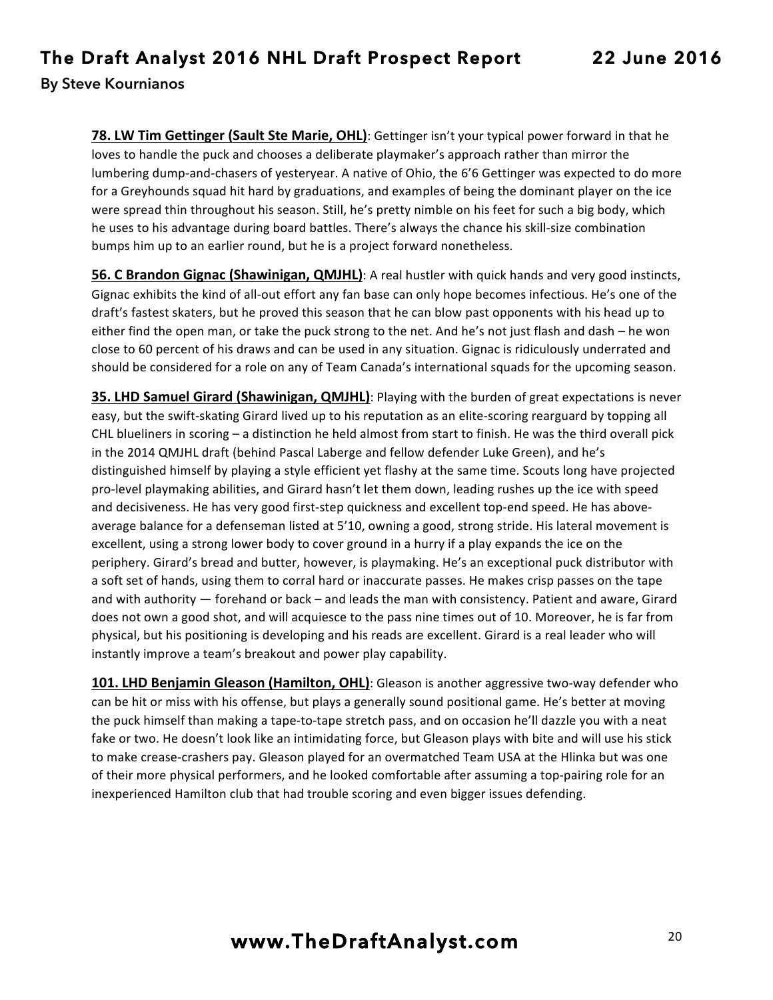**78. LW Tim Gettinger (Sault Ste Marie, OHL)**: Gettinger isn't your typical power forward in that he loves to handle the puck and chooses a deliberate playmaker's approach rather than mirror the lumbering dump-and-chasers of yesteryear. A native of Ohio, the 6'6 Gettinger was expected to do more for a Greyhounds squad hit hard by graduations, and examples of being the dominant player on the ice were spread thin throughout his season. Still, he's pretty nimble on his feet for such a big body, which he uses to his advantage during board battles. There's always the chance his skill-size combination bumps him up to an earlier round, but he is a project forward nonetheless.

**56. C Brandon Gignac (Shawinigan, QMJHL)**: A real hustler with quick hands and very good instincts, Gignac exhibits the kind of all-out effort any fan base can only hope becomes infectious. He's one of the draft's fastest skaters, but he proved this season that he can blow past opponents with his head up to either find the open man, or take the puck strong to the net. And he's not just flash and dash – he won close to 60 percent of his draws and can be used in any situation. Gignac is ridiculously underrated and should be considered for a role on any of Team Canada's international squads for the upcoming season.

**35. LHD Samuel Girard (Shawinigan, QMJHL)**: Playing with the burden of great expectations is never easy, but the swift-skating Girard lived up to his reputation as an elite-scoring rearguard by topping all CHL blueliners in scoring  $-$  a distinction he held almost from start to finish. He was the third overall pick in the 2014 QMJHL draft (behind Pascal Laberge and fellow defender Luke Green), and he's distinguished himself by playing a style efficient yet flashy at the same time. Scouts long have projected pro-level playmaking abilities, and Girard hasn't let them down, leading rushes up the ice with speed and decisiveness. He has very good first-step quickness and excellent top-end speed. He has aboveaverage balance for a defenseman listed at 5'10, owning a good, strong stride. His lateral movement is excellent, using a strong lower body to cover ground in a hurry if a play expands the ice on the periphery. Girard's bread and butter, however, is playmaking. He's an exceptional puck distributor with a soft set of hands, using them to corral hard or inaccurate passes. He makes crisp passes on the tape and with authority  $-$  forehand or back  $-$  and leads the man with consistency. Patient and aware, Girard does not own a good shot, and will acquiesce to the pass nine times out of 10. Moreover, he is far from physical, but his positioning is developing and his reads are excellent. Girard is a real leader who will instantly improve a team's breakout and power play capability.

101. LHD Benjamin Gleason (Hamilton, OHL): Gleason is another aggressive two-way defender who can be hit or miss with his offense, but plays a generally sound positional game. He's better at moving the puck himself than making a tape-to-tape stretch pass, and on occasion he'll dazzle you with a neat fake or two. He doesn't look like an intimidating force, but Gleason plays with bite and will use his stick to make crease-crashers pay. Gleason played for an overmatched Team USA at the Hlinka but was one of their more physical performers, and he looked comfortable after assuming a top-pairing role for an inexperienced Hamilton club that had trouble scoring and even bigger issues defending.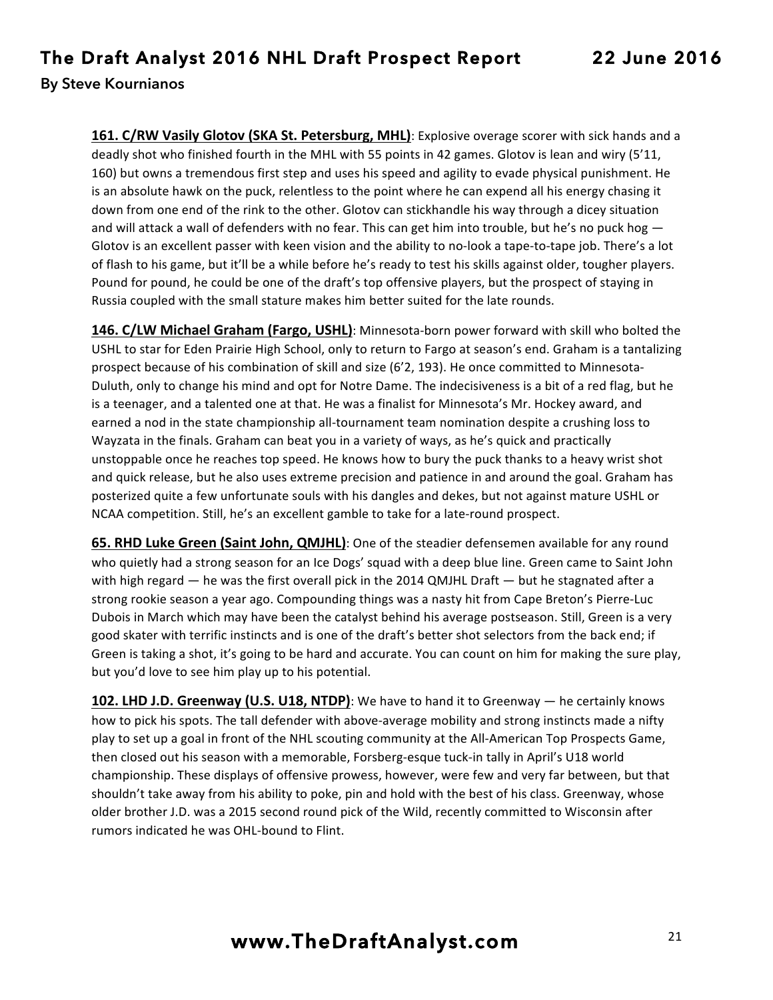**161. C/RW Vasily Glotov (SKA St. Petersburg, MHL)**: Explosive overage scorer with sick hands and a deadly shot who finished fourth in the MHL with 55 points in 42 games. Glotov is lean and wiry (5'11, 160) but owns a tremendous first step and uses his speed and agility to evade physical punishment. He is an absolute hawk on the puck, relentless to the point where he can expend all his energy chasing it down from one end of the rink to the other. Glotov can stickhandle his way through a dicey situation and will attack a wall of defenders with no fear. This can get him into trouble, but he's no puck hog  $-$ Glotov is an excellent passer with keen vision and the ability to no-look a tape-to-tape job. There's a lot of flash to his game, but it'll be a while before he's ready to test his skills against older, tougher players. Pound for pound, he could be one of the draft's top offensive players, but the prospect of staying in Russia coupled with the small stature makes him better suited for the late rounds.

**146. C/LW Michael Graham (Fargo, USHL)**: Minnesota-born power forward with skill who bolted the USHL to star for Eden Prairie High School, only to return to Fargo at season's end. Graham is a tantalizing prospect because of his combination of skill and size (6'2, 193). He once committed to Minnesota-Duluth, only to change his mind and opt for Notre Dame. The indecisiveness is a bit of a red flag, but he is a teenager, and a talented one at that. He was a finalist for Minnesota's Mr. Hockey award, and earned a nod in the state championship all-tournament team nomination despite a crushing loss to Wayzata in the finals. Graham can beat you in a variety of ways, as he's quick and practically unstoppable once he reaches top speed. He knows how to bury the puck thanks to a heavy wrist shot and quick release, but he also uses extreme precision and patience in and around the goal. Graham has posterized quite a few unfortunate souls with his dangles and dekes, but not against mature USHL or NCAA competition. Still, he's an excellent gamble to take for a late-round prospect.

**65. RHD Luke Green (Saint John, QMJHL)**: One of the steadier defensemen available for any round who quietly had a strong season for an Ice Dogs' squad with a deep blue line. Green came to Saint John with high regard  $-$  he was the first overall pick in the 2014 QMJHL Draft  $-$  but he stagnated after a strong rookie season a year ago. Compounding things was a nasty hit from Cape Breton's Pierre-Luc Dubois in March which may have been the catalyst behind his average postseason. Still, Green is a very good skater with terrific instincts and is one of the draft's better shot selectors from the back end; if Green is taking a shot, it's going to be hard and accurate. You can count on him for making the sure play, but you'd love to see him play up to his potential.

**102. LHD J.D. Greenway (U.S. U18, NTDP)**: We have to hand it to Greenway — he certainly knows how to pick his spots. The tall defender with above-average mobility and strong instincts made a nifty play to set up a goal in front of the NHL scouting community at the All-American Top Prospects Game, then closed out his season with a memorable, Forsberg-esque tuck-in tally in April's U18 world championship. These displays of offensive prowess, however, were few and very far between, but that shouldn't take away from his ability to poke, pin and hold with the best of his class. Greenway, whose older brother J.D. was a 2015 second round pick of the Wild, recently committed to Wisconsin after rumors indicated he was OHL-bound to Flint.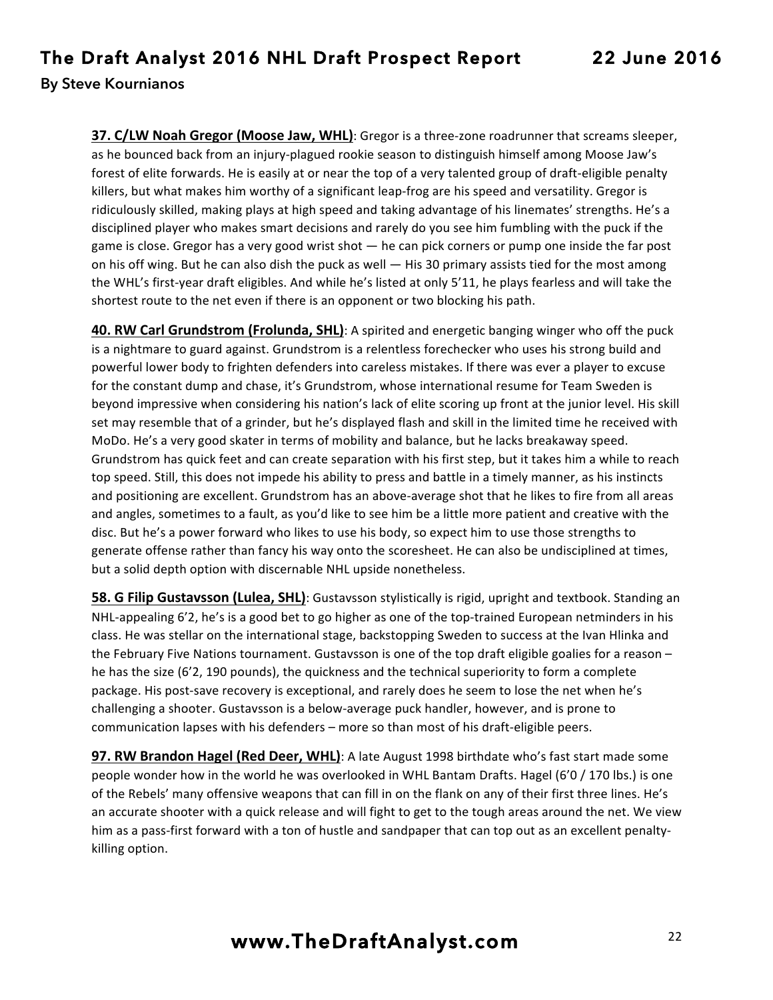**37. C/LW Noah Gregor (Moose Jaw, WHL)**: Gregor is a three-zone roadrunner that screams sleeper, as he bounced back from an injury-plagued rookie season to distinguish himself among Moose Jaw's forest of elite forwards. He is easily at or near the top of a very talented group of draft-eligible penalty killers, but what makes him worthy of a significant leap-frog are his speed and versatility. Gregor is ridiculously skilled, making plays at high speed and taking advantage of his linemates' strengths. He's a disciplined player who makes smart decisions and rarely do you see him fumbling with the puck if the game is close. Gregor has a very good wrist shot — he can pick corners or pump one inside the far post on his off wing. But he can also dish the puck as well — His 30 primary assists tied for the most among the WHL's first-year draft eligibles. And while he's listed at only 5'11, he plays fearless and will take the shortest route to the net even if there is an opponent or two blocking his path.

**40. RW Carl Grundstrom (Frolunda, SHL)**: A spirited and energetic banging winger who off the puck is a nightmare to guard against. Grundstrom is a relentless forechecker who uses his strong build and powerful lower body to frighten defenders into careless mistakes. If there was ever a player to excuse for the constant dump and chase, it's Grundstrom, whose international resume for Team Sweden is beyond impressive when considering his nation's lack of elite scoring up front at the junior level. His skill set may resemble that of a grinder, but he's displayed flash and skill in the limited time he received with MoDo. He's a very good skater in terms of mobility and balance, but he lacks breakaway speed. Grundstrom has quick feet and can create separation with his first step, but it takes him a while to reach top speed. Still, this does not impede his ability to press and battle in a timely manner, as his instincts and positioning are excellent. Grundstrom has an above-average shot that he likes to fire from all areas and angles, sometimes to a fault, as you'd like to see him be a little more patient and creative with the disc. But he's a power forward who likes to use his body, so expect him to use those strengths to generate offense rather than fancy his way onto the scoresheet. He can also be undisciplined at times, but a solid depth option with discernable NHL upside nonetheless.

**58. G Filip Gustavsson (Lulea, SHL)**: Gustavsson stylistically is rigid, upright and textbook. Standing an NHL-appealing 6'2, he's is a good bet to go higher as one of the top-trained European netminders in his class. He was stellar on the international stage, backstopping Sweden to success at the Ivan Hlinka and the February Five Nations tournament. Gustavsson is one of the top draft eligible goalies for a reason  $$ he has the size (6'2, 190 pounds), the quickness and the technical superiority to form a complete package. His post-save recovery is exceptional, and rarely does he seem to lose the net when he's challenging a shooter. Gustavsson is a below-average puck handler, however, and is prone to communication lapses with his defenders - more so than most of his draft-eligible peers.

**97. RW Brandon Hagel (Red Deer, WHL)**: A late August 1998 birthdate who's fast start made some people wonder how in the world he was overlooked in WHL Bantam Drafts. Hagel (6'0 / 170 lbs.) is one of the Rebels' many offensive weapons that can fill in on the flank on any of their first three lines. He's an accurate shooter with a quick release and will fight to get to the tough areas around the net. We view him as a pass-first forward with a ton of hustle and sandpaper that can top out as an excellent penaltykilling option.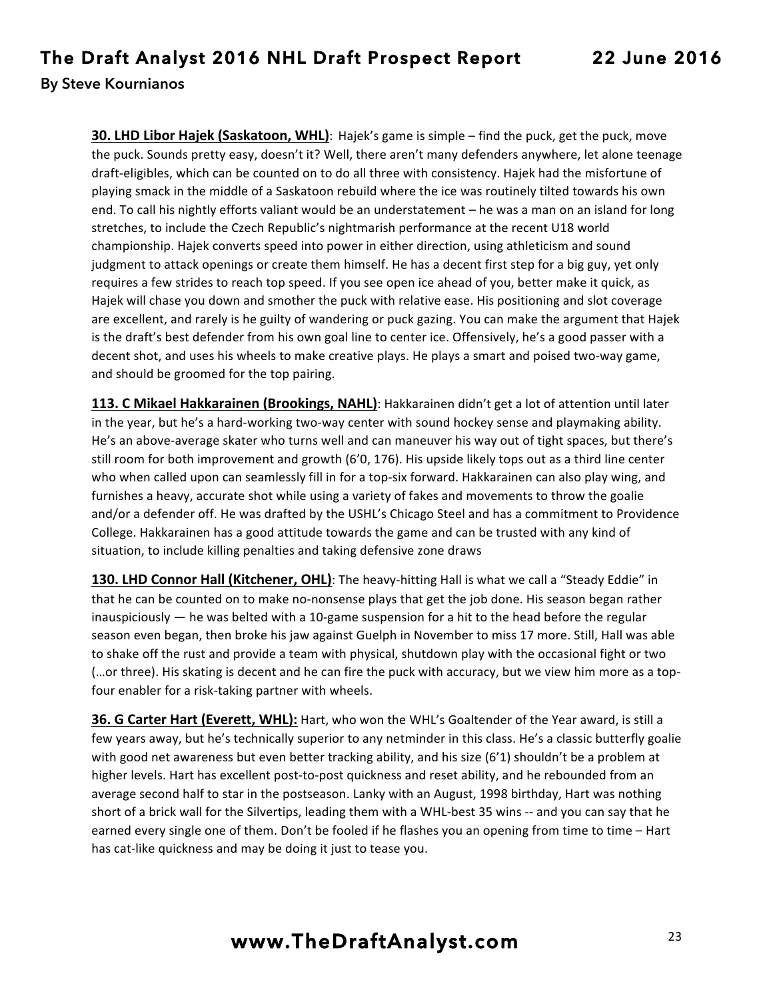**30. LHD Libor Hajek (Saskatoon, WHL)**: Hajek's game is simple – find the puck, get the puck, move the puck. Sounds pretty easy, doesn't it? Well, there aren't many defenders anywhere, let alone teenage draft-eligibles, which can be counted on to do all three with consistency. Hajek had the misfortune of playing smack in the middle of a Saskatoon rebuild where the ice was routinely tilted towards his own end. To call his nightly efforts valiant would be an understatement – he was a man on an island for long stretches, to include the Czech Republic's nightmarish performance at the recent U18 world championship. Hajek converts speed into power in either direction, using athleticism and sound judgment to attack openings or create them himself. He has a decent first step for a big guy, yet only requires a few strides to reach top speed. If you see open ice ahead of you, better make it quick, as Hajek will chase you down and smother the puck with relative ease. His positioning and slot coverage are excellent, and rarely is he guilty of wandering or puck gazing. You can make the argument that Hajek is the draft's best defender from his own goal line to center ice. Offensively, he's a good passer with a decent shot, and uses his wheels to make creative plays. He plays a smart and poised two-way game, and should be groomed for the top pairing.

**113. C Mikael Hakkarainen (Brookings, NAHL)**: Hakkarainen didn't get a lot of attention until later in the year, but he's a hard-working two-way center with sound hockey sense and playmaking ability. He's an above-average skater who turns well and can maneuver his way out of tight spaces, but there's still room for both improvement and growth (6'0, 176). His upside likely tops out as a third line center who when called upon can seamlessly fill in for a top-six forward. Hakkarainen can also play wing, and furnishes a heavy, accurate shot while using a variety of fakes and movements to throw the goalie and/or a defender off. He was drafted by the USHL's Chicago Steel and has a commitment to Providence College. Hakkarainen has a good attitude towards the game and can be trusted with any kind of situation, to include killing penalties and taking defensive zone draws

**130. LHD Connor Hall (Kitchener, OHL)**: The heavy-hitting Hall is what we call a "Steady Eddie" in that he can be counted on to make no-nonsense plays that get the job done. His season began rather inauspiciously  $-$  he was belted with a 10-game suspension for a hit to the head before the regular season even began, then broke his jaw against Guelph in November to miss 17 more. Still, Hall was able to shake off the rust and provide a team with physical, shutdown play with the occasional fight or two (...or three). His skating is decent and he can fire the puck with accuracy, but we view him more as a topfour enabler for a risk-taking partner with wheels.

**36. G Carter Hart (Everett, WHL):** Hart, who won the WHL's Goaltender of the Year award, is still a few years away, but he's technically superior to any netminder in this class. He's a classic butterfly goalie with good net awareness but even better tracking ability, and his size  $(6'1)$  shouldn't be a problem at higher levels. Hart has excellent post-to-post quickness and reset ability, and he rebounded from an average second half to star in the postseason. Lanky with an August, 1998 birthday, Hart was nothing short of a brick wall for the Silvertips, leading them with a WHL-best 35 wins -- and you can say that he earned every single one of them. Don't be fooled if he flashes you an opening from time to time – Hart has cat-like quickness and may be doing it just to tease you.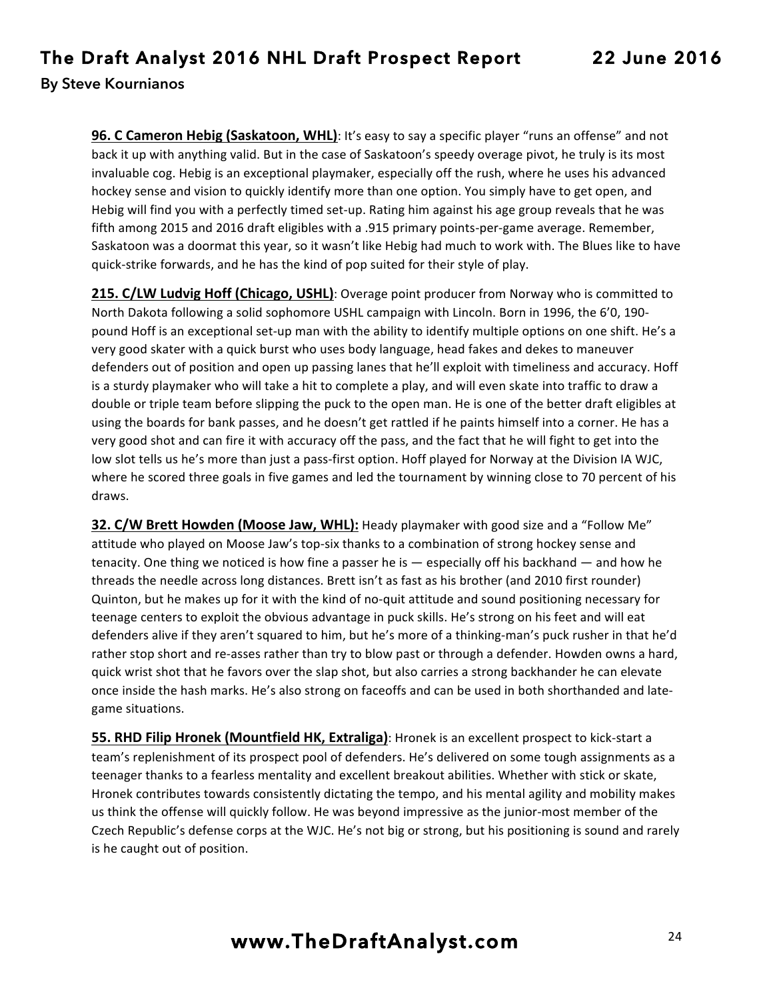**96. C Cameron Hebig (Saskatoon, WHL)**: It's easy to say a specific player "runs an offense" and not back it up with anything valid. But in the case of Saskatoon's speedy overage pivot, he truly is its most invaluable cog. Hebig is an exceptional playmaker, especially off the rush, where he uses his advanced hockey sense and vision to quickly identify more than one option. You simply have to get open, and Hebig will find you with a perfectly timed set-up. Rating him against his age group reveals that he was fifth among 2015 and 2016 draft eligibles with a .915 primary points-per-game average. Remember, Saskatoon was a doormat this year, so it wasn't like Hebig had much to work with. The Blues like to have quick-strike forwards, and he has the kind of pop suited for their style of play.

**215. C/LW Ludvig Hoff (Chicago, USHL)**: Overage point producer from Norway who is committed to North Dakota following a solid sophomore USHL campaign with Lincoln. Born in 1996, the 6'0, 190pound Hoff is an exceptional set-up man with the ability to identify multiple options on one shift. He's a very good skater with a quick burst who uses body language, head fakes and dekes to maneuver defenders out of position and open up passing lanes that he'll exploit with timeliness and accuracy. Hoff is a sturdy playmaker who will take a hit to complete a play, and will even skate into traffic to draw a double or triple team before slipping the puck to the open man. He is one of the better draft eligibles at using the boards for bank passes, and he doesn't get rattled if he paints himself into a corner. He has a very good shot and can fire it with accuracy off the pass, and the fact that he will fight to get into the low slot tells us he's more than just a pass-first option. Hoff played for Norway at the Division IA WJC, where he scored three goals in five games and led the tournament by winning close to 70 percent of his draws.

**32. C/W Brett Howden (Moose Jaw, WHL):** Heady playmaker with good size and a "Follow Me" attitude who played on Moose Jaw's top-six thanks to a combination of strong hockey sense and tenacity. One thing we noticed is how fine a passer he is  $-$  especially off his backhand  $-$  and how he threads the needle across long distances. Brett isn't as fast as his brother (and 2010 first rounder) Quinton, but he makes up for it with the kind of no-quit attitude and sound positioning necessary for teenage centers to exploit the obvious advantage in puck skills. He's strong on his feet and will eat defenders alive if they aren't squared to him, but he's more of a thinking-man's puck rusher in that he'd rather stop short and re-asses rather than try to blow past or through a defender. Howden owns a hard, quick wrist shot that he favors over the slap shot, but also carries a strong backhander he can elevate once inside the hash marks. He's also strong on faceoffs and can be used in both shorthanded and lategame situations.

**55. RHD Filip Hronek (Mountfield HK, Extraliga)**: Hronek is an excellent prospect to kick-start a team's replenishment of its prospect pool of defenders. He's delivered on some tough assignments as a teenager thanks to a fearless mentality and excellent breakout abilities. Whether with stick or skate, Hronek contributes towards consistently dictating the tempo, and his mental agility and mobility makes us think the offense will quickly follow. He was beyond impressive as the junior-most member of the Czech Republic's defense corps at the WJC. He's not big or strong, but his positioning is sound and rarely is he caught out of position.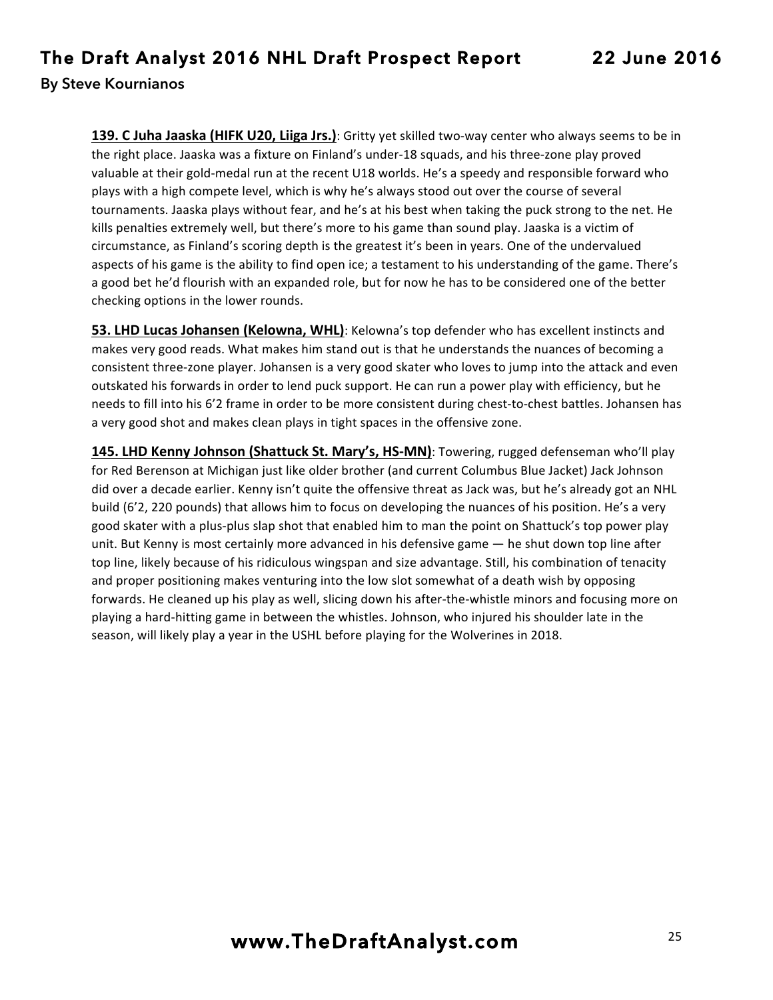**139. C Juha Jaaska (HIFK U20, Liiga Jrs.)**: Gritty yet skilled two-way center who always seems to be in the right place. Jaaska was a fixture on Finland's under-18 squads, and his three-zone play proved valuable at their gold-medal run at the recent U18 worlds. He's a speedy and responsible forward who plays with a high compete level, which is why he's always stood out over the course of several tournaments. Jaaska plays without fear, and he's at his best when taking the puck strong to the net. He kills penalties extremely well, but there's more to his game than sound play. Jaaska is a victim of circumstance, as Finland's scoring depth is the greatest it's been in years. One of the undervalued aspects of his game is the ability to find open ice; a testament to his understanding of the game. There's a good bet he'd flourish with an expanded role, but for now he has to be considered one of the better checking options in the lower rounds.

**53. LHD Lucas Johansen (Kelowna, WHL)**: Kelowna's top defender who has excellent instincts and makes very good reads. What makes him stand out is that he understands the nuances of becoming a consistent three-zone player. Johansen is a very good skater who loves to jump into the attack and even outskated his forwards in order to lend puck support. He can run a power play with efficiency, but he needs to fill into his 6'2 frame in order to be more consistent during chest-to-chest battles. Johansen has a very good shot and makes clean plays in tight spaces in the offensive zone.

**145. LHD Kenny Johnson (Shattuck St. Mary's, HS-MN)**: Towering, rugged defenseman who'll play for Red Berenson at Michigan just like older brother (and current Columbus Blue Jacket) Jack Johnson did over a decade earlier. Kenny isn't quite the offensive threat as Jack was, but he's already got an NHL build (6'2, 220 pounds) that allows him to focus on developing the nuances of his position. He's a very good skater with a plus-plus slap shot that enabled him to man the point on Shattuck's top power play unit. But Kenny is most certainly more advanced in his defensive game — he shut down top line after top line, likely because of his ridiculous wingspan and size advantage. Still, his combination of tenacity and proper positioning makes venturing into the low slot somewhat of a death wish by opposing forwards. He cleaned up his play as well, slicing down his after-the-whistle minors and focusing more on playing a hard-hitting game in between the whistles. Johnson, who injured his shoulder late in the season, will likely play a year in the USHL before playing for the Wolverines in 2018.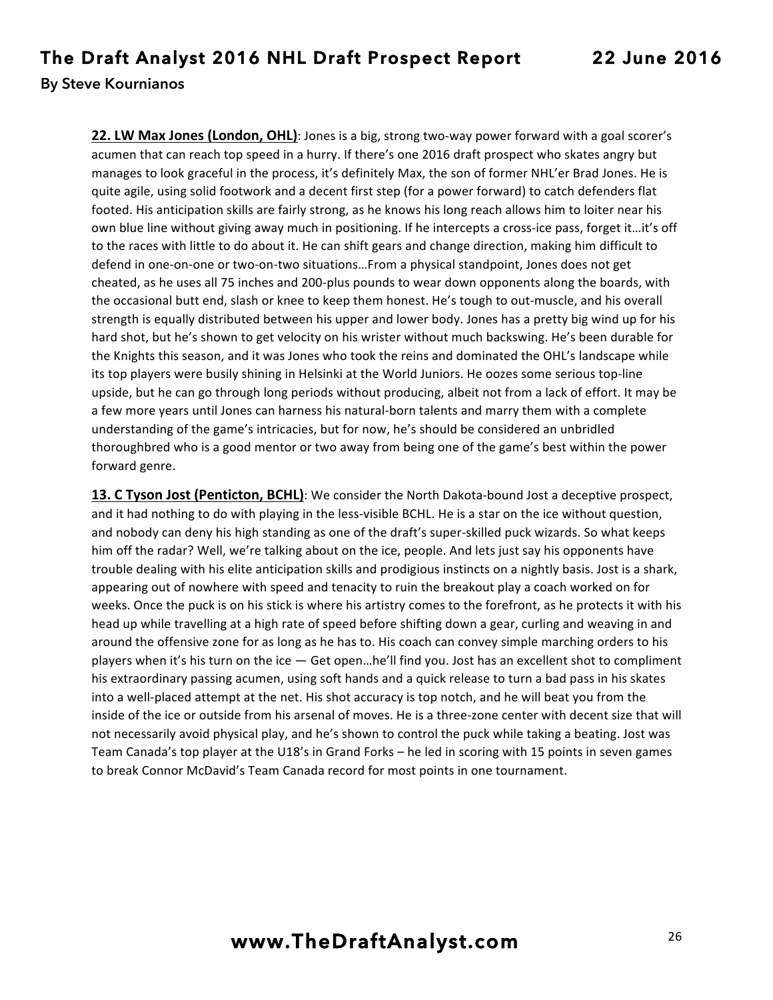**22. LW Max Jones (London, OHL)**: Jones is a big, strong two-way power forward with a goal scorer's acumen that can reach top speed in a hurry. If there's one 2016 draft prospect who skates angry but manages to look graceful in the process, it's definitely Max, the son of former NHL'er Brad Jones. He is quite agile, using solid footwork and a decent first step (for a power forward) to catch defenders flat footed. His anticipation skills are fairly strong, as he knows his long reach allows him to loiter near his own blue line without giving away much in positioning. If he intercepts a cross-ice pass, forget it...it's off to the races with little to do about it. He can shift gears and change direction, making him difficult to defend in one-on-one or two-on-two situations...From a physical standpoint, Jones does not get cheated, as he uses all 75 inches and 200-plus pounds to wear down opponents along the boards, with the occasional butt end, slash or knee to keep them honest. He's tough to out-muscle, and his overall strength is equally distributed between his upper and lower body. Jones has a pretty big wind up for his hard shot, but he's shown to get velocity on his wrister without much backswing. He's been durable for the Knights this season, and it was Jones who took the reins and dominated the OHL's landscape while its top players were busily shining in Helsinki at the World Juniors. He oozes some serious top-line upside, but he can go through long periods without producing, albeit not from a lack of effort. It may be a few more years until Jones can harness his natural-born talents and marry them with a complete understanding of the game's intricacies, but for now, he's should be considered an unbridled thoroughbred who is a good mentor or two away from being one of the game's best within the power forward genre.

**13. C Tyson Jost (Penticton, BCHL)**: We consider the North Dakota-bound Jost a deceptive prospect, and it had nothing to do with playing in the less-visible BCHL. He is a star on the ice without question, and nobody can deny his high standing as one of the draft's super-skilled puck wizards. So what keeps him off the radar? Well, we're talking about on the ice, people. And lets just say his opponents have trouble dealing with his elite anticipation skills and prodigious instincts on a nightly basis. Jost is a shark, appearing out of nowhere with speed and tenacity to ruin the breakout play a coach worked on for weeks. Once the puck is on his stick is where his artistry comes to the forefront, as he protects it with his head up while travelling at a high rate of speed before shifting down a gear, curling and weaving in and around the offensive zone for as long as he has to. His coach can convey simple marching orders to his players when it's his turn on the ice — Get open...he'll find you. Jost has an excellent shot to compliment his extraordinary passing acumen, using soft hands and a quick release to turn a bad pass in his skates into a well-placed attempt at the net. His shot accuracy is top notch, and he will beat you from the inside of the ice or outside from his arsenal of moves. He is a three-zone center with decent size that will not necessarily avoid physical play, and he's shown to control the puck while taking a beating. Jost was Team Canada's top player at the U18's in Grand Forks – he led in scoring with 15 points in seven games to break Connor McDavid's Team Canada record for most points in one tournament.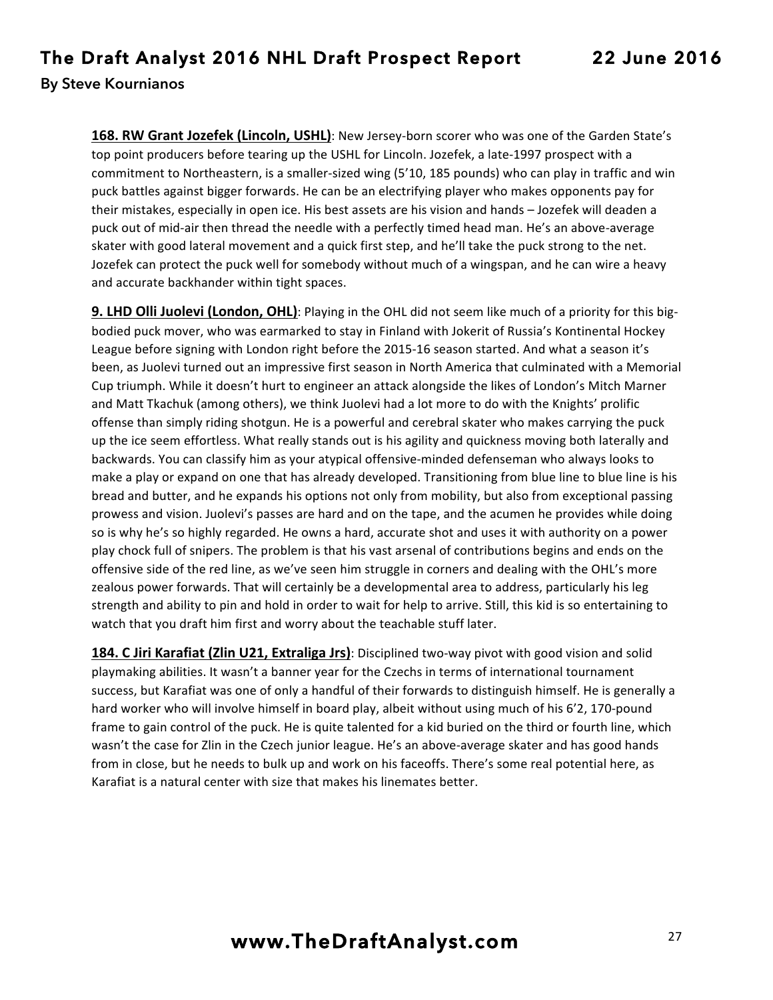**168. RW Grant Jozefek (Lincoln, USHL)**: New Jersey-born scorer who was one of the Garden State's top point producers before tearing up the USHL for Lincoln. Jozefek, a late-1997 prospect with a commitment to Northeastern, is a smaller-sized wing (5'10, 185 pounds) who can play in traffic and win puck battles against bigger forwards. He can be an electrifying player who makes opponents pay for their mistakes, especially in open ice. His best assets are his vision and hands - Jozefek will deaden a puck out of mid-air then thread the needle with a perfectly timed head man. He's an above-average skater with good lateral movement and a quick first step, and he'll take the puck strong to the net. Jozefek can protect the puck well for somebody without much of a wingspan, and he can wire a heavy and accurate backhander within tight spaces.

**9. LHD Olli Juolevi (London, OHL)**: Playing in the OHL did not seem like much of a priority for this bigbodied puck mover, who was earmarked to stay in Finland with Jokerit of Russia's Kontinental Hockey League before signing with London right before the 2015-16 season started. And what a season it's been, as Juolevi turned out an impressive first season in North America that culminated with a Memorial Cup triumph. While it doesn't hurt to engineer an attack alongside the likes of London's Mitch Marner and Matt Tkachuk (among others), we think Juolevi had a lot more to do with the Knights' prolific offense than simply riding shotgun. He is a powerful and cerebral skater who makes carrying the puck up the ice seem effortless. What really stands out is his agility and quickness moving both laterally and backwards. You can classify him as your atypical offensive-minded defenseman who always looks to make a play or expand on one that has already developed. Transitioning from blue line to blue line is his bread and butter, and he expands his options not only from mobility, but also from exceptional passing prowess and vision. Juolevi's passes are hard and on the tape, and the acumen he provides while doing so is why he's so highly regarded. He owns a hard, accurate shot and uses it with authority on a power play chock full of snipers. The problem is that his vast arsenal of contributions begins and ends on the offensive side of the red line, as we've seen him struggle in corners and dealing with the OHL's more zealous power forwards. That will certainly be a developmental area to address, particularly his leg strength and ability to pin and hold in order to wait for help to arrive. Still, this kid is so entertaining to watch that you draft him first and worry about the teachable stuff later.

**184. C Jiri Karafiat (Zlin U21, Extraliga Jrs)**: Disciplined two-way pivot with good vision and solid playmaking abilities. It wasn't a banner year for the Czechs in terms of international tournament success, but Karafiat was one of only a handful of their forwards to distinguish himself. He is generally a hard worker who will involve himself in board play, albeit without using much of his 6'2, 170-pound frame to gain control of the puck. He is quite talented for a kid buried on the third or fourth line, which wasn't the case for Zlin in the Czech junior league. He's an above-average skater and has good hands from in close, but he needs to bulk up and work on his faceoffs. There's some real potential here, as Karafiat is a natural center with size that makes his linemates better.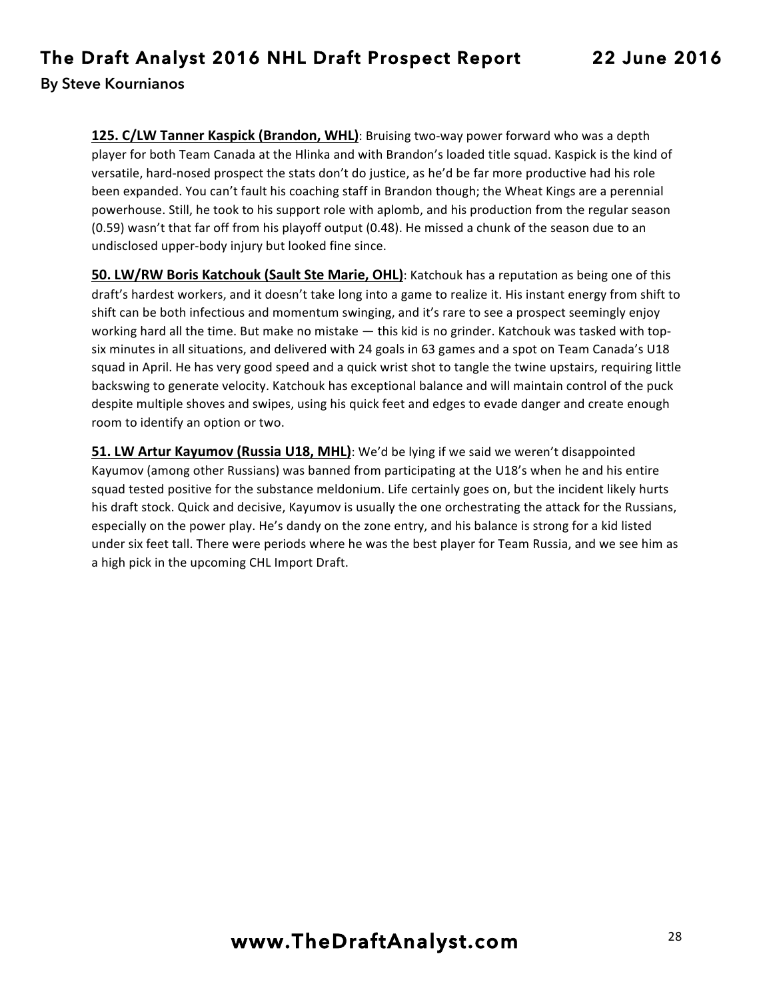**125. C/LW Tanner Kaspick (Brandon, WHL)**: Bruising two-way power forward who was a depth player for both Team Canada at the Hlinka and with Brandon's loaded title squad. Kaspick is the kind of versatile, hard-nosed prospect the stats don't do justice, as he'd be far more productive had his role been expanded. You can't fault his coaching staff in Brandon though; the Wheat Kings are a perennial powerhouse. Still, he took to his support role with aplomb, and his production from the regular season (0.59) wasn't that far off from his playoff output (0.48). He missed a chunk of the season due to an undisclosed upper-body injury but looked fine since.

**50. LW/RW Boris Katchouk (Sault Ste Marie, OHL)**: Katchouk has a reputation as being one of this draft's hardest workers, and it doesn't take long into a game to realize it. His instant energy from shift to shift can be both infectious and momentum swinging, and it's rare to see a prospect seemingly enjoy working hard all the time. But make no mistake — this kid is no grinder. Katchouk was tasked with topsix minutes in all situations, and delivered with 24 goals in 63 games and a spot on Team Canada's U18 squad in April. He has very good speed and a quick wrist shot to tangle the twine upstairs, requiring little backswing to generate velocity. Katchouk has exceptional balance and will maintain control of the puck despite multiple shoves and swipes, using his quick feet and edges to evade danger and create enough room to identify an option or two.

**51. LW Artur Kayumov (Russia U18, MHL)**: We'd be lying if we said we weren't disappointed Kayumov (among other Russians) was banned from participating at the U18's when he and his entire squad tested positive for the substance meldonium. Life certainly goes on, but the incident likely hurts his draft stock. Quick and decisive, Kayumov is usually the one orchestrating the attack for the Russians, especially on the power play. He's dandy on the zone entry, and his balance is strong for a kid listed under six feet tall. There were periods where he was the best player for Team Russia, and we see him as a high pick in the upcoming CHL Import Draft.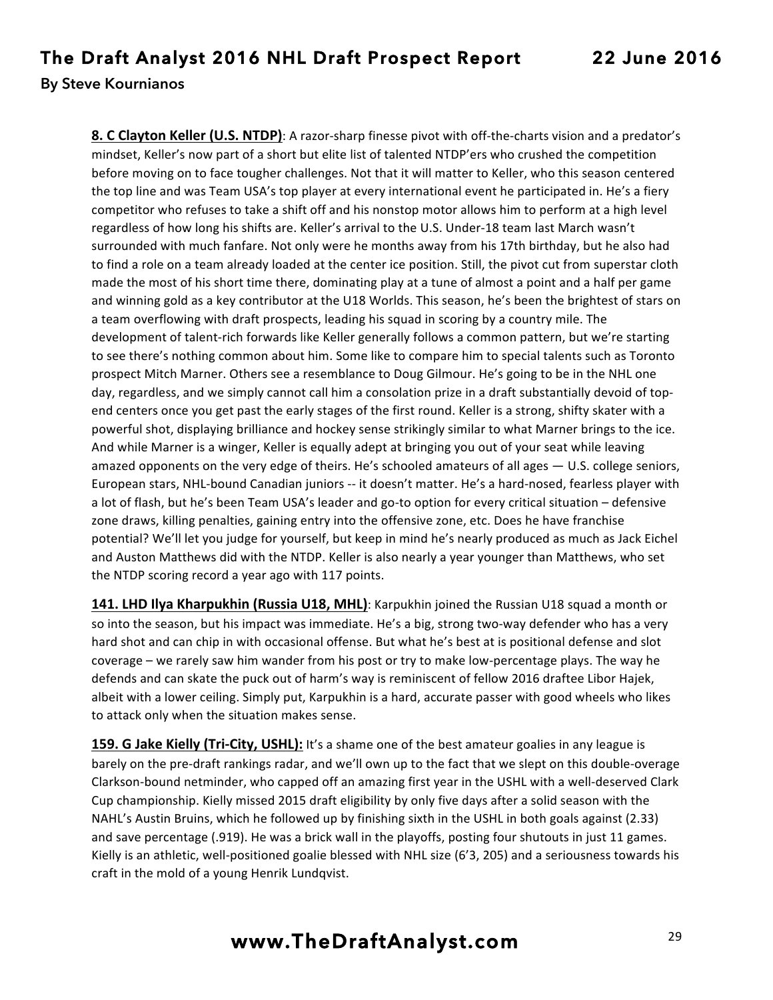**8. C Clayton Keller (U.S. NTDP)**: A razor-sharp finesse pivot with off-the-charts vision and a predator's mindset, Keller's now part of a short but elite list of talented NTDP'ers who crushed the competition before moving on to face tougher challenges. Not that it will matter to Keller, who this season centered the top line and was Team USA's top player at every international event he participated in. He's a fiery competitor who refuses to take a shift off and his nonstop motor allows him to perform at a high level regardless of how long his shifts are. Keller's arrival to the U.S. Under-18 team last March wasn't surrounded with much fanfare. Not only were he months away from his 17th birthday, but he also had to find a role on a team already loaded at the center ice position. Still, the pivot cut from superstar cloth made the most of his short time there, dominating play at a tune of almost a point and a half per game and winning gold as a key contributor at the U18 Worlds. This season, he's been the brightest of stars on a team overflowing with draft prospects, leading his squad in scoring by a country mile. The development of talent-rich forwards like Keller generally follows a common pattern, but we're starting to see there's nothing common about him. Some like to compare him to special talents such as Toronto prospect Mitch Marner. Others see a resemblance to Doug Gilmour. He's going to be in the NHL one day, regardless, and we simply cannot call him a consolation prize in a draft substantially devoid of topend centers once you get past the early stages of the first round. Keller is a strong, shifty skater with a powerful shot, displaying brilliance and hockey sense strikingly similar to what Marner brings to the ice. And while Marner is a winger, Keller is equally adept at bringing you out of your seat while leaving amazed opponents on the very edge of theirs. He's schooled amateurs of all ages  $-$  U.S. college seniors, European stars, NHL-bound Canadian juniors -- it doesn't matter. He's a hard-nosed, fearless player with a lot of flash, but he's been Team USA's leader and go-to option for every critical situation – defensive zone draws, killing penalties, gaining entry into the offensive zone, etc. Does he have franchise potential? We'll let you judge for yourself, but keep in mind he's nearly produced as much as Jack Eichel and Auston Matthews did with the NTDP. Keller is also nearly a year younger than Matthews, who set the NTDP scoring record a year ago with 117 points.

**141. LHD Ilya Kharpukhin (Russia U18, MHL)**: Karpukhin joined the Russian U18 squad a month or so into the season, but his impact was immediate. He's a big, strong two-way defender who has a very hard shot and can chip in with occasional offense. But what he's best at is positional defense and slot coverage – we rarely saw him wander from his post or try to make low-percentage plays. The way he defends and can skate the puck out of harm's way is reminiscent of fellow 2016 draftee Libor Hajek, albeit with a lower ceiling. Simply put, Karpukhin is a hard, accurate passer with good wheels who likes to attack only when the situation makes sense.

**159. G Jake Kielly (Tri-City, USHL):** It's a shame one of the best amateur goalies in any league is barely on the pre-draft rankings radar, and we'll own up to the fact that we slept on this double-overage Clarkson-bound netminder, who capped off an amazing first year in the USHL with a well-deserved Clark Cup championship. Kielly missed 2015 draft eligibility by only five days after a solid season with the NAHL's Austin Bruins, which he followed up by finishing sixth in the USHL in both goals against (2.33) and save percentage (.919). He was a brick wall in the playoffs, posting four shutouts in just 11 games. Kielly is an athletic, well-positioned goalie blessed with NHL size (6'3, 205) and a seriousness towards his craft in the mold of a young Henrik Lundqvist.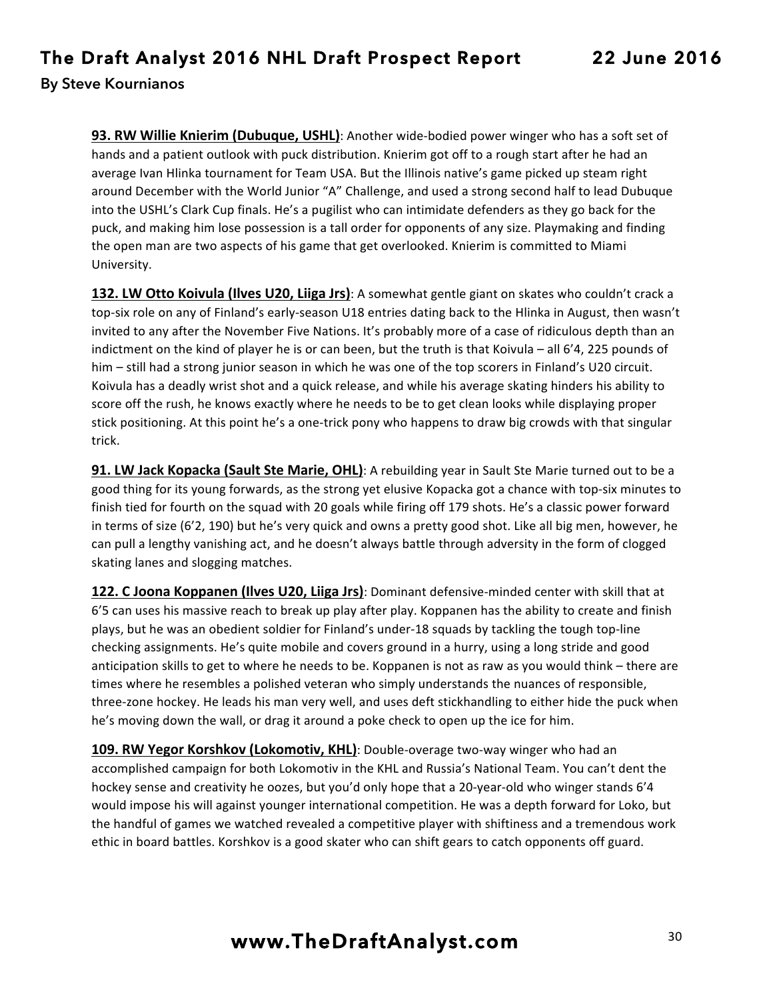**93. RW Willie Knierim (Dubuque, USHL)**: Another wide-bodied power winger who has a soft set of hands and a patient outlook with puck distribution. Knierim got off to a rough start after he had an average Ivan Hlinka tournament for Team USA. But the Illinois native's game picked up steam right around December with the World Junior "A" Challenge, and used a strong second half to lead Dubuque into the USHL's Clark Cup finals. He's a pugilist who can intimidate defenders as they go back for the puck, and making him lose possession is a tall order for opponents of any size. Playmaking and finding the open man are two aspects of his game that get overlooked. Knierim is committed to Miami University.

**132. LW Otto Koivula (Ilves U20, Liiga Jrs)**: A somewhat gentle giant on skates who couldn't crack a top-six role on any of Finland's early-season U18 entries dating back to the Hlinka in August, then wasn't invited to any after the November Five Nations. It's probably more of a case of ridiculous depth than an indictment on the kind of player he is or can been, but the truth is that Koivula – all  $6'4$ , 225 pounds of him – still had a strong junior season in which he was one of the top scorers in Finland's U20 circuit. Koivula has a deadly wrist shot and a quick release, and while his average skating hinders his ability to score off the rush, he knows exactly where he needs to be to get clean looks while displaying proper stick positioning. At this point he's a one-trick pony who happens to draw big crowds with that singular trick.

**91. LW Jack Kopacka (Sault Ste Marie, OHL)**: A rebuilding year in Sault Ste Marie turned out to be a good thing for its young forwards, as the strong yet elusive Kopacka got a chance with top-six minutes to finish tied for fourth on the squad with 20 goals while firing off 179 shots. He's a classic power forward in terms of size (6'2, 190) but he's very quick and owns a pretty good shot. Like all big men, however, he can pull a lengthy vanishing act, and he doesn't always battle through adversity in the form of clogged skating lanes and slogging matches.

**122. C Joona Koppanen (Ilves U20, Liiga Jrs)**: Dominant defensive-minded center with skill that at 6'5 can uses his massive reach to break up play after play. Koppanen has the ability to create and finish plays, but he was an obedient soldier for Finland's under-18 squads by tackling the tough top-line checking assignments. He's quite mobile and covers ground in a hurry, using a long stride and good anticipation skills to get to where he needs to be. Koppanen is not as raw as you would think – there are times where he resembles a polished veteran who simply understands the nuances of responsible, three-zone hockey. He leads his man very well, and uses deft stickhandling to either hide the puck when he's moving down the wall, or drag it around a poke check to open up the ice for him.

**109. RW Yegor Korshkov (Lokomotiv, KHL)**: Double-overage two-way winger who had an accomplished campaign for both Lokomotiv in the KHL and Russia's National Team. You can't dent the hockey sense and creativity he oozes, but you'd only hope that a 20-year-old who winger stands 6'4 would impose his will against younger international competition. He was a depth forward for Loko, but the handful of games we watched revealed a competitive player with shiftiness and a tremendous work ethic in board battles. Korshkov is a good skater who can shift gears to catch opponents off guard.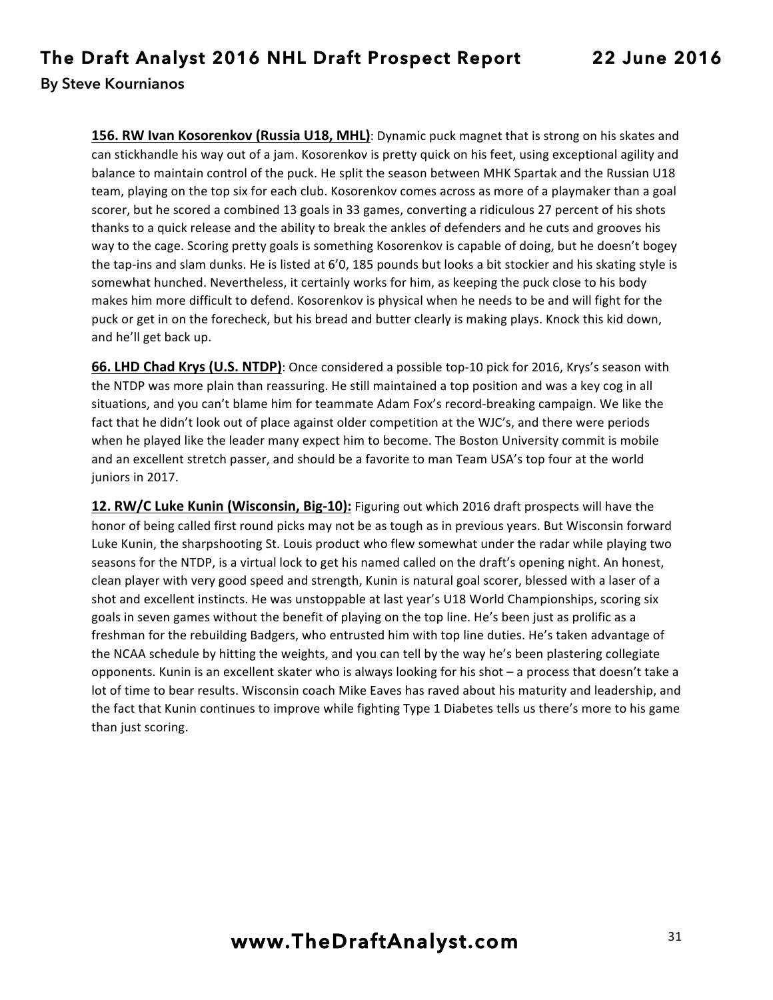**156. RW Ivan Kosorenkov (Russia U18, MHL)**: Dynamic puck magnet that is strong on his skates and can stickhandle his way out of a jam. Kosorenkov is pretty quick on his feet, using exceptional agility and balance to maintain control of the puck. He split the season between MHK Spartak and the Russian U18 team, playing on the top six for each club. Kosorenkov comes across as more of a playmaker than a goal scorer, but he scored a combined 13 goals in 33 games, converting a ridiculous 27 percent of his shots thanks to a quick release and the ability to break the ankles of defenders and he cuts and grooves his way to the cage. Scoring pretty goals is something Kosorenkov is capable of doing, but he doesn't bogey the tap-ins and slam dunks. He is listed at 6'0, 185 pounds but looks a bit stockier and his skating style is somewhat hunched. Nevertheless, it certainly works for him, as keeping the puck close to his body makes him more difficult to defend. Kosorenkov is physical when he needs to be and will fight for the puck or get in on the forecheck, but his bread and butter clearly is making plays. Knock this kid down, and he'll get back up.

**66. LHD Chad Krys (U.S. NTDP)**: Once considered a possible top-10 pick for 2016, Krys's season with the NTDP was more plain than reassuring. He still maintained a top position and was a key cog in all situations, and you can't blame him for teammate Adam Fox's record-breaking campaign. We like the fact that he didn't look out of place against older competition at the WJC's, and there were periods when he played like the leader many expect him to become. The Boston University commit is mobile and an excellent stretch passer, and should be a favorite to man Team USA's top four at the world juniors in 2017.

**12. RW/C Luke Kunin (Wisconsin, Big-10):** Figuring out which 2016 draft prospects will have the honor of being called first round picks may not be as tough as in previous years. But Wisconsin forward Luke Kunin, the sharpshooting St. Louis product who flew somewhat under the radar while playing two seasons for the NTDP, is a virtual lock to get his named called on the draft's opening night. An honest, clean player with very good speed and strength, Kunin is natural goal scorer, blessed with a laser of a shot and excellent instincts. He was unstoppable at last year's U18 World Championships, scoring six goals in seven games without the benefit of playing on the top line. He's been just as prolific as a freshman for the rebuilding Badgers, who entrusted him with top line duties. He's taken advantage of the NCAA schedule by hitting the weights, and you can tell by the way he's been plastering collegiate opponents. Kunin is an excellent skater who is always looking for his shot - a process that doesn't take a lot of time to bear results. Wisconsin coach Mike Eaves has raved about his maturity and leadership, and the fact that Kunin continues to improve while fighting Type 1 Diabetes tells us there's more to his game than just scoring.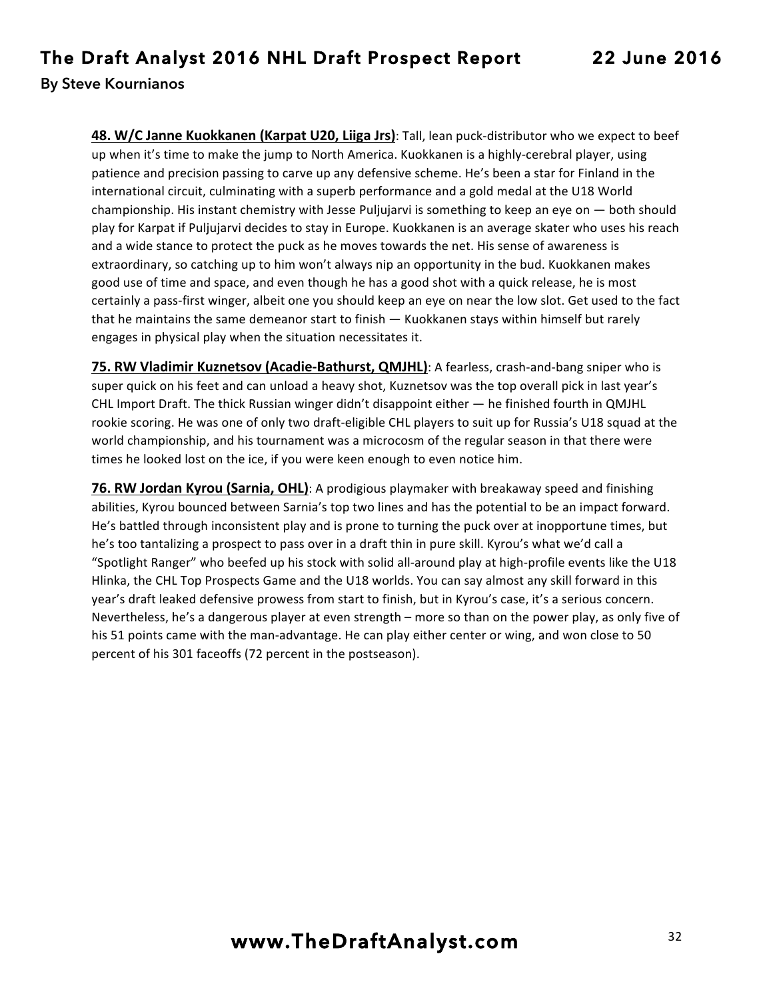**48. W/C Janne Kuokkanen (Karpat U20, Liiga Jrs)**: Tall, lean puck-distributor who we expect to beef up when it's time to make the jump to North America. Kuokkanen is a highly-cerebral player, using patience and precision passing to carve up any defensive scheme. He's been a star for Finland in the international circuit, culminating with a superb performance and a gold medal at the U18 World championship. His instant chemistry with Jesse Puljujarvi is something to keep an eye on  $-$  both should play for Karpat if Puljujarvi decides to stay in Europe. Kuokkanen is an average skater who uses his reach and a wide stance to protect the puck as he moves towards the net. His sense of awareness is extraordinary, so catching up to him won't always nip an opportunity in the bud. Kuokkanen makes good use of time and space, and even though he has a good shot with a quick release, he is most certainly a pass-first winger, albeit one you should keep an eye on near the low slot. Get used to the fact that he maintains the same demeanor start to finish  $-$  Kuokkanen stays within himself but rarely engages in physical play when the situation necessitates it.

**75. RW Vladimir Kuznetsov (Acadie-Bathurst, QMJHL)**: A fearless, crash-and-bang sniper who is super quick on his feet and can unload a heavy shot, Kuznetsov was the top overall pick in last year's CHL Import Draft. The thick Russian winger  $\text{d}$ idn't disappoint either  $-$  he finished fourth in QMJHL rookie scoring. He was one of only two draft-eligible CHL players to suit up for Russia's U18 squad at the world championship, and his tournament was a microcosm of the regular season in that there were times he looked lost on the ice, if you were keen enough to even notice him.

**76. RW Jordan Kyrou (Sarnia, OHL)**: A prodigious playmaker with breakaway speed and finishing abilities, Kyrou bounced between Sarnia's top two lines and has the potential to be an impact forward. He's battled through inconsistent play and is prone to turning the puck over at inopportune times, but he's too tantalizing a prospect to pass over in a draft thin in pure skill. Kyrou's what we'd call a "Spotlight Ranger" who beefed up his stock with solid all-around play at high-profile events like the U18 Hlinka, the CHL Top Prospects Game and the U18 worlds. You can say almost any skill forward in this year's draft leaked defensive prowess from start to finish, but in Kyrou's case, it's a serious concern. Nevertheless, he's a dangerous player at even strength – more so than on the power play, as only five of his 51 points came with the man-advantage. He can play either center or wing, and won close to 50 percent of his 301 faceoffs (72 percent in the postseason).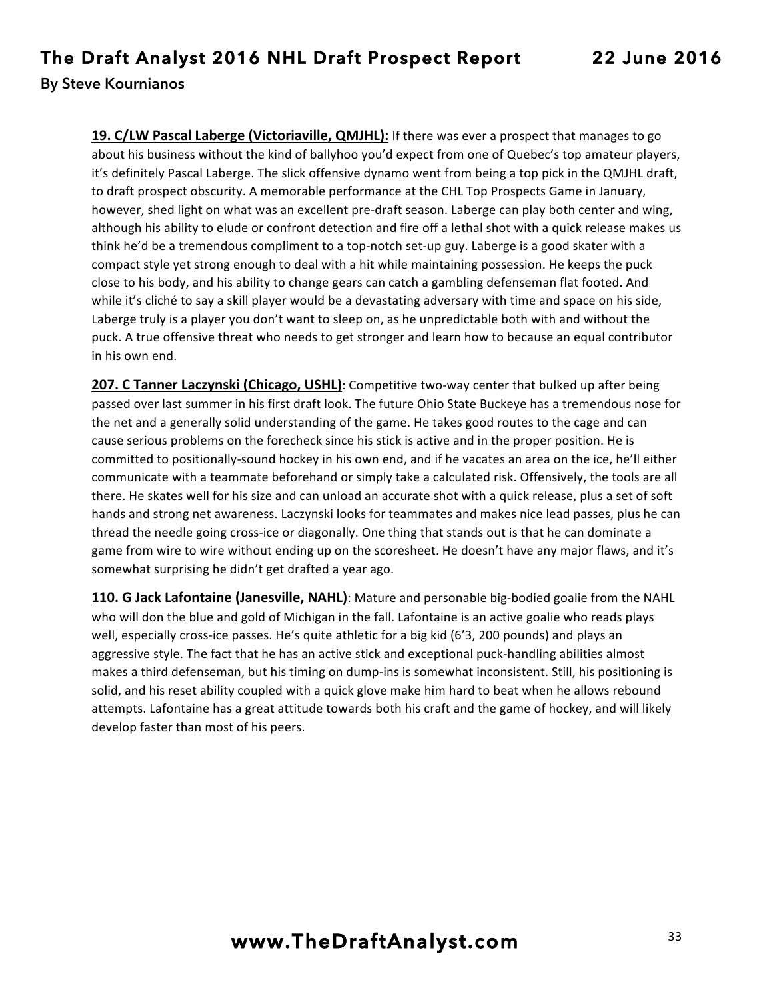**19. C/LW Pascal Laberge (Victoriaville, QMJHL):** If there was ever a prospect that manages to go about his business without the kind of ballyhoo you'd expect from one of Quebec's top amateur players, it's definitely Pascal Laberge. The slick offensive dynamo went from being a top pick in the QMJHL draft, to draft prospect obscurity. A memorable performance at the CHL Top Prospects Game in January, however, shed light on what was an excellent pre-draft season. Laberge can play both center and wing, although his ability to elude or confront detection and fire off a lethal shot with a quick release makes us think he'd be a tremendous compliment to a top-notch set-up guy. Laberge is a good skater with a compact style yet strong enough to deal with a hit while maintaining possession. He keeps the puck close to his body, and his ability to change gears can catch a gambling defenseman flat footed. And while it's cliché to say a skill player would be a devastating adversary with time and space on his side, Laberge truly is a player you don't want to sleep on, as he unpredictable both with and without the puck. A true offensive threat who needs to get stronger and learn how to because an equal contributor in his own end.

**207. C Tanner Laczynski (Chicago, USHL)**: Competitive two-way center that bulked up after being passed over last summer in his first draft look. The future Ohio State Buckeye has a tremendous nose for the net and a generally solid understanding of the game. He takes good routes to the cage and can cause serious problems on the forecheck since his stick is active and in the proper position. He is committed to positionally-sound hockey in his own end, and if he vacates an area on the ice, he'll either communicate with a teammate beforehand or simply take a calculated risk. Offensively, the tools are all there. He skates well for his size and can unload an accurate shot with a quick release, plus a set of soft hands and strong net awareness. Laczynski looks for teammates and makes nice lead passes, plus he can thread the needle going cross-ice or diagonally. One thing that stands out is that he can dominate a game from wire to wire without ending up on the scoresheet. He doesn't have any major flaws, and it's somewhat surprising he didn't get drafted a year ago.

**110. G Jack Lafontaine (Janesville, NAHL)**: Mature and personable big-bodied goalie from the NAHL who will don the blue and gold of Michigan in the fall. Lafontaine is an active goalie who reads plays well, especially cross-ice passes. He's quite athletic for a big kid (6'3, 200 pounds) and plays an aggressive style. The fact that he has an active stick and exceptional puck-handling abilities almost makes a third defenseman, but his timing on dump-ins is somewhat inconsistent. Still, his positioning is solid, and his reset ability coupled with a quick glove make him hard to beat when he allows rebound attempts. Lafontaine has a great attitude towards both his craft and the game of hockey, and will likely develop faster than most of his peers.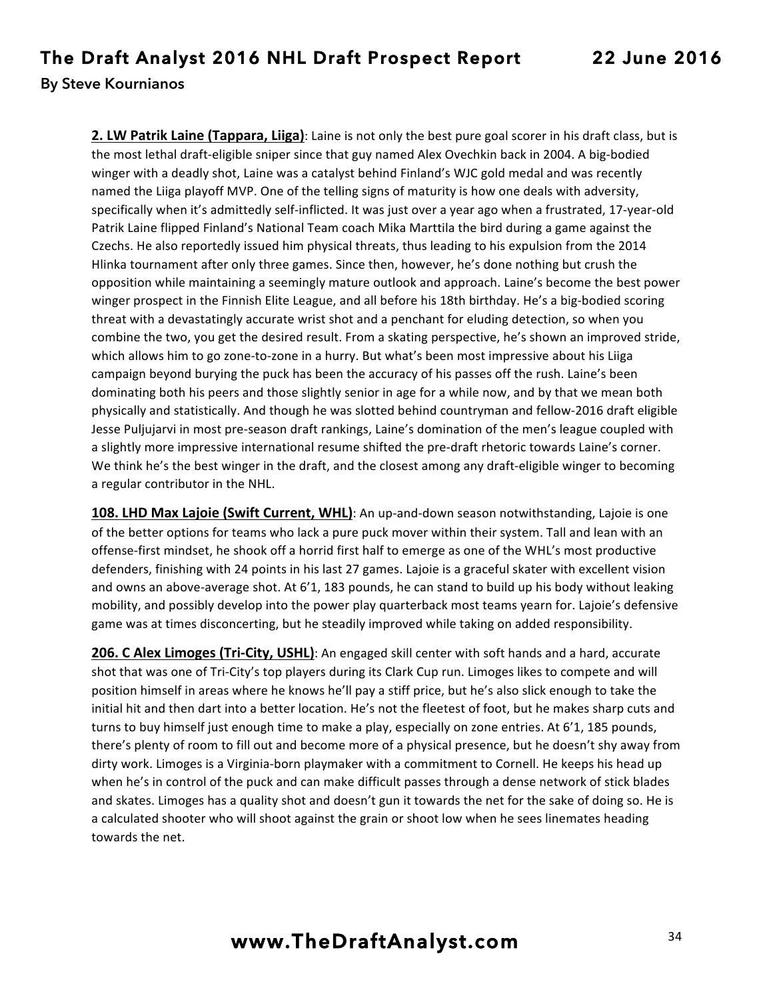**2. LW Patrik Laine (Tappara, Liiga)**: Laine is not only the best pure goal scorer in his draft class, but is the most lethal draft-eligible sniper since that guy named Alex Ovechkin back in 2004. A big-bodied winger with a deadly shot, Laine was a catalyst behind Finland's WJC gold medal and was recently named the Liiga playoff MVP. One of the telling signs of maturity is how one deals with adversity, specifically when it's admittedly self-inflicted. It was just over a year ago when a frustrated, 17-year-old Patrik Laine flipped Finland's National Team coach Mika Marttila the bird during a game against the Czechs. He also reportedly issued him physical threats, thus leading to his expulsion from the 2014 Hlinka tournament after only three games. Since then, however, he's done nothing but crush the opposition while maintaining a seemingly mature outlook and approach. Laine's become the best power winger prospect in the Finnish Elite League, and all before his 18th birthday. He's a big-bodied scoring threat with a devastatingly accurate wrist shot and a penchant for eluding detection, so when you combine the two, you get the desired result. From a skating perspective, he's shown an improved stride, which allows him to go zone-to-zone in a hurry. But what's been most impressive about his Liiga campaign beyond burying the puck has been the accuracy of his passes off the rush. Laine's been dominating both his peers and those slightly senior in age for a while now, and by that we mean both physically and statistically. And though he was slotted behind countryman and fellow-2016 draft eligible Jesse Puljujarvi in most pre-season draft rankings, Laine's domination of the men's league coupled with a slightly more impressive international resume shifted the pre-draft rhetoric towards Laine's corner. We think he's the best winger in the draft, and the closest among any draft-eligible winger to becoming a regular contributor in the NHL.

**108. LHD Max Lajoie (Swift Current, WHL)**: An up-and-down season notwithstanding, Lajoie is one of the better options for teams who lack a pure puck mover within their system. Tall and lean with an offense-first mindset, he shook off a horrid first half to emerge as one of the WHL's most productive defenders, finishing with 24 points in his last 27 games. Lajoie is a graceful skater with excellent vision and owns an above-average shot. At  $6'1$ , 183 pounds, he can stand to build up his body without leaking mobility, and possibly develop into the power play quarterback most teams yearn for. Lajoie's defensive game was at times disconcerting, but he steadily improved while taking on added responsibility.

**206. C Alex Limoges (Tri-City, USHL)**: An engaged skill center with soft hands and a hard, accurate shot that was one of Tri-City's top players during its Clark Cup run. Limoges likes to compete and will position himself in areas where he knows he'll pay a stiff price, but he's also slick enough to take the initial hit and then dart into a better location. He's not the fleetest of foot, but he makes sharp cuts and turns to buy himself just enough time to make a play, especially on zone entries. At 6'1, 185 pounds, there's plenty of room to fill out and become more of a physical presence, but he doesn't shy away from dirty work. Limoges is a Virginia-born playmaker with a commitment to Cornell. He keeps his head up when he's in control of the puck and can make difficult passes through a dense network of stick blades and skates. Limoges has a quality shot and doesn't gun it towards the net for the sake of doing so. He is a calculated shooter who will shoot against the grain or shoot low when he sees linemates heading towards the net.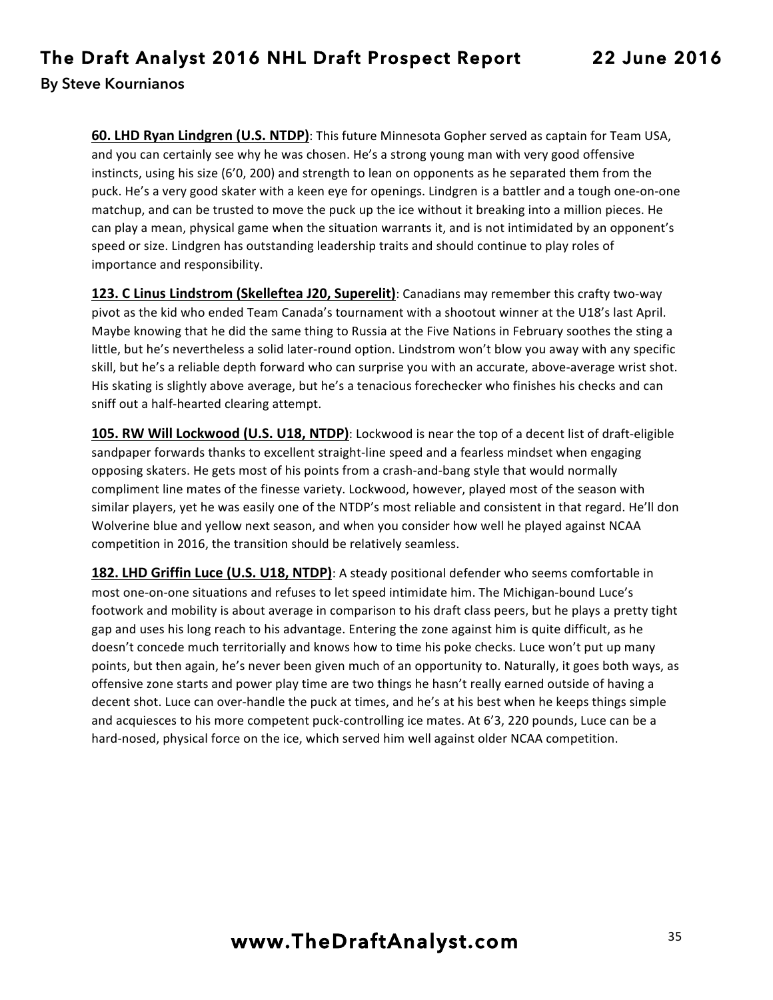**60. LHD Ryan Lindgren (U.S. NTDP)**: This future Minnesota Gopher served as captain for Team USA, and you can certainly see why he was chosen. He's a strong young man with very good offensive instincts, using his size  $(6'0, 200)$  and strength to lean on opponents as he separated them from the puck. He's a very good skater with a keen eye for openings. Lindgren is a battler and a tough one-on-one matchup, and can be trusted to move the puck up the ice without it breaking into a million pieces. He can play a mean, physical game when the situation warrants it, and is not intimidated by an opponent's speed or size. Lindgren has outstanding leadership traits and should continue to play roles of importance and responsibility.

123. C Linus Lindstrom (Skelleftea J20, Superelit): Canadians may remember this crafty two-way pivot as the kid who ended Team Canada's tournament with a shootout winner at the U18's last April. Maybe knowing that he did the same thing to Russia at the Five Nations in February soothes the sting a little, but he's nevertheless a solid later-round option. Lindstrom won't blow you away with any specific skill, but he's a reliable depth forward who can surprise you with an accurate, above-average wrist shot. His skating is slightly above average, but he's a tenacious forechecker who finishes his checks and can sniff out a half-hearted clearing attempt.

**105. RW Will Lockwood (U.S. U18, NTDP)**: Lockwood is near the top of a decent list of draft-eligible sandpaper forwards thanks to excellent straight-line speed and a fearless mindset when engaging opposing skaters. He gets most of his points from a crash-and-bang style that would normally compliment line mates of the finesse variety. Lockwood, however, played most of the season with similar players, yet he was easily one of the NTDP's most reliable and consistent in that regard. He'll don Wolverine blue and yellow next season, and when you consider how well he played against NCAA competition in 2016, the transition should be relatively seamless.

**182. LHD Griffin Luce (U.S. U18, NTDP)**: A steady positional defender who seems comfortable in most one-on-one situations and refuses to let speed intimidate him. The Michigan-bound Luce's footwork and mobility is about average in comparison to his draft class peers, but he plays a pretty tight gap and uses his long reach to his advantage. Entering the zone against him is quite difficult, as he doesn't concede much territorially and knows how to time his poke checks. Luce won't put up many points, but then again, he's never been given much of an opportunity to. Naturally, it goes both ways, as offensive zone starts and power play time are two things he hasn't really earned outside of having a decent shot. Luce can over-handle the puck at times, and he's at his best when he keeps things simple and acquiesces to his more competent puck-controlling ice mates. At 6'3, 220 pounds, Luce can be a hard-nosed, physical force on the ice, which served him well against older NCAA competition.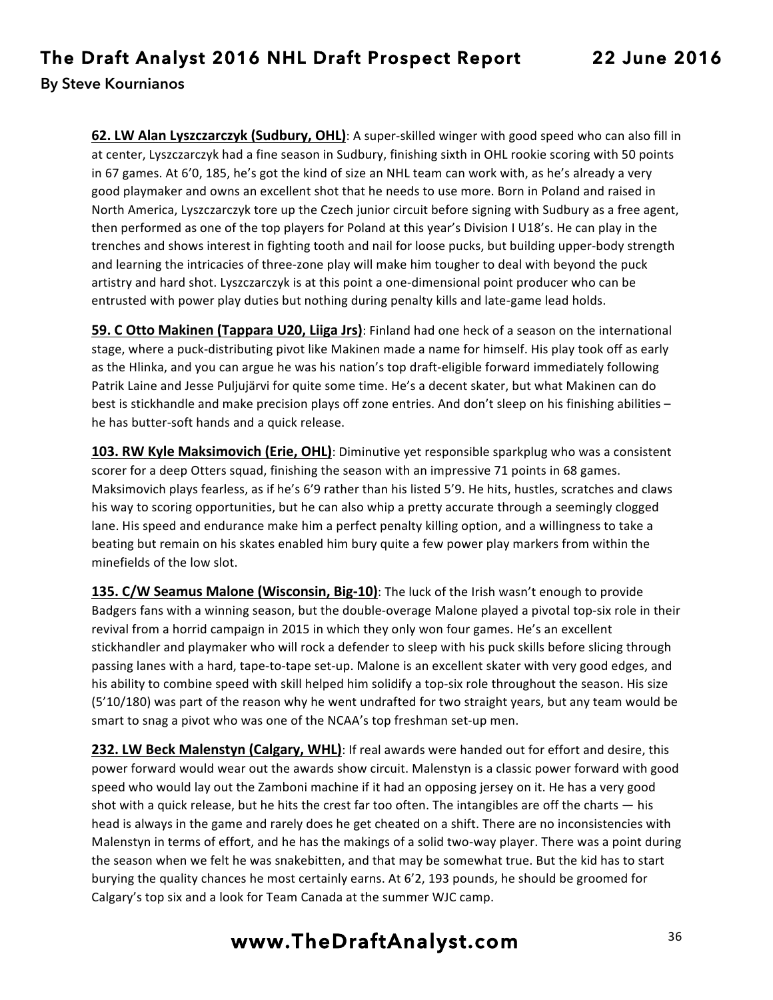**62. LW Alan Lyszczarczyk (Sudbury, OHL)**: A super-skilled winger with good speed who can also fill in at center, Lyszczarczyk had a fine season in Sudbury, finishing sixth in OHL rookie scoring with 50 points in 67 games. At 6'0, 185, he's got the kind of size an NHL team can work with, as he's already a very good playmaker and owns an excellent shot that he needs to use more. Born in Poland and raised in North America, Lyszczarczyk tore up the Czech junior circuit before signing with Sudbury as a free agent, then performed as one of the top players for Poland at this year's Division I U18's. He can play in the trenches and shows interest in fighting tooth and nail for loose pucks, but building upper-body strength and learning the intricacies of three-zone play will make him tougher to deal with beyond the puck artistry and hard shot. Lyszczarczyk is at this point a one-dimensional point producer who can be entrusted with power play duties but nothing during penalty kills and late-game lead holds.

**59. C Otto Makinen (Tappara U20, Liiga Jrs)**: Finland had one heck of a season on the international stage, where a puck-distributing pivot like Makinen made a name for himself. His play took off as early as the Hlinka, and you can argue he was his nation's top draft-eligible forward immediately following Patrik Laine and Jesse Puljujärvi for quite some time. He's a decent skater, but what Makinen can do best is stickhandle and make precision plays off zone entries. And don't sleep on his finishing abilities – he has butter-soft hands and a quick release.

**103. RW Kyle Maksimovich (Erie, OHL)**: Diminutive yet responsible sparkplug who was a consistent scorer for a deep Otters squad, finishing the season with an impressive 71 points in 68 games. Maksimovich plays fearless, as if he's 6'9 rather than his listed 5'9. He hits, hustles, scratches and claws his way to scoring opportunities, but he can also whip a pretty accurate through a seemingly clogged lane. His speed and endurance make him a perfect penalty killing option, and a willingness to take a beating but remain on his skates enabled him bury quite a few power play markers from within the minefields of the low slot.

**135. C/W Seamus Malone (Wisconsin, Big-10)**: The luck of the Irish wasn't enough to provide Badgers fans with a winning season, but the double-overage Malone played a pivotal top-six role in their revival from a horrid campaign in 2015 in which they only won four games. He's an excellent stickhandler and playmaker who will rock a defender to sleep with his puck skills before slicing through passing lanes with a hard, tape-to-tape set-up. Malone is an excellent skater with very good edges, and his ability to combine speed with skill helped him solidify a top-six role throughout the season. His size (5'10/180) was part of the reason why he went undrafted for two straight years, but any team would be smart to snag a pivot who was one of the NCAA's top freshman set-up men.

**232. LW Beck Malenstyn (Calgary, WHL)**: If real awards were handed out for effort and desire, this power forward would wear out the awards show circuit. Malenstyn is a classic power forward with good speed who would lay out the Zamboni machine if it had an opposing jersey on it. He has a very good shot with a quick release, but he hits the crest far too often. The intangibles are off the charts  $-$  his head is always in the game and rarely does he get cheated on a shift. There are no inconsistencies with Malenstyn in terms of effort, and he has the makings of a solid two-way player. There was a point during the season when we felt he was snakebitten, and that may be somewhat true. But the kid has to start burying the quality chances he most certainly earns. At 6'2, 193 pounds, he should be groomed for Calgary's top six and a look for Team Canada at the summer WJC camp.

## **www.TheDraftAnalyst.com** <sup>36</sup>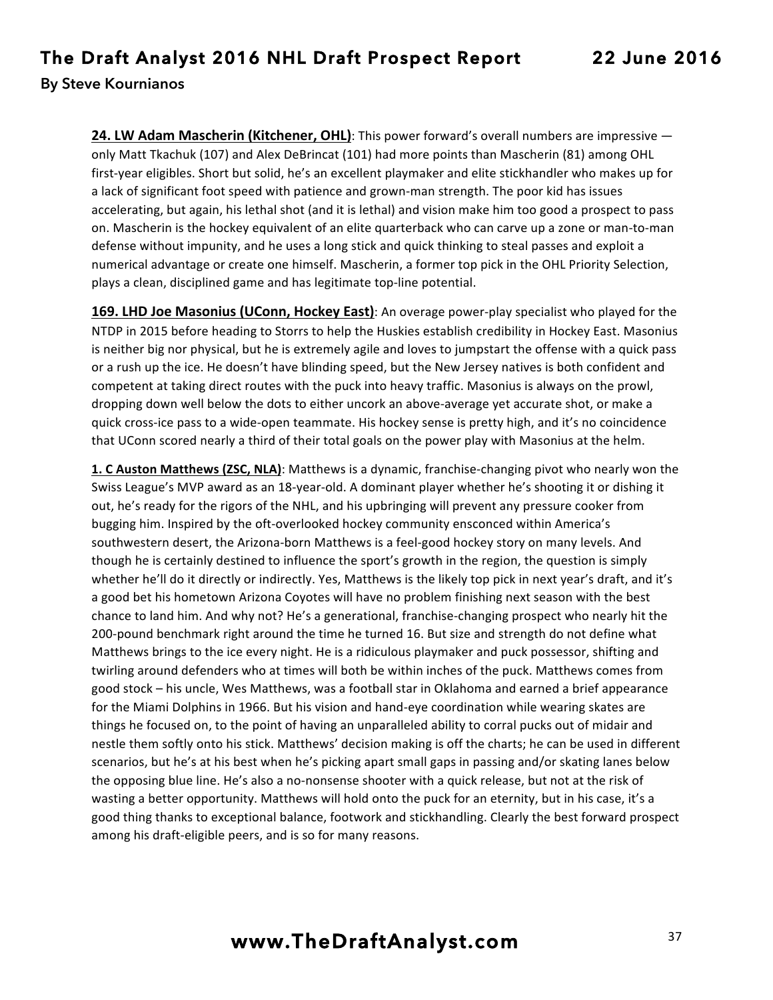**24. LW Adam Mascherin (Kitchener, OHL)**: This power forward's overall numbers are impressive  $$ only Matt Tkachuk (107) and Alex DeBrincat (101) had more points than Mascherin (81) among OHL first-year eligibles. Short but solid, he's an excellent playmaker and elite stickhandler who makes up for a lack of significant foot speed with patience and grown-man strength. The poor kid has issues accelerating, but again, his lethal shot (and it is lethal) and vision make him too good a prospect to pass on. Mascherin is the hockey equivalent of an elite quarterback who can carve up a zone or man-to-man defense without impunity, and he uses a long stick and quick thinking to steal passes and exploit a numerical advantage or create one himself. Mascherin, a former top pick in the OHL Priority Selection, plays a clean, disciplined game and has legitimate top-line potential.

169. LHD Joe Masonius (UConn, Hockey East): An overage power-play specialist who played for the NTDP in 2015 before heading to Storrs to help the Huskies establish credibility in Hockey East. Masonius is neither big nor physical, but he is extremely agile and loves to jumpstart the offense with a quick pass or a rush up the ice. He doesn't have blinding speed, but the New Jersey natives is both confident and competent at taking direct routes with the puck into heavy traffic. Masonius is always on the prowl, dropping down well below the dots to either uncork an above-average yet accurate shot, or make a quick cross-ice pass to a wide-open teammate. His hockey sense is pretty high, and it's no coincidence that UConn scored nearly a third of their total goals on the power play with Masonius at the helm.

**1. C Auston Matthews (ZSC, NLA)**: Matthews is a dynamic, franchise-changing pivot who nearly won the Swiss League's MVP award as an 18-year-old. A dominant player whether he's shooting it or dishing it out, he's ready for the rigors of the NHL, and his upbringing will prevent any pressure cooker from bugging him. Inspired by the oft-overlooked hockey community ensconced within America's southwestern desert, the Arizona-born Matthews is a feel-good hockey story on many levels. And though he is certainly destined to influence the sport's growth in the region, the question is simply whether he'll do it directly or indirectly. Yes, Matthews is the likely top pick in next year's draft, and it's a good bet his hometown Arizona Coyotes will have no problem finishing next season with the best chance to land him. And why not? He's a generational, franchise-changing prospect who nearly hit the 200-pound benchmark right around the time he turned 16. But size and strength do not define what Matthews brings to the ice every night. He is a ridiculous playmaker and puck possessor, shifting and twirling around defenders who at times will both be within inches of the puck. Matthews comes from good stock – his uncle, Wes Matthews, was a football star in Oklahoma and earned a brief appearance for the Miami Dolphins in 1966. But his vision and hand-eye coordination while wearing skates are things he focused on, to the point of having an unparalleled ability to corral pucks out of midair and nestle them softly onto his stick. Matthews' decision making is off the charts; he can be used in different scenarios, but he's at his best when he's picking apart small gaps in passing and/or skating lanes below the opposing blue line. He's also a no-nonsense shooter with a quick release, but not at the risk of wasting a better opportunity. Matthews will hold onto the puck for an eternity, but in his case, it's a good thing thanks to exceptional balance, footwork and stickhandling. Clearly the best forward prospect among his draft-eligible peers, and is so for many reasons.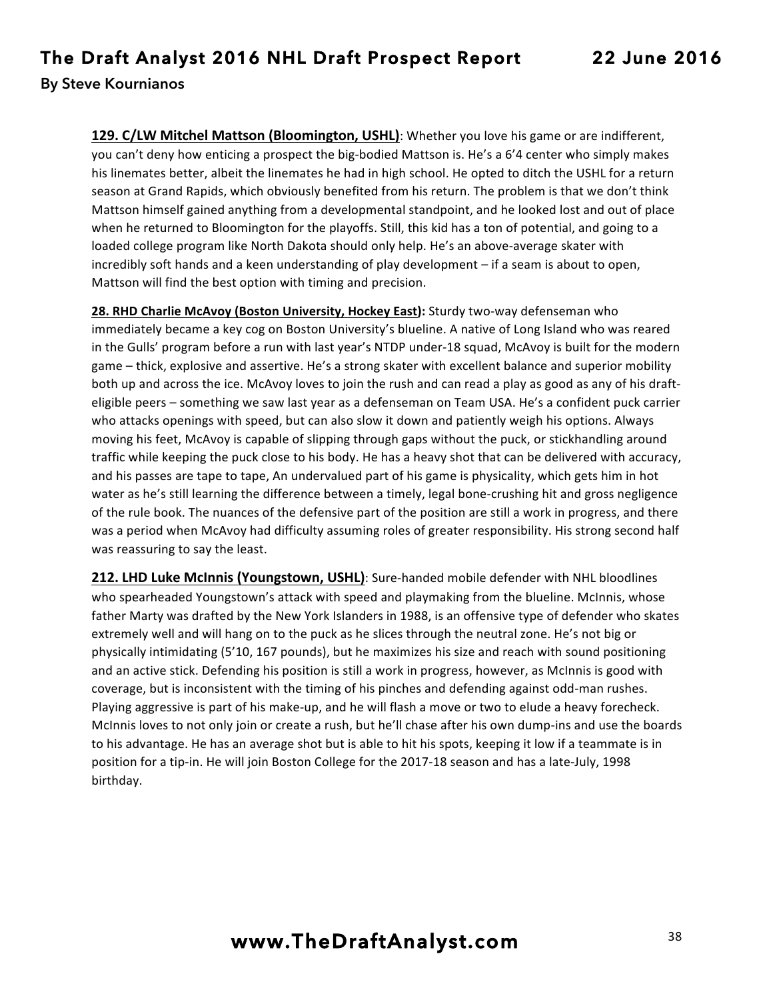**129. C/LW Mitchel Mattson (Bloomington, USHL)**: Whether you love his game or are indifferent, you can't deny how enticing a prospect the big-bodied Mattson is. He's a 6'4 center who simply makes his linemates better, albeit the linemates he had in high school. He opted to ditch the USHL for a return season at Grand Rapids, which obviously benefited from his return. The problem is that we don't think Mattson himself gained anything from a developmental standpoint, and he looked lost and out of place when he returned to Bloomington for the playoffs. Still, this kid has a ton of potential, and going to a loaded college program like North Dakota should only help. He's an above-average skater with incredibly soft hands and a keen understanding of play development - if a seam is about to open, Mattson will find the best option with timing and precision.

**28. RHD Charlie McAvoy (Boston University, Hockey East):** Sturdy two-way defenseman who immediately became a key cog on Boston University's blueline. A native of Long Island who was reared in the Gulls' program before a run with last year's NTDP under-18 squad, McAvoy is built for the modern game – thick, explosive and assertive. He's a strong skater with excellent balance and superior mobility both up and across the ice. McAvoy loves to join the rush and can read a play as good as any of his drafteligible peers – something we saw last year as a defenseman on Team USA. He's a confident puck carrier who attacks openings with speed, but can also slow it down and patiently weigh his options. Always moving his feet, McAvoy is capable of slipping through gaps without the puck, or stickhandling around traffic while keeping the puck close to his body. He has a heavy shot that can be delivered with accuracy, and his passes are tape to tape, An undervalued part of his game is physicality, which gets him in hot water as he's still learning the difference between a timely, legal bone-crushing hit and gross negligence of the rule book. The nuances of the defensive part of the position are still a work in progress, and there was a period when McAvoy had difficulty assuming roles of greater responsibility. His strong second half was reassuring to say the least.

**212. LHD Luke McInnis (Youngstown, USHL)**: Sure-handed mobile defender with NHL bloodlines who spearheaded Youngstown's attack with speed and playmaking from the blueline. McInnis, whose father Marty was drafted by the New York Islanders in 1988, is an offensive type of defender who skates extremely well and will hang on to the puck as he slices through the neutral zone. He's not big or physically intimidating (5'10, 167 pounds), but he maximizes his size and reach with sound positioning and an active stick. Defending his position is still a work in progress, however, as McInnis is good with coverage, but is inconsistent with the timing of his pinches and defending against odd-man rushes. Playing aggressive is part of his make-up, and he will flash a move or two to elude a heavy forecheck. McInnis loves to not only join or create a rush, but he'll chase after his own dump-ins and use the boards to his advantage. He has an average shot but is able to hit his spots, keeping it low if a teammate is in position for a tip-in. He will join Boston College for the 2017-18 season and has a late-July, 1998 birthday.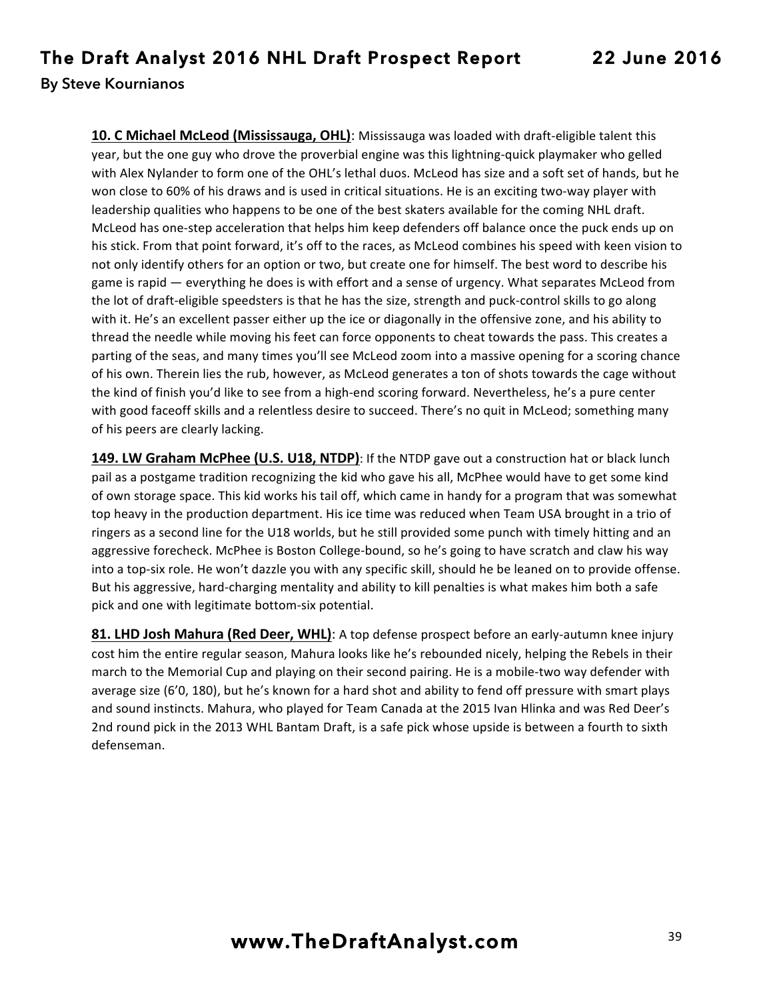**10. C Michael McLeod (Mississauga, OHL)**: Mississauga was loaded with draft-eligible talent this year, but the one guy who drove the proverbial engine was this lightning-quick playmaker who gelled with Alex Nylander to form one of the OHL's lethal duos. McLeod has size and a soft set of hands, but he won close to 60% of his draws and is used in critical situations. He is an exciting two-way player with leadership qualities who happens to be one of the best skaters available for the coming NHL draft. McLeod has one-step acceleration that helps him keep defenders off balance once the puck ends up on his stick. From that point forward, it's off to the races, as McLeod combines his speed with keen vision to not only identify others for an option or two, but create one for himself. The best word to describe his game is rapid — everything he does is with effort and a sense of urgency. What separates McLeod from the lot of draft-eligible speedsters is that he has the size, strength and puck-control skills to go along with it. He's an excellent passer either up the ice or diagonally in the offensive zone, and his ability to thread the needle while moving his feet can force opponents to cheat towards the pass. This creates a parting of the seas, and many times you'll see McLeod zoom into a massive opening for a scoring chance of his own. Therein lies the rub, however, as McLeod generates a ton of shots towards the cage without the kind of finish you'd like to see from a high-end scoring forward. Nevertheless, he's a pure center with good faceoff skills and a relentless desire to succeed. There's no quit in McLeod; something many of his peers are clearly lacking.

149. LW Graham McPhee (U.S. U18, NTDP): If the NTDP gave out a construction hat or black lunch pail as a postgame tradition recognizing the kid who gave his all, McPhee would have to get some kind of own storage space. This kid works his tail off, which came in handy for a program that was somewhat top heavy in the production department. His ice time was reduced when Team USA brought in a trio of ringers as a second line for the U18 worlds, but he still provided some punch with timely hitting and an aggressive forecheck. McPhee is Boston College-bound, so he's going to have scratch and claw his way into a top-six role. He won't dazzle you with any specific skill, should he be leaned on to provide offense. But his aggressive, hard-charging mentality and ability to kill penalties is what makes him both a safe pick and one with legitimate bottom-six potential.

**81. LHD Josh Mahura (Red Deer, WHL)**: A top defense prospect before an early-autumn knee injury cost him the entire regular season, Mahura looks like he's rebounded nicely, helping the Rebels in their march to the Memorial Cup and playing on their second pairing. He is a mobile-two way defender with average size (6'0, 180), but he's known for a hard shot and ability to fend off pressure with smart plays and sound instincts. Mahura, who played for Team Canada at the 2015 Ivan Hlinka and was Red Deer's 2nd round pick in the 2013 WHL Bantam Draft, is a safe pick whose upside is between a fourth to sixth defenseman.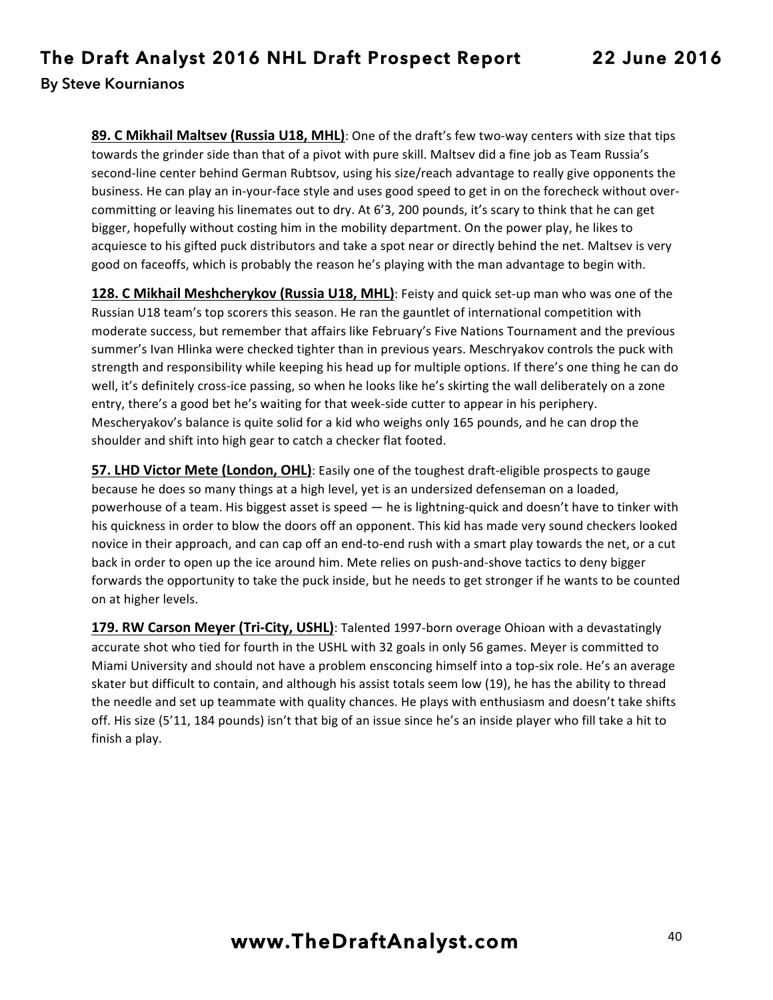**89. C Mikhail Maltsev (Russia U18, MHL)**: One of the draft's few two-way centers with size that tips towards the grinder side than that of a pivot with pure skill. Maltsev did a fine job as Team Russia's second-line center behind German Rubtsov, using his size/reach advantage to really give opponents the business. He can play an in-your-face style and uses good speed to get in on the forecheck without overcommitting or leaving his linemates out to dry. At 6'3, 200 pounds, it's scary to think that he can get bigger, hopefully without costing him in the mobility department. On the power play, he likes to acquiesce to his gifted puck distributors and take a spot near or directly behind the net. Maltsev is very good on faceoffs, which is probably the reason he's playing with the man advantage to begin with.

**128. C Mikhail Meshcherykov (Russia U18, MHL)**: Feisty and quick set-up man who was one of the Russian U18 team's top scorers this season. He ran the gauntlet of international competition with moderate success, but remember that affairs like February's Five Nations Tournament and the previous summer's Ivan Hlinka were checked tighter than in previous years. Meschryakov controls the puck with strength and responsibility while keeping his head up for multiple options. If there's one thing he can do well, it's definitely cross-ice passing, so when he looks like he's skirting the wall deliberately on a zone entry, there's a good bet he's waiting for that week-side cutter to appear in his periphery. Mescheryakov's balance is quite solid for a kid who weighs only 165 pounds, and he can drop the shoulder and shift into high gear to catch a checker flat footed.

**57. LHD Victor Mete (London, OHL)**: Easily one of the toughest draft-eligible prospects to gauge because he does so many things at a high level, yet is an undersized defenseman on a loaded, powerhouse of a team. His biggest asset is speed — he is lightning-quick and doesn't have to tinker with his quickness in order to blow the doors off an opponent. This kid has made very sound checkers looked novice in their approach, and can cap off an end-to-end rush with a smart play towards the net, or a cut back in order to open up the ice around him. Mete relies on push-and-shove tactics to deny bigger forwards the opportunity to take the puck inside, but he needs to get stronger if he wants to be counted on at higher levels.

**179. RW Carson Meyer (Tri-City, USHL)**: Talented 1997-born overage Ohioan with a devastatingly accurate shot who tied for fourth in the USHL with 32 goals in only 56 games. Meyer is committed to Miami University and should not have a problem ensconcing himself into a top-six role. He's an average skater but difficult to contain, and although his assist totals seem low (19), he has the ability to thread the needle and set up teammate with quality chances. He plays with enthusiasm and doesn't take shifts off. His size (5'11, 184 pounds) isn't that big of an issue since he's an inside player who fill take a hit to finish a play.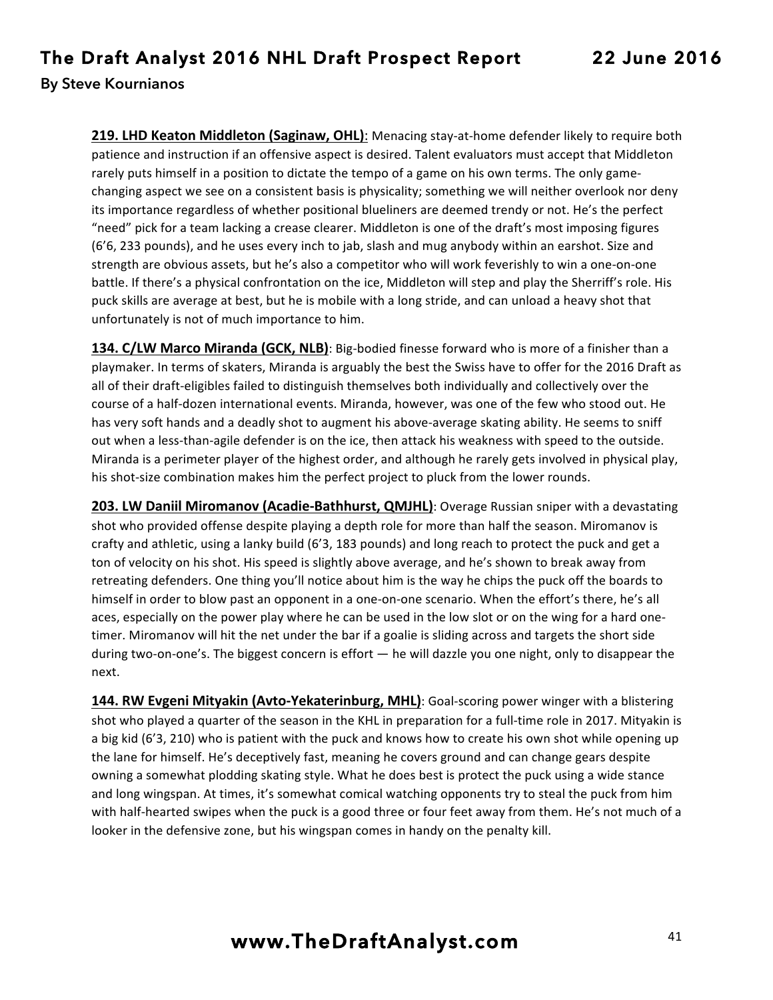**219. LHD Keaton Middleton (Saginaw, OHL)**: Menacing stay-at-home defender likely to require both patience and instruction if an offensive aspect is desired. Talent evaluators must accept that Middleton rarely puts himself in a position to dictate the tempo of a game on his own terms. The only gamechanging aspect we see on a consistent basis is physicality; something we will neither overlook nor deny its importance regardless of whether positional blueliners are deemed trendy or not. He's the perfect "need" pick for a team lacking a crease clearer. Middleton is one of the draft's most imposing figures (6'6, 233 pounds), and he uses every inch to jab, slash and mug anybody within an earshot. Size and strength are obvious assets, but he's also a competitor who will work feverishly to win a one-on-one battle. If there's a physical confrontation on the ice, Middleton will step and play the Sherriff's role. His puck skills are average at best, but he is mobile with a long stride, and can unload a heavy shot that unfortunately is not of much importance to him.

**134. C/LW Marco Miranda (GCK, NLB)**: Big-bodied finesse forward who is more of a finisher than a playmaker. In terms of skaters, Miranda is arguably the best the Swiss have to offer for the 2016 Draft as all of their draft-eligibles failed to distinguish themselves both individually and collectively over the course of a half-dozen international events. Miranda, however, was one of the few who stood out. He has very soft hands and a deadly shot to augment his above-average skating ability. He seems to sniff out when a less-than-agile defender is on the ice, then attack his weakness with speed to the outside. Miranda is a perimeter player of the highest order, and although he rarely gets involved in physical play, his shot-size combination makes him the perfect project to pluck from the lower rounds.

**203. LW Daniil Miromanov (Acadie-Bathhurst, QMJHL)**: Overage Russian sniper with a devastating shot who provided offense despite playing a depth role for more than half the season. Miromanov is crafty and athletic, using a lanky build (6'3, 183 pounds) and long reach to protect the puck and get a ton of velocity on his shot. His speed is slightly above average, and he's shown to break away from retreating defenders. One thing you'll notice about him is the way he chips the puck off the boards to himself in order to blow past an opponent in a one-on-one scenario. When the effort's there, he's all aces, especially on the power play where he can be used in the low slot or on the wing for a hard onetimer. Miromanov will hit the net under the bar if a goalie is sliding across and targets the short side during two-on-one's. The biggest concern is effort — he will dazzle you one night, only to disappear the next.

**144. RW Evgeni Mityakin (Avto-Yekaterinburg, MHL)**: Goal-scoring power winger with a blistering shot who played a quarter of the season in the KHL in preparation for a full-time role in 2017. Mityakin is a big kid (6'3, 210) who is patient with the puck and knows how to create his own shot while opening up the lane for himself. He's deceptively fast, meaning he covers ground and can change gears despite owning a somewhat plodding skating style. What he does best is protect the puck using a wide stance and long wingspan. At times, it's somewhat comical watching opponents try to steal the puck from him with half-hearted swipes when the puck is a good three or four feet away from them. He's not much of a looker in the defensive zone, but his wingspan comes in handy on the penalty kill.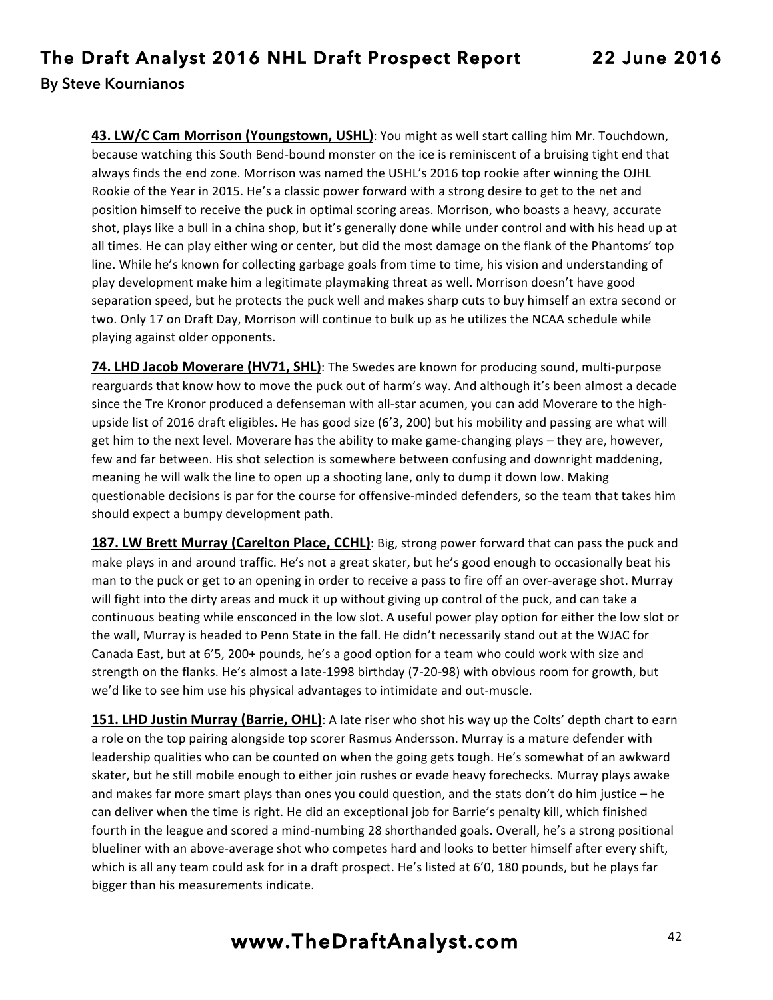**43. LW/C Cam Morrison (Youngstown, USHL)**: You might as well start calling him Mr. Touchdown, because watching this South Bend-bound monster on the ice is reminiscent of a bruising tight end that always finds the end zone. Morrison was named the USHL's 2016 top rookie after winning the OJHL Rookie of the Year in 2015. He's a classic power forward with a strong desire to get to the net and position himself to receive the puck in optimal scoring areas. Morrison, who boasts a heavy, accurate shot, plays like a bull in a china shop, but it's generally done while under control and with his head up at all times. He can play either wing or center, but did the most damage on the flank of the Phantoms' top line. While he's known for collecting garbage goals from time to time, his vision and understanding of play development make him a legitimate playmaking threat as well. Morrison doesn't have good separation speed, but he protects the puck well and makes sharp cuts to buy himself an extra second or two. Only 17 on Draft Day, Morrison will continue to bulk up as he utilizes the NCAA schedule while playing against older opponents.

**74. LHD Jacob Moverare (HV71, SHL)**: The Swedes are known for producing sound, multi-purpose rearguards that know how to move the puck out of harm's way. And although it's been almost a decade since the Tre Kronor produced a defenseman with all-star acumen, you can add Moverare to the highupside list of 2016 draft eligibles. He has good size (6'3, 200) but his mobility and passing are what will get him to the next level. Moverare has the ability to make game-changing plays – they are, however, few and far between. His shot selection is somewhere between confusing and downright maddening, meaning he will walk the line to open up a shooting lane, only to dump it down low. Making questionable decisions is par for the course for offensive-minded defenders, so the team that takes him should expect a bumpy development path.

**187. LW Brett Murray (Carelton Place, CCHL)**: Big, strong power forward that can pass the puck and make plays in and around traffic. He's not a great skater, but he's good enough to occasionally beat his man to the puck or get to an opening in order to receive a pass to fire off an over-average shot. Murray will fight into the dirty areas and muck it up without giving up control of the puck, and can take a continuous beating while ensconced in the low slot. A useful power play option for either the low slot or the wall, Murray is headed to Penn State in the fall. He didn't necessarily stand out at the WJAC for Canada East, but at 6'5, 200+ pounds, he's a good option for a team who could work with size and strength on the flanks. He's almost a late-1998 birthday (7-20-98) with obvious room for growth, but we'd like to see him use his physical advantages to intimidate and out-muscle.

**151. LHD Justin Murray (Barrie, OHL)**: A late riser who shot his way up the Colts' depth chart to earn a role on the top pairing alongside top scorer Rasmus Andersson. Murray is a mature defender with leadership qualities who can be counted on when the going gets tough. He's somewhat of an awkward skater, but he still mobile enough to either join rushes or evade heavy forechecks. Murray plays awake and makes far more smart plays than ones you could question, and the stats don't do him justice  $-$  he can deliver when the time is right. He did an exceptional job for Barrie's penalty kill, which finished fourth in the league and scored a mind-numbing 28 shorthanded goals. Overall, he's a strong positional blueliner with an above-average shot who competes hard and looks to better himself after every shift, which is all any team could ask for in a draft prospect. He's listed at 6'0, 180 pounds, but he plays far bigger than his measurements indicate.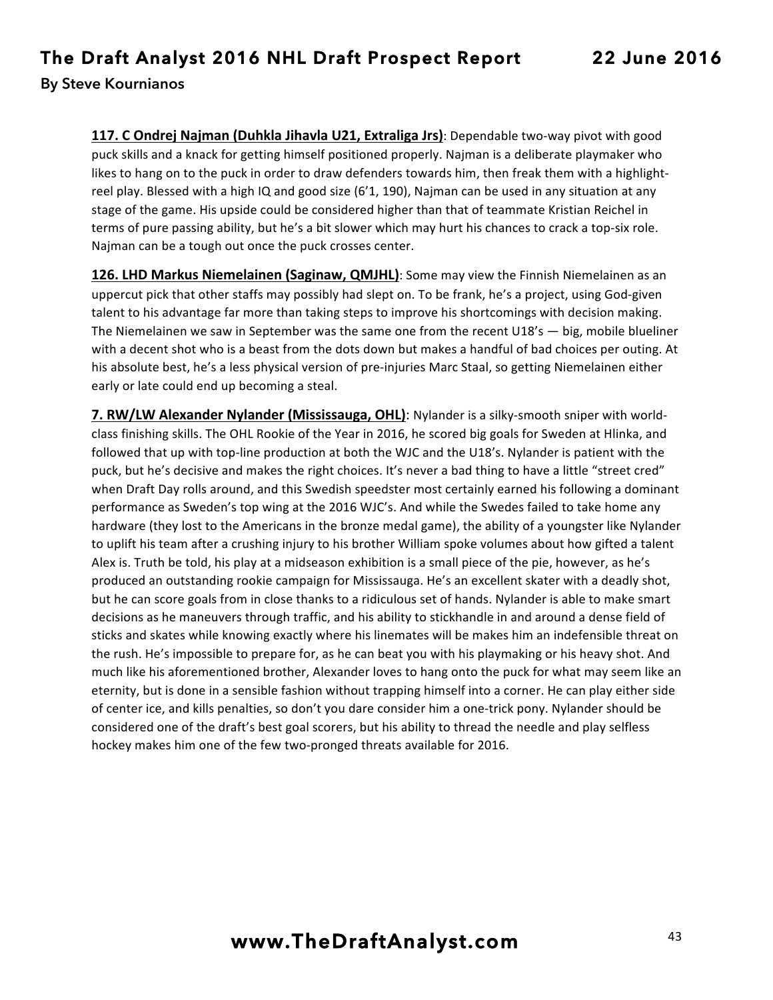**117. C Ondrej Najman (Duhkla Jihavla U21, Extraliga Jrs)**: Dependable two-way pivot with good puck skills and a knack for getting himself positioned properly. Najman is a deliberate playmaker who likes to hang on to the puck in order to draw defenders towards him, then freak them with a highlightreel play. Blessed with a high IQ and good size  $(6'1, 190)$ , Najman can be used in any situation at any stage of the game. His upside could be considered higher than that of teammate Kristian Reichel in terms of pure passing ability, but he's a bit slower which may hurt his chances to crack a top-six role. Najman can be a tough out once the puck crosses center.

**126. LHD Markus Niemelainen (Saginaw, QMJHL)**: Some may view the Finnish Niemelainen as an uppercut pick that other staffs may possibly had slept on. To be frank, he's a project, using God-given talent to his advantage far more than taking steps to improve his shortcomings with decision making. The Niemelainen we saw in September was the same one from the recent  $U18's - big$ , mobile blueliner with a decent shot who is a beast from the dots down but makes a handful of bad choices per outing. At his absolute best, he's a less physical version of pre-injuries Marc Staal, so getting Niemelainen either early or late could end up becoming a steal.

**7. RW/LW Alexander Nylander (Mississauga, OHL)**: Nylander is a silky-smooth sniper with worldclass finishing skills. The OHL Rookie of the Year in 2016, he scored big goals for Sweden at Hlinka, and followed that up with top-line production at both the WJC and the U18's. Nylander is patient with the puck, but he's decisive and makes the right choices. It's never a bad thing to have a little "street cred" when Draft Day rolls around, and this Swedish speedster most certainly earned his following a dominant performance as Sweden's top wing at the 2016 WJC's. And while the Swedes failed to take home any hardware (they lost to the Americans in the bronze medal game), the ability of a youngster like Nylander to uplift his team after a crushing injury to his brother William spoke volumes about how gifted a talent Alex is. Truth be told, his play at a midseason exhibition is a small piece of the pie, however, as he's produced an outstanding rookie campaign for Mississauga. He's an excellent skater with a deadly shot, but he can score goals from in close thanks to a ridiculous set of hands. Nylander is able to make smart decisions as he maneuvers through traffic, and his ability to stickhandle in and around a dense field of sticks and skates while knowing exactly where his linemates will be makes him an indefensible threat on the rush. He's impossible to prepare for, as he can beat you with his playmaking or his heavy shot. And much like his aforementioned brother, Alexander loves to hang onto the puck for what may seem like an eternity, but is done in a sensible fashion without trapping himself into a corner. He can play either side of center ice, and kills penalties, so don't you dare consider him a one-trick pony. Nylander should be considered one of the draft's best goal scorers, but his ability to thread the needle and play selfless hockey makes him one of the few two-pronged threats available for 2016.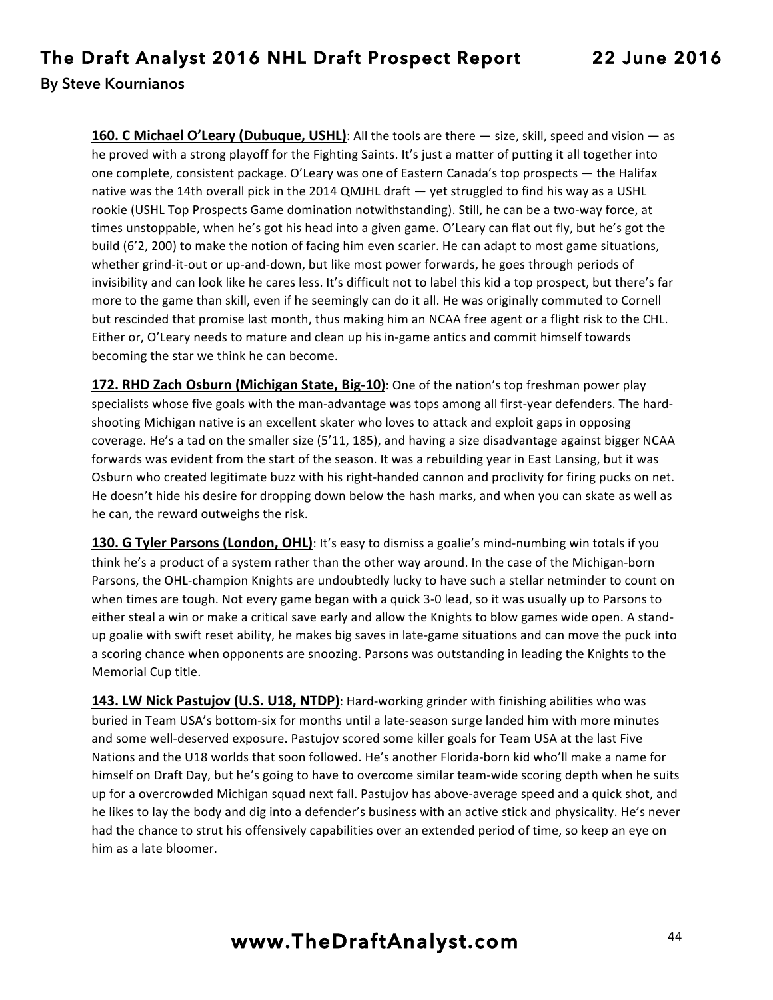**160. C Michael O'Leary (Dubuque, USHL)**: All the tools are there  $-$  size, skill, speed and vision  $-$  as he proved with a strong playoff for the Fighting Saints. It's just a matter of putting it all together into one complete, consistent package. O'Leary was one of Eastern Canada's top prospects — the Halifax native was the 14th overall pick in the 2014 QMJHL draft — yet struggled to find his way as a USHL rookie (USHL Top Prospects Game domination notwithstanding). Still, he can be a two-way force, at times unstoppable, when he's got his head into a given game. O'Leary can flat out fly, but he's got the build (6'2, 200) to make the notion of facing him even scarier. He can adapt to most game situations, whether grind-it-out or up-and-down, but like most power forwards, he goes through periods of invisibility and can look like he cares less. It's difficult not to label this kid a top prospect, but there's far more to the game than skill, even if he seemingly can do it all. He was originally commuted to Cornell but rescinded that promise last month, thus making him an NCAA free agent or a flight risk to the CHL. Either or, O'Leary needs to mature and clean up his in-game antics and commit himself towards becoming the star we think he can become.

**172. RHD Zach Osburn (Michigan State, Big-10)**: One of the nation's top freshman power play specialists whose five goals with the man-advantage was tops among all first-year defenders. The hardshooting Michigan native is an excellent skater who loves to attack and exploit gaps in opposing coverage. He's a tad on the smaller size (5'11, 185), and having a size disadvantage against bigger NCAA forwards was evident from the start of the season. It was a rebuilding year in East Lansing, but it was Osburn who created legitimate buzz with his right-handed cannon and proclivity for firing pucks on net. He doesn't hide his desire for dropping down below the hash marks, and when you can skate as well as he can, the reward outweighs the risk.

**130. G Tyler Parsons (London, OHL)**: It's easy to dismiss a goalie's mind-numbing win totals if you think he's a product of a system rather than the other way around. In the case of the Michigan-born Parsons, the OHL-champion Knights are undoubtedly lucky to have such a stellar netminder to count on when times are tough. Not every game began with a quick 3-0 lead, so it was usually up to Parsons to either steal a win or make a critical save early and allow the Knights to blow games wide open. A standup goalie with swift reset ability, he makes big saves in late-game situations and can move the puck into a scoring chance when opponents are snoozing. Parsons was outstanding in leading the Knights to the Memorial Cup title.

**143. LW Nick Pastujov (U.S. U18, NTDP)**: Hard-working grinder with finishing abilities who was buried in Team USA's bottom-six for months until a late-season surge landed him with more minutes and some well-deserved exposure. Pastujov scored some killer goals for Team USA at the last Five Nations and the U18 worlds that soon followed. He's another Florida-born kid who'll make a name for himself on Draft Day, but he's going to have to overcome similar team-wide scoring depth when he suits up for a overcrowded Michigan squad next fall. Pastujov has above-average speed and a quick shot, and he likes to lay the body and dig into a defender's business with an active stick and physicality. He's never had the chance to strut his offensively capabilities over an extended period of time, so keep an eye on him as a late bloomer.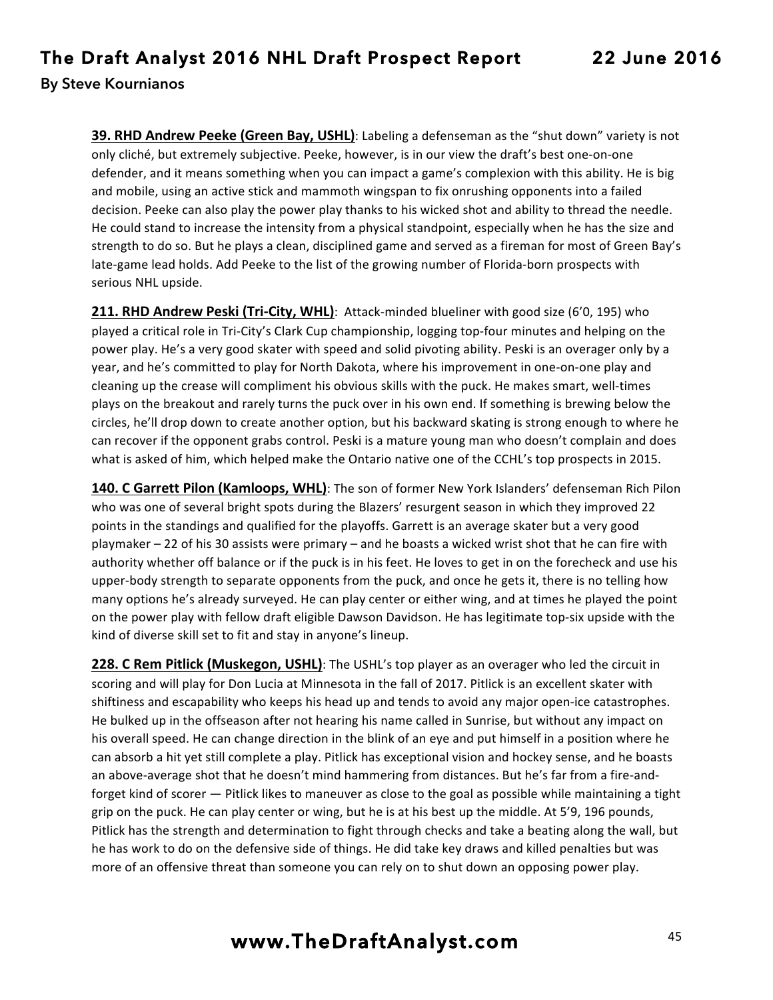**39. RHD Andrew Peeke (Green Bay, USHL)**: Labeling a defenseman as the "shut down" variety is not only cliché, but extremely subjective. Peeke, however, is in our view the draft's best one-on-one defender, and it means something when you can impact a game's complexion with this ability. He is big and mobile, using an active stick and mammoth wingspan to fix onrushing opponents into a failed decision. Peeke can also play the power play thanks to his wicked shot and ability to thread the needle. He could stand to increase the intensity from a physical standpoint, especially when he has the size and strength to do so. But he plays a clean, disciplined game and served as a fireman for most of Green Bay's late-game lead holds. Add Peeke to the list of the growing number of Florida-born prospects with serious NHL upside.

**211. RHD Andrew Peski (Tri-City, WHL)**: Attack-minded blueliner with good size (6'0, 195) who played a critical role in Tri-City's Clark Cup championship, logging top-four minutes and helping on the power play. He's a very good skater with speed and solid pivoting ability. Peski is an overager only by a year, and he's committed to play for North Dakota, where his improvement in one-on-one play and cleaning up the crease will compliment his obvious skills with the puck. He makes smart, well-times plays on the breakout and rarely turns the puck over in his own end. If something is brewing below the circles, he'll drop down to create another option, but his backward skating is strong enough to where he can recover if the opponent grabs control. Peski is a mature young man who doesn't complain and does what is asked of him, which helped make the Ontario native one of the CCHL's top prospects in 2015.

**140. C Garrett Pilon (Kamloops, WHL)**: The son of former New York Islanders' defenseman Rich Pilon who was one of several bright spots during the Blazers' resurgent season in which they improved 22 points in the standings and qualified for the playoffs. Garrett is an average skater but a very good playmaker – 22 of his 30 assists were primary – and he boasts a wicked wrist shot that he can fire with authority whether off balance or if the puck is in his feet. He loves to get in on the forecheck and use his upper-body strength to separate opponents from the puck, and once he gets it, there is no telling how many options he's already surveyed. He can play center or either wing, and at times he played the point on the power play with fellow draft eligible Dawson Davidson. He has legitimate top-six upside with the kind of diverse skill set to fit and stay in anyone's lineup.

**228. C Rem Pitlick (Muskegon, USHL)**: The USHL's top player as an overager who led the circuit in scoring and will play for Don Lucia at Minnesota in the fall of 2017. Pitlick is an excellent skater with shiftiness and escapability who keeps his head up and tends to avoid any major open-ice catastrophes. He bulked up in the offseason after not hearing his name called in Sunrise, but without any impact on his overall speed. He can change direction in the blink of an eye and put himself in a position where he can absorb a hit yet still complete a play. Pitlick has exceptional vision and hockey sense, and he boasts an above-average shot that he doesn't mind hammering from distances. But he's far from a fire-andforget kind of scorer — Pitlick likes to maneuver as close to the goal as possible while maintaining a tight grip on the puck. He can play center or wing, but he is at his best up the middle. At 5'9, 196 pounds, Pitlick has the strength and determination to fight through checks and take a beating along the wall, but he has work to do on the defensive side of things. He did take key draws and killed penalties but was more of an offensive threat than someone you can rely on to shut down an opposing power play.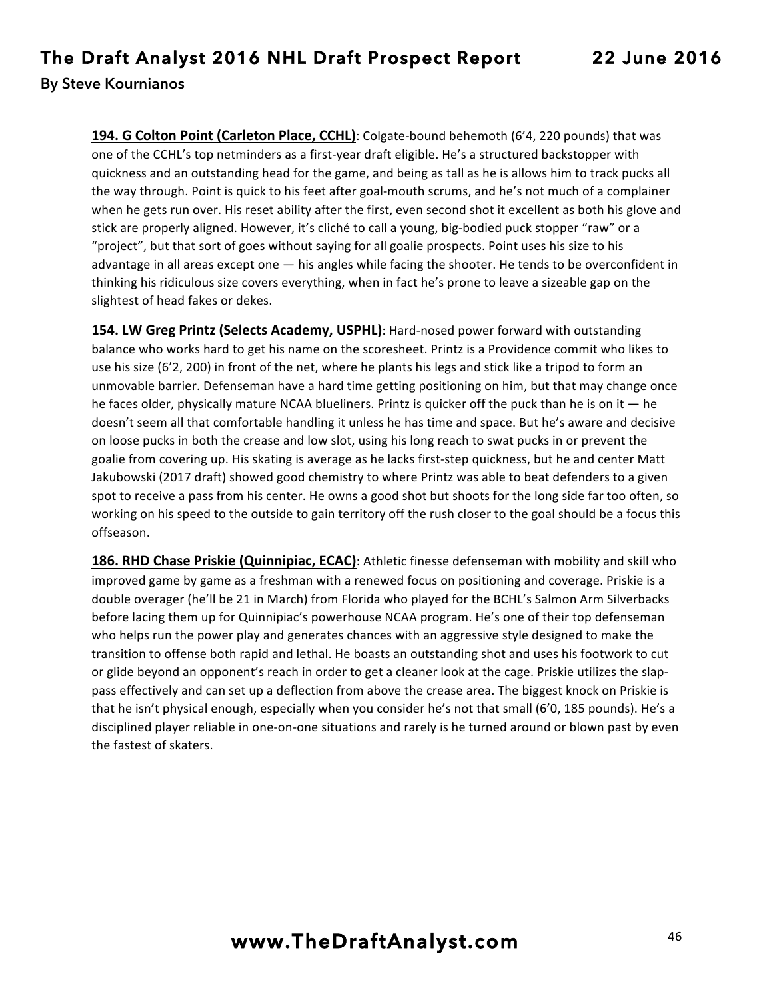**194. G Colton Point (Carleton Place, CCHL)**: Colgate-bound behemoth (6'4, 220 pounds) that was one of the CCHL's top netminders as a first-year draft eligible. He's a structured backstopper with quickness and an outstanding head for the game, and being as tall as he is allows him to track pucks all the way through. Point is quick to his feet after goal-mouth scrums, and he's not much of a complainer when he gets run over. His reset ability after the first, even second shot it excellent as both his glove and stick are properly aligned. However, it's cliché to call a young, big-bodied puck stopper "raw" or a "project", but that sort of goes without saying for all goalie prospects. Point uses his size to his advantage in all areas except one - his angles while facing the shooter. He tends to be overconfident in thinking his ridiculous size covers everything, when in fact he's prone to leave a sizeable gap on the slightest of head fakes or dekes.

**154. LW Greg Printz (Selects Academy, USPHL)**: Hard-nosed power forward with outstanding balance who works hard to get his name on the scoresheet. Printz is a Providence commit who likes to use his size (6'2, 200) in front of the net, where he plants his legs and stick like a tripod to form an unmovable barrier. Defenseman have a hard time getting positioning on him, but that may change once he faces older, physically mature NCAA blueliners. Printz is quicker off the puck than he is on it  $-$  he doesn't seem all that comfortable handling it unless he has time and space. But he's aware and decisive on loose pucks in both the crease and low slot, using his long reach to swat pucks in or prevent the goalie from covering up. His skating is average as he lacks first-step quickness, but he and center Matt Jakubowski (2017 draft) showed good chemistry to where Printz was able to beat defenders to a given spot to receive a pass from his center. He owns a good shot but shoots for the long side far too often, so working on his speed to the outside to gain territory off the rush closer to the goal should be a focus this offseason.

186. RHD Chase Priskie (Quinnipiac, ECAC): Athletic finesse defenseman with mobility and skill who improved game by game as a freshman with a renewed focus on positioning and coverage. Priskie is a double overager (he'll be 21 in March) from Florida who played for the BCHL's Salmon Arm Silverbacks before lacing them up for Quinnipiac's powerhouse NCAA program. He's one of their top defenseman who helps run the power play and generates chances with an aggressive style designed to make the transition to offense both rapid and lethal. He boasts an outstanding shot and uses his footwork to cut or glide beyond an opponent's reach in order to get a cleaner look at the cage. Priskie utilizes the slappass effectively and can set up a deflection from above the crease area. The biggest knock on Priskie is that he isn't physical enough, especially when you consider he's not that small (6'0, 185 pounds). He's a disciplined player reliable in one-on-one situations and rarely is he turned around or blown past by even the fastest of skaters.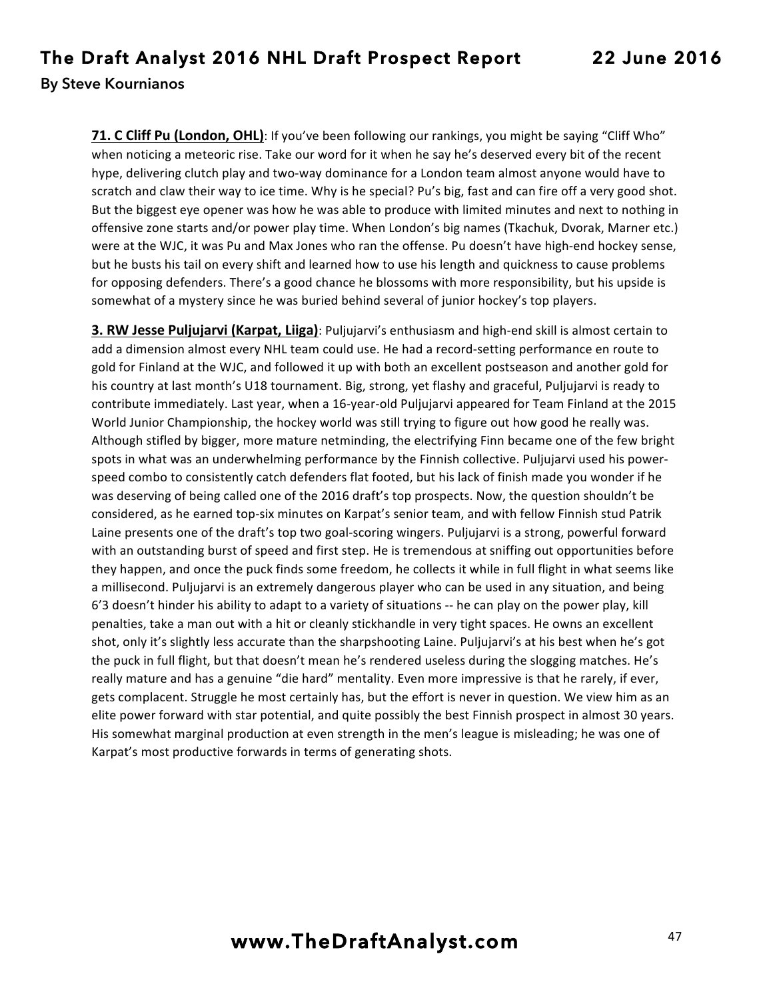**71. C Cliff Pu (London, OHL)**: If you've been following our rankings, you might be saying "Cliff Who" when noticing a meteoric rise. Take our word for it when he say he's deserved every bit of the recent hype, delivering clutch play and two-way dominance for a London team almost anyone would have to scratch and claw their way to ice time. Why is he special? Pu's big, fast and can fire off a very good shot. But the biggest eye opener was how he was able to produce with limited minutes and next to nothing in offensive zone starts and/or power play time. When London's big names (Tkachuk, Dvorak, Marner etc.) were at the WJC, it was Pu and Max Jones who ran the offense. Pu doesn't have high-end hockey sense, but he busts his tail on every shift and learned how to use his length and quickness to cause problems for opposing defenders. There's a good chance he blossoms with more responsibility, but his upside is somewhat of a mystery since he was buried behind several of junior hockey's top players.

**3. RW Jesse Puljujarvi (Karpat, Liiga)**: Puljujarvi's enthusiasm and high-end skill is almost certain to add a dimension almost every NHL team could use. He had a record-setting performance en route to gold for Finland at the WJC, and followed it up with both an excellent postseason and another gold for his country at last month's U18 tournament. Big, strong, yet flashy and graceful, Puljujarvi is ready to contribute immediately. Last year, when a 16-year-old Puljujarvi appeared for Team Finland at the 2015 World Junior Championship, the hockey world was still trying to figure out how good he really was. Although stifled by bigger, more mature netminding, the electrifying Finn became one of the few bright spots in what was an underwhelming performance by the Finnish collective. Puljujarvi used his powerspeed combo to consistently catch defenders flat footed, but his lack of finish made you wonder if he was deserving of being called one of the 2016 draft's top prospects. Now, the question shouldn't be considered, as he earned top-six minutes on Karpat's senior team, and with fellow Finnish stud Patrik Laine presents one of the draft's top two goal-scoring wingers. Puljujarvi is a strong, powerful forward with an outstanding burst of speed and first step. He is tremendous at sniffing out opportunities before they happen, and once the puck finds some freedom, he collects it while in full flight in what seems like a millisecond. Puljujarvi is an extremely dangerous player who can be used in any situation, and being  $6'3$  doesn't hinder his ability to adapt to a variety of situations  $-$  he can play on the power play, kill penalties, take a man out with a hit or cleanly stickhandle in very tight spaces. He owns an excellent shot, only it's slightly less accurate than the sharpshooting Laine. Puljujarvi's at his best when he's got the puck in full flight, but that doesn't mean he's rendered useless during the slogging matches. He's really mature and has a genuine "die hard" mentality. Even more impressive is that he rarely, if ever, gets complacent. Struggle he most certainly has, but the effort is never in question. We view him as an elite power forward with star potential, and quite possibly the best Finnish prospect in almost 30 years. His somewhat marginal production at even strength in the men's league is misleading; he was one of Karpat's most productive forwards in terms of generating shots.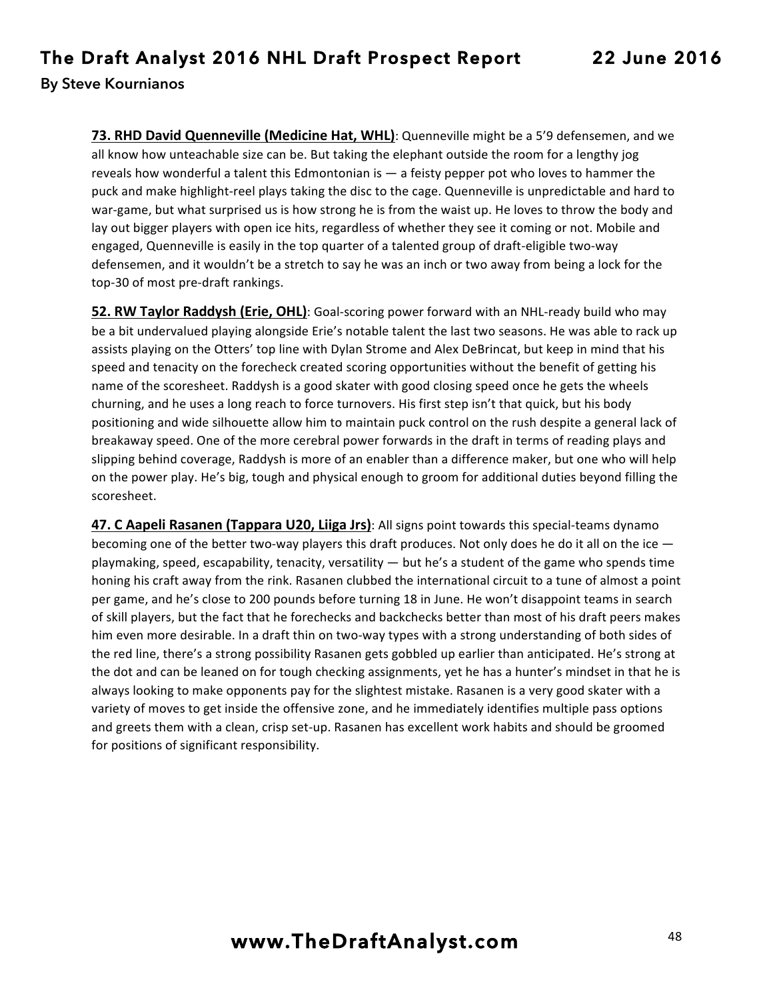73. RHD David Quenneville (Medicine Hat, WHL): Quenneville might be a 5'9 defensemen, and we all know how unteachable size can be. But taking the elephant outside the room for a lengthy jog reveals how wonderful a talent this Edmontonian is  $-$  a feisty pepper pot who loves to hammer the puck and make highlight-reel plays taking the disc to the cage. Quenneville is unpredictable and hard to war-game, but what surprised us is how strong he is from the waist up. He loves to throw the body and lay out bigger players with open ice hits, regardless of whether they see it coming or not. Mobile and engaged, Quenneville is easily in the top quarter of a talented group of draft-eligible two-way defensemen, and it wouldn't be a stretch to say he was an inch or two away from being a lock for the top-30 of most pre-draft rankings.

**52. RW Taylor Raddysh (Erie, OHL)**: Goal-scoring power forward with an NHL-ready build who may be a bit undervalued playing alongside Erie's notable talent the last two seasons. He was able to rack up assists playing on the Otters' top line with Dylan Strome and Alex DeBrincat, but keep in mind that his speed and tenacity on the forecheck created scoring opportunities without the benefit of getting his name of the scoresheet. Raddysh is a good skater with good closing speed once he gets the wheels churning, and he uses a long reach to force turnovers. His first step isn't that quick, but his body positioning and wide silhouette allow him to maintain puck control on the rush despite a general lack of breakaway speed. One of the more cerebral power forwards in the draft in terms of reading plays and slipping behind coverage, Raddysh is more of an enabler than a difference maker, but one who will help on the power play. He's big, tough and physical enough to groom for additional duties beyond filling the scoresheet.

**47. C Aapeli Rasanen (Tappara U20, Liiga Jrs)**: All signs point towards this special-teams dynamo becoming one of the better two-way players this draft produces. Not only does he do it all on the ice  $$ playmaking, speed, escapability, tenacity, versatility — but he's a student of the game who spends time honing his craft away from the rink. Rasanen clubbed the international circuit to a tune of almost a point per game, and he's close to 200 pounds before turning 18 in June. He won't disappoint teams in search of skill players, but the fact that he forechecks and backchecks better than most of his draft peers makes him even more desirable. In a draft thin on two-way types with a strong understanding of both sides of the red line, there's a strong possibility Rasanen gets gobbled up earlier than anticipated. He's strong at the dot and can be leaned on for tough checking assignments, yet he has a hunter's mindset in that he is always looking to make opponents pay for the slightest mistake. Rasanen is a very good skater with a variety of moves to get inside the offensive zone, and he immediately identifies multiple pass options and greets them with a clean, crisp set-up. Rasanen has excellent work habits and should be groomed for positions of significant responsibility.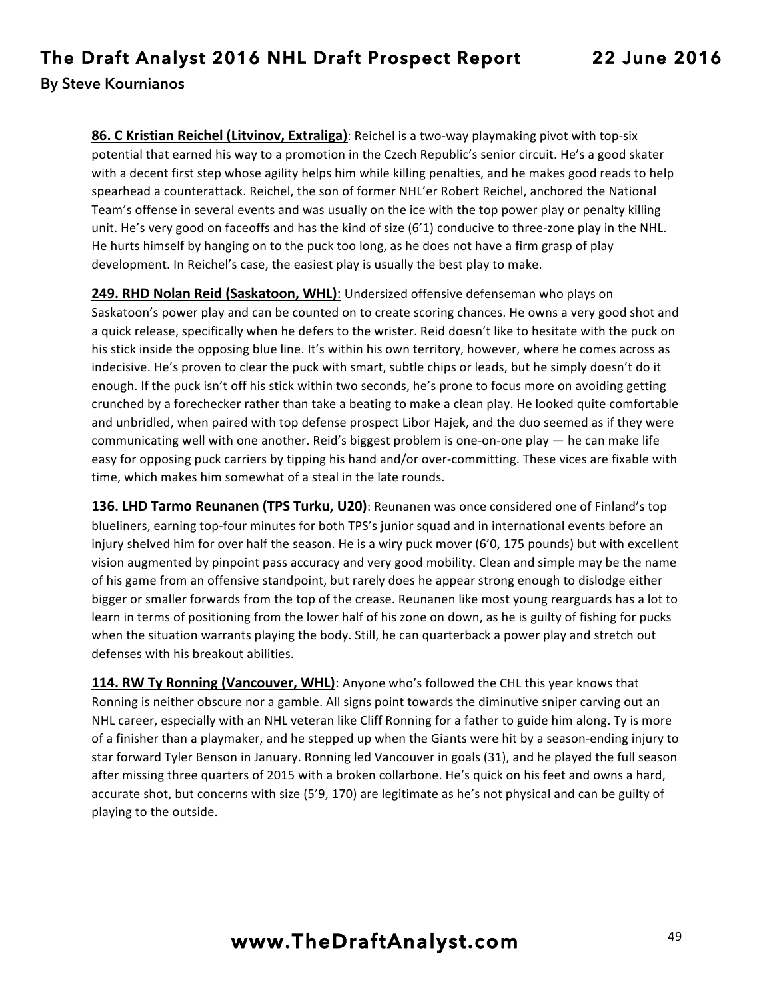**86. C Kristian Reichel (Litvinov, Extraliga)**: Reichel is a two-way playmaking pivot with top-six potential that earned his way to a promotion in the Czech Republic's senior circuit. He's a good skater with a decent first step whose agility helps him while killing penalties, and he makes good reads to help spearhead a counterattack. Reichel, the son of former NHL'er Robert Reichel, anchored the National Team's offense in several events and was usually on the ice with the top power play or penalty killing unit. He's very good on faceoffs and has the kind of size (6'1) conducive to three-zone play in the NHL. He hurts himself by hanging on to the puck too long, as he does not have a firm grasp of play development. In Reichel's case, the easiest play is usually the best play to make.

**249. RHD Nolan Reid (Saskatoon, WHL)**: Undersized offensive defenseman who plays on Saskatoon's power play and can be counted on to create scoring chances. He owns a very good shot and a quick release, specifically when he defers to the wrister. Reid doesn't like to hesitate with the puck on his stick inside the opposing blue line. It's within his own territory, however, where he comes across as indecisive. He's proven to clear the puck with smart, subtle chips or leads, but he simply doesn't do it enough. If the puck isn't off his stick within two seconds, he's prone to focus more on avoiding getting crunched by a forechecker rather than take a beating to make a clean play. He looked quite comfortable and unbridled, when paired with top defense prospect Libor Hajek, and the duo seemed as if they were communicating well with one another. Reid's biggest problem is one-on-one play  $-$  he can make life easy for opposing puck carriers by tipping his hand and/or over-committing. These vices are fixable with time, which makes him somewhat of a steal in the late rounds.

**136. LHD Tarmo Reunanen (TPS Turku, U20)**: Reunanen was once considered one of Finland's top blueliners, earning top-four minutes for both TPS's junior squad and in international events before an injury shelved him for over half the season. He is a wiry puck mover (6'0, 175 pounds) but with excellent vision augmented by pinpoint pass accuracy and very good mobility. Clean and simple may be the name of his game from an offensive standpoint, but rarely does he appear strong enough to dislodge either bigger or smaller forwards from the top of the crease. Reunanen like most young rearguards has a lot to learn in terms of positioning from the lower half of his zone on down, as he is guilty of fishing for pucks when the situation warrants playing the body. Still, he can quarterback a power play and stretch out defenses with his breakout abilities.

**114. RW Ty Ronning (Vancouver, WHL)**: Anyone who's followed the CHL this year knows that Ronning is neither obscure nor a gamble. All signs point towards the diminutive sniper carving out an NHL career, especially with an NHL veteran like Cliff Ronning for a father to guide him along. Ty is more of a finisher than a playmaker, and he stepped up when the Giants were hit by a season-ending injury to star forward Tyler Benson in January. Ronning led Vancouver in goals (31), and he played the full season after missing three quarters of 2015 with a broken collarbone. He's quick on his feet and owns a hard, accurate shot, but concerns with size (5'9, 170) are legitimate as he's not physical and can be guilty of playing to the outside.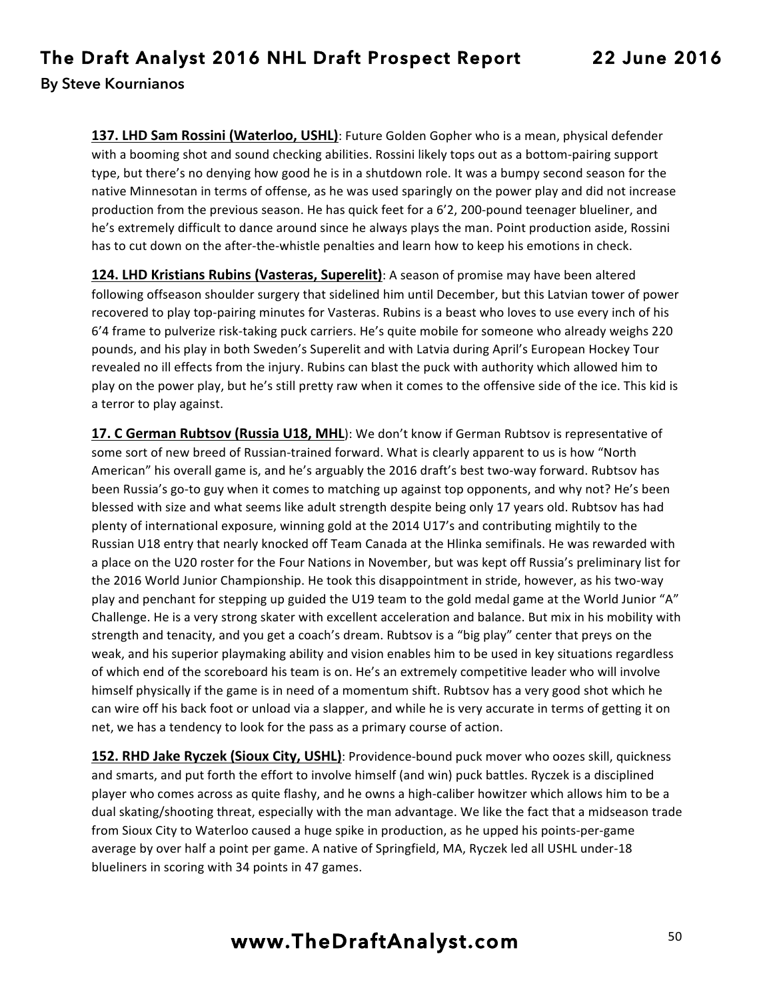**137. LHD Sam Rossini (Waterloo, USHL)**: Future Golden Gopher who is a mean, physical defender with a booming shot and sound checking abilities. Rossini likely tops out as a bottom-pairing support type, but there's no denying how good he is in a shutdown role. It was a bumpy second season for the native Minnesotan in terms of offense, as he was used sparingly on the power play and did not increase production from the previous season. He has quick feet for a 6'2, 200-pound teenager blueliner, and he's extremely difficult to dance around since he always plays the man. Point production aside, Rossini has to cut down on the after-the-whistle penalties and learn how to keep his emotions in check.

**124. LHD Kristians Rubins (Vasteras, Superelit)**: A season of promise may have been altered following offseason shoulder surgery that sidelined him until December, but this Latvian tower of power recovered to play top-pairing minutes for Vasteras. Rubins is a beast who loves to use every inch of his 6'4 frame to pulverize risk-taking puck carriers. He's quite mobile for someone who already weighs 220 pounds, and his play in both Sweden's Superelit and with Latvia during April's European Hockey Tour revealed no ill effects from the injury. Rubins can blast the puck with authority which allowed him to play on the power play, but he's still pretty raw when it comes to the offensive side of the ice. This kid is a terror to play against.

**17. C German Rubtsov (Russia U18, MHL**): We don't know if German Rubtsov is representative of some sort of new breed of Russian-trained forward. What is clearly apparent to us is how "North American" his overall game is, and he's arguably the 2016 draft's best two-way forward. Rubtsov has been Russia's go-to guy when it comes to matching up against top opponents, and why not? He's been blessed with size and what seems like adult strength despite being only 17 years old. Rubtsov has had plenty of international exposure, winning gold at the 2014 U17's and contributing mightily to the Russian U18 entry that nearly knocked off Team Canada at the Hlinka semifinals. He was rewarded with a place on the U20 roster for the Four Nations in November, but was kept off Russia's preliminary list for the 2016 World Junior Championship. He took this disappointment in stride, however, as his two-way play and penchant for stepping up guided the U19 team to the gold medal game at the World Junior "A" Challenge. He is a very strong skater with excellent acceleration and balance. But mix in his mobility with strength and tenacity, and you get a coach's dream. Rubtsov is a "big play" center that preys on the weak, and his superior playmaking ability and vision enables him to be used in key situations regardless of which end of the scoreboard his team is on. He's an extremely competitive leader who will involve himself physically if the game is in need of a momentum shift. Rubtsov has a very good shot which he can wire off his back foot or unload via a slapper, and while he is very accurate in terms of getting it on net, we has a tendency to look for the pass as a primary course of action.

**152. RHD Jake Ryczek (Sioux City, USHL)**: Providence-bound puck mover who oozes skill, quickness and smarts, and put forth the effort to involve himself (and win) puck battles. Ryczek is a disciplined player who comes across as quite flashy, and he owns a high-caliber howitzer which allows him to be a dual skating/shooting threat, especially with the man advantage. We like the fact that a midseason trade from Sioux City to Waterloo caused a huge spike in production, as he upped his points-per-game average by over half a point per game. A native of Springfield, MA, Ryczek led all USHL under-18 blueliners in scoring with 34 points in 47 games.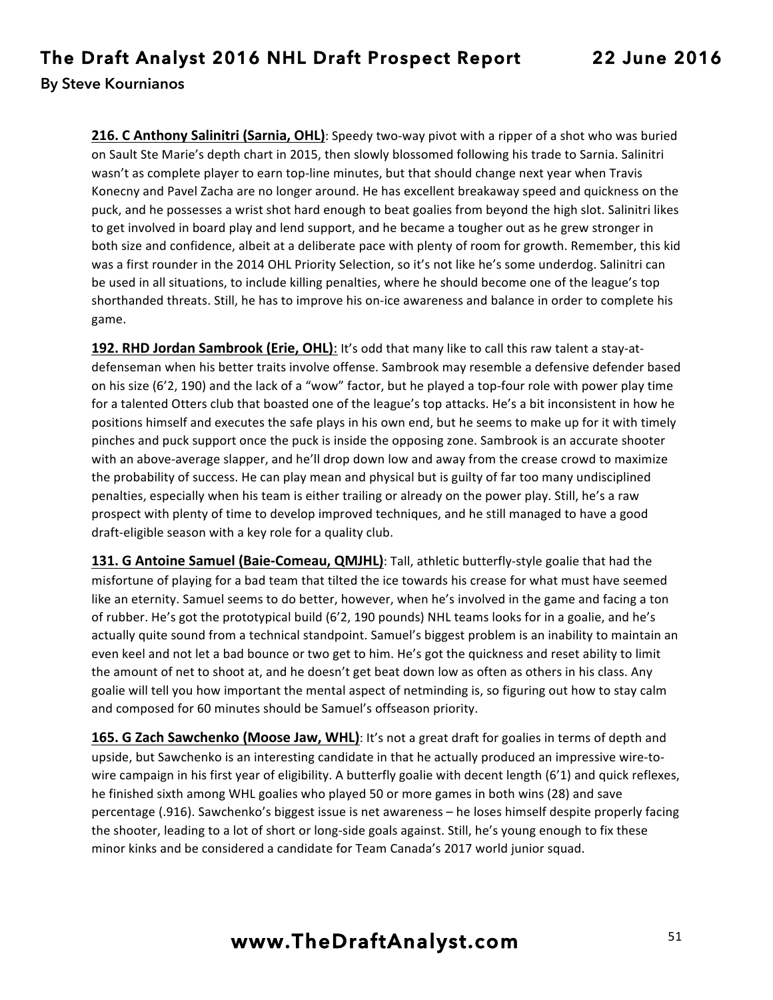**216. C Anthony Salinitri (Sarnia, OHL)**: Speedy two-way pivot with a ripper of a shot who was buried on Sault Ste Marie's depth chart in 2015, then slowly blossomed following his trade to Sarnia. Salinitri wasn't as complete player to earn top-line minutes, but that should change next year when Travis Konecny and Pavel Zacha are no longer around. He has excellent breakaway speed and quickness on the puck, and he possesses a wrist shot hard enough to beat goalies from beyond the high slot. Salinitri likes to get involved in board play and lend support, and he became a tougher out as he grew stronger in both size and confidence, albeit at a deliberate pace with plenty of room for growth. Remember, this kid was a first rounder in the 2014 OHL Priority Selection, so it's not like he's some underdog. Salinitri can be used in all situations, to include killing penalties, where he should become one of the league's top shorthanded threats. Still, he has to improve his on-ice awareness and balance in order to complete his game.

**192. RHD Jordan Sambrook (Erie, OHL)**: It's odd that many like to call this raw talent a stay-atdefenseman when his better traits involve offense. Sambrook may resemble a defensive defender based on his size (6'2, 190) and the lack of a "wow" factor, but he played a top-four role with power play time for a talented Otters club that boasted one of the league's top attacks. He's a bit inconsistent in how he positions himself and executes the safe plays in his own end, but he seems to make up for it with timely pinches and puck support once the puck is inside the opposing zone. Sambrook is an accurate shooter with an above-average slapper, and he'll drop down low and away from the crease crowd to maximize the probability of success. He can play mean and physical but is guilty of far too many undisciplined penalties, especially when his team is either trailing or already on the power play. Still, he's a raw prospect with plenty of time to develop improved techniques, and he still managed to have a good draft-eligible season with a key role for a quality club.

131. G Antoine Samuel (Baie-Comeau, QMJHL): Tall, athletic butterfly-style goalie that had the misfortune of playing for a bad team that tilted the ice towards his crease for what must have seemed like an eternity. Samuel seems to do better, however, when he's involved in the game and facing a ton of rubber. He's got the prototypical build (6'2, 190 pounds) NHL teams looks for in a goalie, and he's actually quite sound from a technical standpoint. Samuel's biggest problem is an inability to maintain an even keel and not let a bad bounce or two get to him. He's got the quickness and reset ability to limit the amount of net to shoot at, and he doesn't get beat down low as often as others in his class. Any goalie will tell you how important the mental aspect of netminding is, so figuring out how to stay calm and composed for 60 minutes should be Samuel's offseason priority.

**165. G Zach Sawchenko (Moose Jaw, WHL)**: It's not a great draft for goalies in terms of depth and upside, but Sawchenko is an interesting candidate in that he actually produced an impressive wire-towire campaign in his first year of eligibility. A butterfly goalie with decent length (6'1) and quick reflexes, he finished sixth among WHL goalies who played 50 or more games in both wins (28) and save percentage (.916). Sawchenko's biggest issue is net awareness - he loses himself despite properly facing the shooter, leading to a lot of short or long-side goals against. Still, he's young enough to fix these minor kinks and be considered a candidate for Team Canada's 2017 world junior squad.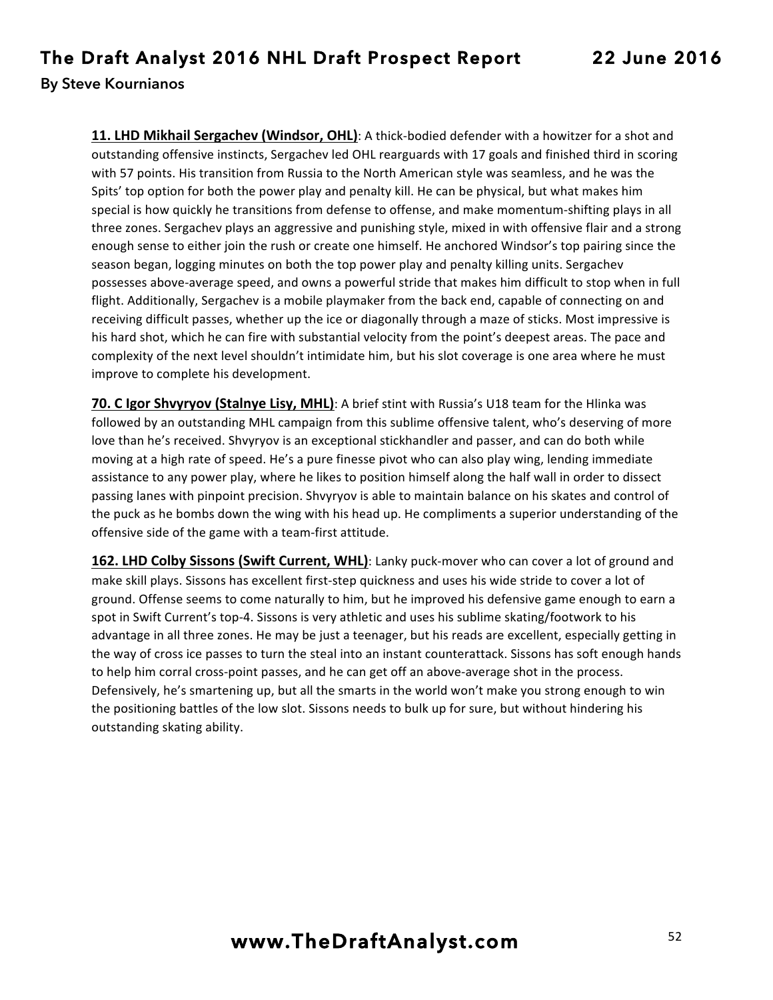**11. LHD Mikhail Sergachev (Windsor, OHL)**: A thick-bodied defender with a howitzer for a shot and outstanding offensive instincts, Sergachev led OHL rearguards with 17 goals and finished third in scoring with 57 points. His transition from Russia to the North American style was seamless, and he was the Spits' top option for both the power play and penalty kill. He can be physical, but what makes him special is how quickly he transitions from defense to offense, and make momentum-shifting plays in all three zones. Sergachev plays an aggressive and punishing style, mixed in with offensive flair and a strong enough sense to either join the rush or create one himself. He anchored Windsor's top pairing since the season began, logging minutes on both the top power play and penalty killing units. Sergachev possesses above-average speed, and owns a powerful stride that makes him difficult to stop when in full flight. Additionally, Sergachev is a mobile playmaker from the back end, capable of connecting on and receiving difficult passes, whether up the ice or diagonally through a maze of sticks. Most impressive is his hard shot, which he can fire with substantial velocity from the point's deepest areas. The pace and complexity of the next level shouldn't intimidate him, but his slot coverage is one area where he must improve to complete his development.

**70. C Igor Shvyryov (Stalnye Lisy, MHL)**: A brief stint with Russia's U18 team for the Hlinka was followed by an outstanding MHL campaign from this sublime offensive talent, who's deserving of more love than he's received. Shvyryov is an exceptional stickhandler and passer, and can do both while moving at a high rate of speed. He's a pure finesse pivot who can also play wing, lending immediate assistance to any power play, where he likes to position himself along the half wall in order to dissect passing lanes with pinpoint precision. Shvyryov is able to maintain balance on his skates and control of the puck as he bombs down the wing with his head up. He compliments a superior understanding of the offensive side of the game with a team-first attitude.

162. LHD Colby Sissons (Swift Current, WHL): Lanky puck-mover who can cover a lot of ground and make skill plays. Sissons has excellent first-step quickness and uses his wide stride to cover a lot of ground. Offense seems to come naturally to him, but he improved his defensive game enough to earn a spot in Swift Current's top-4. Sissons is very athletic and uses his sublime skating/footwork to his advantage in all three zones. He may be just a teenager, but his reads are excellent, especially getting in the way of cross ice passes to turn the steal into an instant counterattack. Sissons has soft enough hands to help him corral cross-point passes, and he can get off an above-average shot in the process. Defensively, he's smartening up, but all the smarts in the world won't make you strong enough to win the positioning battles of the low slot. Sissons needs to bulk up for sure, but without hindering his outstanding skating ability.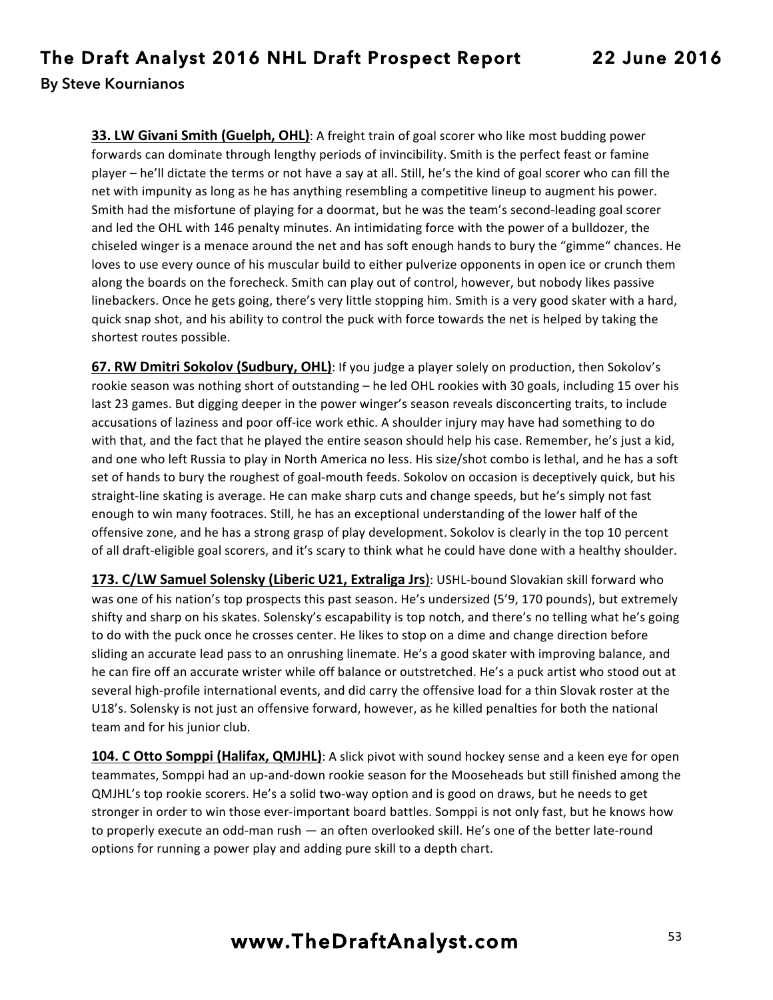**33. LW Givani Smith (Guelph, OHL)**: A freight train of goal scorer who like most budding power forwards can dominate through lengthy periods of invincibility. Smith is the perfect feast or famine player – he'll dictate the terms or not have a say at all. Still, he's the kind of goal scorer who can fill the net with impunity as long as he has anything resembling a competitive lineup to augment his power. Smith had the misfortune of playing for a doormat, but he was the team's second-leading goal scorer and led the OHL with 146 penalty minutes. An intimidating force with the power of a bulldozer, the chiseled winger is a menace around the net and has soft enough hands to bury the "gimme" chances. He loves to use every ounce of his muscular build to either pulverize opponents in open ice or crunch them along the boards on the forecheck. Smith can play out of control, however, but nobody likes passive linebackers. Once he gets going, there's very little stopping him. Smith is a very good skater with a hard, quick snap shot, and his ability to control the puck with force towards the net is helped by taking the shortest routes possible.

**67. RW Dmitri Sokolov (Sudbury, OHL)**: If you judge a player solely on production, then Sokolov's rookie season was nothing short of outstanding – he led OHL rookies with 30 goals, including 15 over his last 23 games. But digging deeper in the power winger's season reveals disconcerting traits, to include accusations of laziness and poor off-ice work ethic. A shoulder injury may have had something to do with that, and the fact that he played the entire season should help his case. Remember, he's just a kid, and one who left Russia to play in North America no less. His size/shot combo is lethal, and he has a soft set of hands to bury the roughest of goal-mouth feeds. Sokolov on occasion is deceptively quick, but his straight-line skating is average. He can make sharp cuts and change speeds, but he's simply not fast enough to win many footraces. Still, he has an exceptional understanding of the lower half of the offensive zone, and he has a strong grasp of play development. Sokolov is clearly in the top 10 percent of all draft-eligible goal scorers, and it's scary to think what he could have done with a healthy shoulder.

**173. C/LW Samuel Solensky (Liberic U21, Extraliga Jrs)**: USHL-bound Slovakian skill forward who was one of his nation's top prospects this past season. He's undersized (5'9, 170 pounds), but extremely shifty and sharp on his skates. Solensky's escapability is top notch, and there's no telling what he's going to do with the puck once he crosses center. He likes to stop on a dime and change direction before sliding an accurate lead pass to an onrushing linemate. He's a good skater with improving balance, and he can fire off an accurate wrister while off balance or outstretched. He's a puck artist who stood out at several high-profile international events, and did carry the offensive load for a thin Slovak roster at the U18's. Solensky is not just an offensive forward, however, as he killed penalties for both the national team and for his junior club.

**104. C Otto Somppi (Halifax, QMJHL)**: A slick pivot with sound hockey sense and a keen eye for open teammates, Somppi had an up-and-down rookie season for the Mooseheads but still finished among the QMJHL's top rookie scorers. He's a solid two-way option and is good on draws, but he needs to get stronger in order to win those ever-important board battles. Somppi is not only fast, but he knows how to properly execute an odd-man rush — an often overlooked skill. He's one of the better late-round options for running a power play and adding pure skill to a depth chart.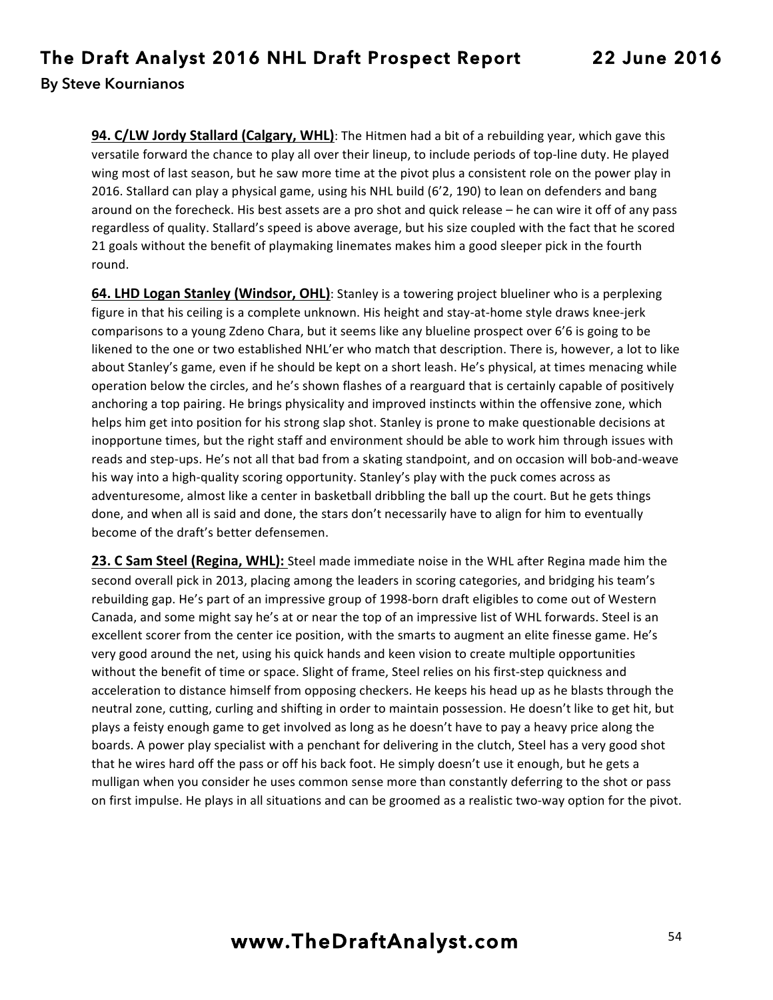**94. C/LW Jordy Stallard (Calgary, WHL)**: The Hitmen had a bit of a rebuilding year, which gave this versatile forward the chance to play all over their lineup, to include periods of top-line duty. He played wing most of last season, but he saw more time at the pivot plus a consistent role on the power play in 2016. Stallard can play a physical game, using his NHL build (6'2, 190) to lean on defenders and bang around on the forecheck. His best assets are a pro shot and quick release – he can wire it off of any pass regardless of quality. Stallard's speed is above average, but his size coupled with the fact that he scored 21 goals without the benefit of playmaking linemates makes him a good sleeper pick in the fourth round.

**64. LHD Logan Stanley (Windsor, OHL)**: Stanley is a towering project blueliner who is a perplexing figure in that his ceiling is a complete unknown. His height and stay-at-home style draws knee-jerk comparisons to a young Zdeno Chara, but it seems like any blueline prospect over 6'6 is going to be likened to the one or two established NHL'er who match that description. There is, however, a lot to like about Stanley's game, even if he should be kept on a short leash. He's physical, at times menacing while operation below the circles, and he's shown flashes of a rearguard that is certainly capable of positively anchoring a top pairing. He brings physicality and improved instincts within the offensive zone, which helps him get into position for his strong slap shot. Stanley is prone to make questionable decisions at inopportune times, but the right staff and environment should be able to work him through issues with reads and step-ups. He's not all that bad from a skating standpoint, and on occasion will bob-and-weave his way into a high-quality scoring opportunity. Stanley's play with the puck comes across as adventuresome, almost like a center in basketball dribbling the ball up the court. But he gets things done, and when all is said and done, the stars don't necessarily have to align for him to eventually become of the draft's better defensemen.

23. C Sam Steel (Regina, WHL): Steel made immediate noise in the WHL after Regina made him the second overall pick in 2013, placing among the leaders in scoring categories, and bridging his team's rebuilding gap. He's part of an impressive group of 1998-born draft eligibles to come out of Western Canada, and some might say he's at or near the top of an impressive list of WHL forwards. Steel is an excellent scorer from the center ice position, with the smarts to augment an elite finesse game. He's very good around the net, using his quick hands and keen vision to create multiple opportunities without the benefit of time or space. Slight of frame, Steel relies on his first-step quickness and acceleration to distance himself from opposing checkers. He keeps his head up as he blasts through the neutral zone, cutting, curling and shifting in order to maintain possession. He doesn't like to get hit, but plays a feisty enough game to get involved as long as he doesn't have to pay a heavy price along the boards. A power play specialist with a penchant for delivering in the clutch, Steel has a very good shot that he wires hard off the pass or off his back foot. He simply doesn't use it enough, but he gets a mulligan when you consider he uses common sense more than constantly deferring to the shot or pass on first impulse. He plays in all situations and can be groomed as a realistic two-way option for the pivot.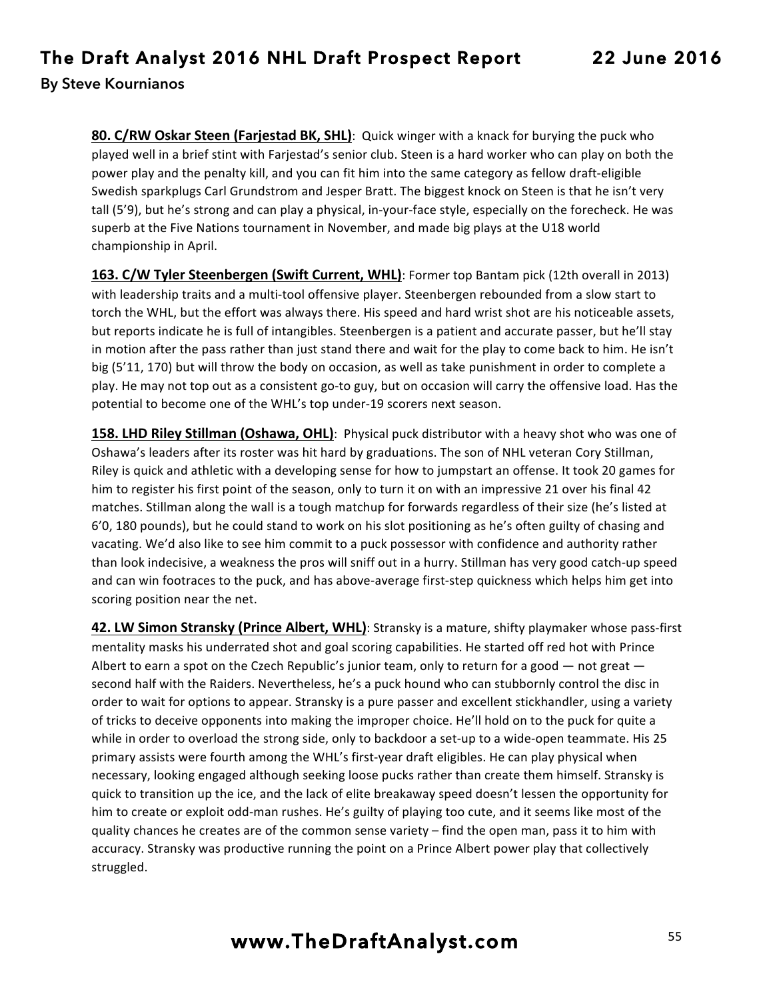80. C/RW Oskar Steen (Farjestad BK, SHL): Quick winger with a knack for burying the puck who played well in a brief stint with Farjestad's senior club. Steen is a hard worker who can play on both the power play and the penalty kill, and you can fit him into the same category as fellow draft-eligible Swedish sparkplugs Carl Grundstrom and Jesper Bratt. The biggest knock on Steen is that he isn't very tall (5'9), but he's strong and can play a physical, in-your-face style, especially on the forecheck. He was superb at the Five Nations tournament in November, and made big plays at the U18 world championship in April.

**163. C/W Tyler Steenbergen (Swift Current, WHL)**: Former top Bantam pick (12th overall in 2013) with leadership traits and a multi-tool offensive player. Steenbergen rebounded from a slow start to torch the WHL, but the effort was always there. His speed and hard wrist shot are his noticeable assets, but reports indicate he is full of intangibles. Steenbergen is a patient and accurate passer, but he'll stay in motion after the pass rather than just stand there and wait for the play to come back to him. He isn't big (5'11, 170) but will throw the body on occasion, as well as take punishment in order to complete a play. He may not top out as a consistent go-to guy, but on occasion will carry the offensive load. Has the potential to become one of the WHL's top under-19 scorers next season.

**158. LHD Riley Stillman (Oshawa, OHL)**: Physical puck distributor with a heavy shot who was one of Oshawa's leaders after its roster was hit hard by graduations. The son of NHL veteran Cory Stillman, Riley is quick and athletic with a developing sense for how to jumpstart an offense. It took 20 games for him to register his first point of the season, only to turn it on with an impressive 21 over his final 42 matches. Stillman along the wall is a tough matchup for forwards regardless of their size (he's listed at 6'0, 180 pounds), but he could stand to work on his slot positioning as he's often guilty of chasing and vacating. We'd also like to see him commit to a puck possessor with confidence and authority rather than look indecisive, a weakness the pros will sniff out in a hurry. Stillman has very good catch-up speed and can win footraces to the puck, and has above-average first-step quickness which helps him get into scoring position near the net.

**42. LW Simon Stransky (Prince Albert, WHL)**: Stransky is a mature, shifty playmaker whose pass-first mentality masks his underrated shot and goal scoring capabilities. He started off red hot with Prince Albert to earn a spot on the Czech Republic's junior team, only to return for a good  $-$  not great  $$ second half with the Raiders. Nevertheless, he's a puck hound who can stubbornly control the disc in order to wait for options to appear. Stransky is a pure passer and excellent stickhandler, using a variety of tricks to deceive opponents into making the improper choice. He'll hold on to the puck for quite a while in order to overload the strong side, only to backdoor a set-up to a wide-open teammate. His 25 primary assists were fourth among the WHL's first-year draft eligibles. He can play physical when necessary, looking engaged although seeking loose pucks rather than create them himself. Stransky is quick to transition up the ice, and the lack of elite breakaway speed doesn't lessen the opportunity for him to create or exploit odd-man rushes. He's guilty of playing too cute, and it seems like most of the quality chances he creates are of the common sense variety  $-$  find the open man, pass it to him with accuracy. Stransky was productive running the point on a Prince Albert power play that collectively struggled.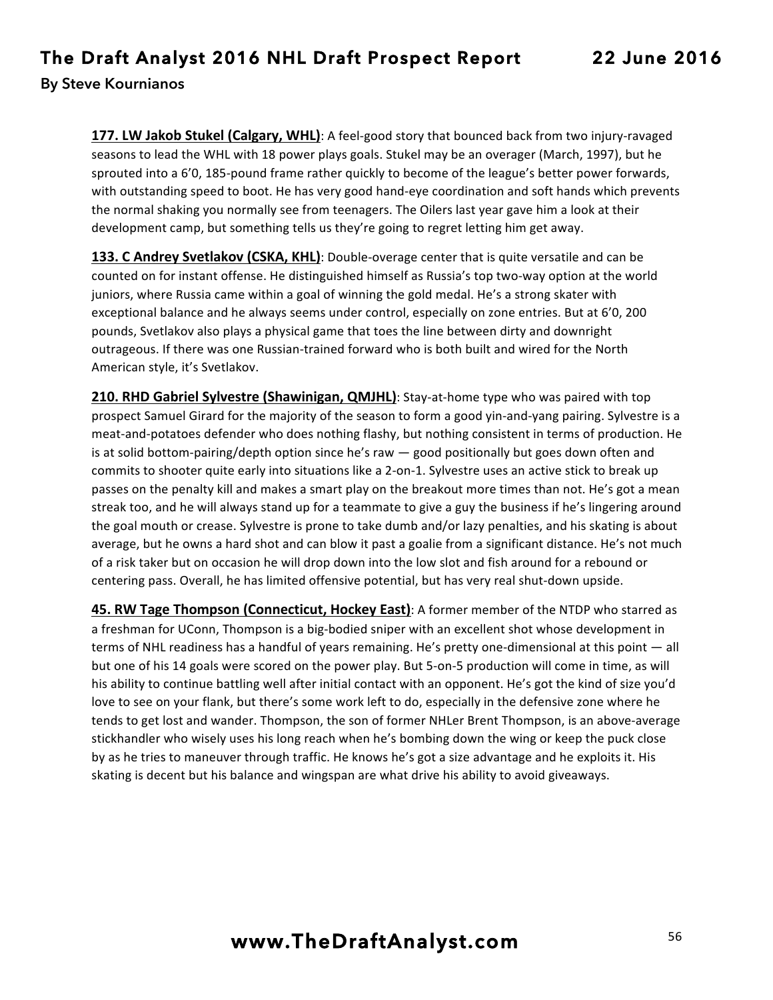**177. LW Jakob Stukel (Calgary, WHL)**: A feel-good story that bounced back from two injury-ravaged seasons to lead the WHL with 18 power plays goals. Stukel may be an overager (March, 1997), but he sprouted into a 6'0, 185-pound frame rather quickly to become of the league's better power forwards, with outstanding speed to boot. He has very good hand-eye coordination and soft hands which prevents the normal shaking you normally see from teenagers. The Oilers last year gave him a look at their development camp, but something tells us they're going to regret letting him get away.

**133. C Andrey Svetlakov (CSKA, KHL)**: Double-overage center that is quite versatile and can be counted on for instant offense. He distinguished himself as Russia's top two-way option at the world juniors, where Russia came within a goal of winning the gold medal. He's a strong skater with exceptional balance and he always seems under control, especially on zone entries. But at 6'0, 200 pounds, Svetlakov also plays a physical game that toes the line between dirty and downright outrageous. If there was one Russian-trained forward who is both built and wired for the North American style, it's Svetlakov.

**210. RHD Gabriel Sylvestre (Shawinigan, QMJHL)**: Stay-at-home type who was paired with top prospect Samuel Girard for the majority of the season to form a good yin-and-yang pairing. Sylvestre is a meat-and-potatoes defender who does nothing flashy, but nothing consistent in terms of production. He is at solid bottom-pairing/depth option since he's raw  $-$  good positionally but goes down often and commits to shooter quite early into situations like a 2-on-1. Sylvestre uses an active stick to break up passes on the penalty kill and makes a smart play on the breakout more times than not. He's got a mean streak too, and he will always stand up for a teammate to give a guy the business if he's lingering around the goal mouth or crease. Sylvestre is prone to take dumb and/or lazy penalties, and his skating is about average, but he owns a hard shot and can blow it past a goalie from a significant distance. He's not much of a risk taker but on occasion he will drop down into the low slot and fish around for a rebound or centering pass. Overall, he has limited offensive potential, but has very real shut-down upside.

45. RW Tage Thompson (Connecticut, Hockey East): A former member of the NTDP who starred as a freshman for UConn, Thompson is a big-bodied sniper with an excellent shot whose development in terms of NHL readiness has a handful of years remaining. He's pretty one-dimensional at this point — all but one of his 14 goals were scored on the power play. But 5-on-5 production will come in time, as will his ability to continue battling well after initial contact with an opponent. He's got the kind of size you'd love to see on your flank, but there's some work left to do, especially in the defensive zone where he tends to get lost and wander. Thompson, the son of former NHLer Brent Thompson, is an above-average stickhandler who wisely uses his long reach when he's bombing down the wing or keep the puck close by as he tries to maneuver through traffic. He knows he's got a size advantage and he exploits it. His skating is decent but his balance and wingspan are what drive his ability to avoid giveaways.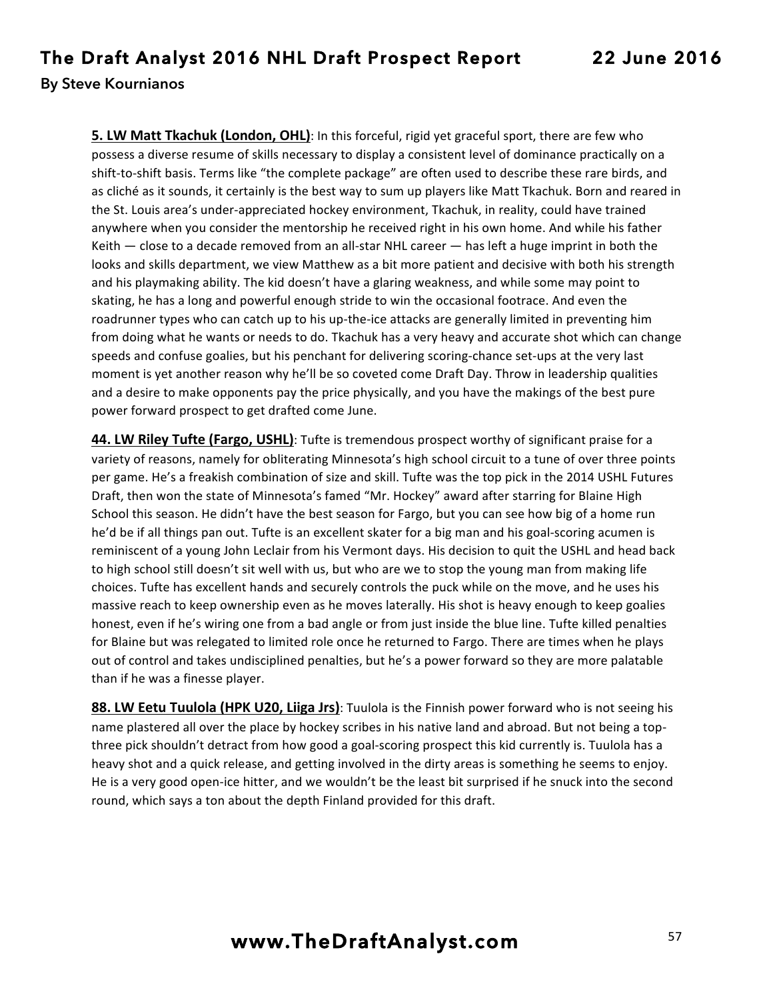**5. LW Matt Tkachuk (London, OHL)**: In this forceful, rigid yet graceful sport, there are few who possess a diverse resume of skills necessary to display a consistent level of dominance practically on a shift-to-shift basis. Terms like "the complete package" are often used to describe these rare birds, and as cliché as it sounds, it certainly is the best way to sum up players like Matt Tkachuk. Born and reared in the St. Louis area's under-appreciated hockey environment, Tkachuk, in reality, could have trained anywhere when you consider the mentorship he received right in his own home. And while his father Keith  $-$  close to a decade removed from an all-star NHL career  $-$  has left a huge imprint in both the looks and skills department, we view Matthew as a bit more patient and decisive with both his strength and his playmaking ability. The kid doesn't have a glaring weakness, and while some may point to skating, he has a long and powerful enough stride to win the occasional footrace. And even the roadrunner types who can catch up to his up-the-ice attacks are generally limited in preventing him from doing what he wants or needs to do. Tkachuk has a very heavy and accurate shot which can change speeds and confuse goalies, but his penchant for delivering scoring-chance set-ups at the very last moment is yet another reason why he'll be so coveted come Draft Day. Throw in leadership qualities and a desire to make opponents pay the price physically, and you have the makings of the best pure power forward prospect to get drafted come June.

**44. LW Riley Tufte (Fargo, USHL)**: Tufte is tremendous prospect worthy of significant praise for a variety of reasons, namely for obliterating Minnesota's high school circuit to a tune of over three points per game. He's a freakish combination of size and skill. Tufte was the top pick in the 2014 USHL Futures Draft, then won the state of Minnesota's famed "Mr. Hockey" award after starring for Blaine High School this season. He didn't have the best season for Fargo, but you can see how big of a home run he'd be if all things pan out. Tufte is an excellent skater for a big man and his goal-scoring acumen is reminiscent of a young John Leclair from his Vermont days. His decision to quit the USHL and head back to high school still doesn't sit well with us, but who are we to stop the young man from making life choices. Tufte has excellent hands and securely controls the puck while on the move, and he uses his massive reach to keep ownership even as he moves laterally. His shot is heavy enough to keep goalies honest, even if he's wiring one from a bad angle or from just inside the blue line. Tufte killed penalties for Blaine but was relegated to limited role once he returned to Fargo. There are times when he plays out of control and takes undisciplined penalties, but he's a power forward so they are more palatable than if he was a finesse player.

**88. LW Eetu Tuulola (HPK U20, Liiga Jrs)**: Tuulola is the Finnish power forward who is not seeing his name plastered all over the place by hockey scribes in his native land and abroad. But not being a topthree pick shouldn't detract from how good a goal-scoring prospect this kid currently is. Tuulola has a heavy shot and a quick release, and getting involved in the dirty areas is something he seems to enjoy. He is a very good open-ice hitter, and we wouldn't be the least bit surprised if he snuck into the second round, which says a ton about the depth Finland provided for this draft.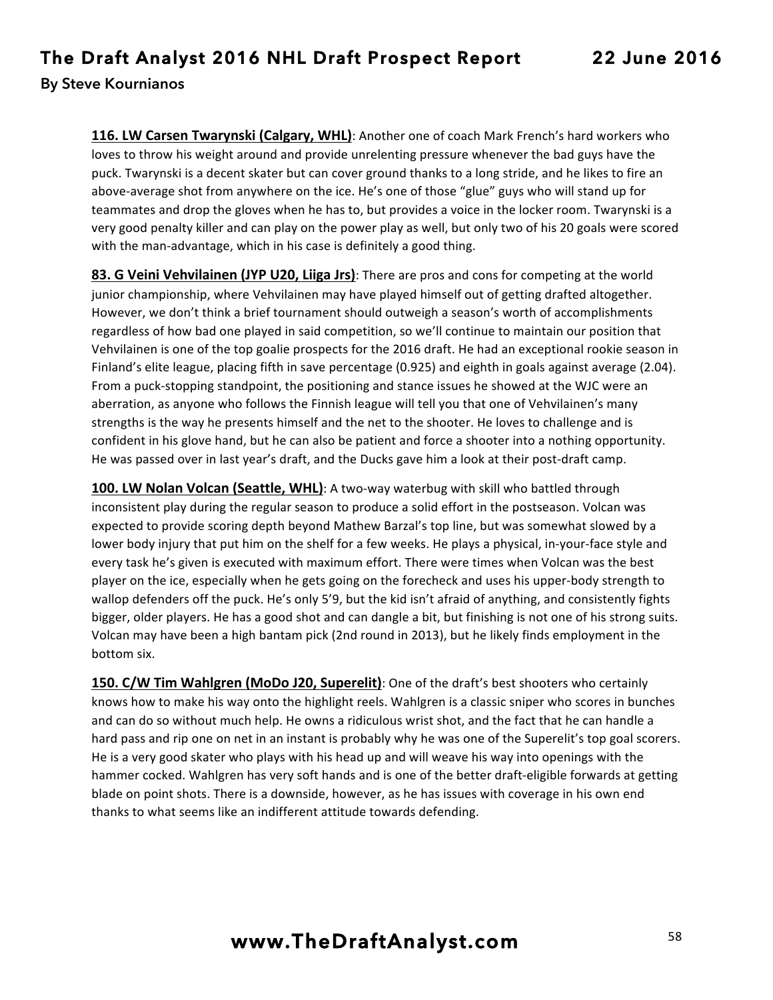**116. LW Carsen Twarynski (Calgary, WHL)**: Another one of coach Mark French's hard workers who loves to throw his weight around and provide unrelenting pressure whenever the bad guys have the puck. Twarynski is a decent skater but can cover ground thanks to a long stride, and he likes to fire an above-average shot from anywhere on the ice. He's one of those "glue" guys who will stand up for teammates and drop the gloves when he has to, but provides a voice in the locker room. Twarynski is a very good penalty killer and can play on the power play as well, but only two of his 20 goals were scored with the man-advantage, which in his case is definitely a good thing.

**83. G Veini Vehvilainen (JYP U20, Liiga Jrs)**: There are pros and cons for competing at the world junior championship, where Vehvilainen may have played himself out of getting drafted altogether. However, we don't think a brief tournament should outweigh a season's worth of accomplishments regardless of how bad one played in said competition, so we'll continue to maintain our position that Vehvilainen is one of the top goalie prospects for the 2016 draft. He had an exceptional rookie season in Finland's elite league, placing fifth in save percentage (0.925) and eighth in goals against average (2.04). From a puck-stopping standpoint, the positioning and stance issues he showed at the WJC were an aberration, as anyone who follows the Finnish league will tell you that one of Vehvilainen's many strengths is the way he presents himself and the net to the shooter. He loves to challenge and is confident in his glove hand, but he can also be patient and force a shooter into a nothing opportunity. He was passed over in last year's draft, and the Ducks gave him a look at their post-draft camp.

**100. LW Nolan Volcan (Seattle, WHL)**: A two-way waterbug with skill who battled through inconsistent play during the regular season to produce a solid effort in the postseason. Volcan was expected to provide scoring depth beyond Mathew Barzal's top line, but was somewhat slowed by a lower body injury that put him on the shelf for a few weeks. He plays a physical, in-your-face style and every task he's given is executed with maximum effort. There were times when Volcan was the best player on the ice, especially when he gets going on the forecheck and uses his upper-body strength to wallop defenders off the puck. He's only 5'9, but the kid isn't afraid of anything, and consistently fights bigger, older players. He has a good shot and can dangle a bit, but finishing is not one of his strong suits. Volcan may have been a high bantam pick (2nd round in 2013), but he likely finds employment in the bottom six.

**150. C/W Tim Wahlgren (MoDo J20, Superelit)**: One of the draft's best shooters who certainly knows how to make his way onto the highlight reels. Wahlgren is a classic sniper who scores in bunches and can do so without much help. He owns a ridiculous wrist shot, and the fact that he can handle a hard pass and rip one on net in an instant is probably why he was one of the Superelit's top goal scorers. He is a very good skater who plays with his head up and will weave his way into openings with the hammer cocked. Wahlgren has very soft hands and is one of the better draft-eligible forwards at getting blade on point shots. There is a downside, however, as he has issues with coverage in his own end thanks to what seems like an indifferent attitude towards defending.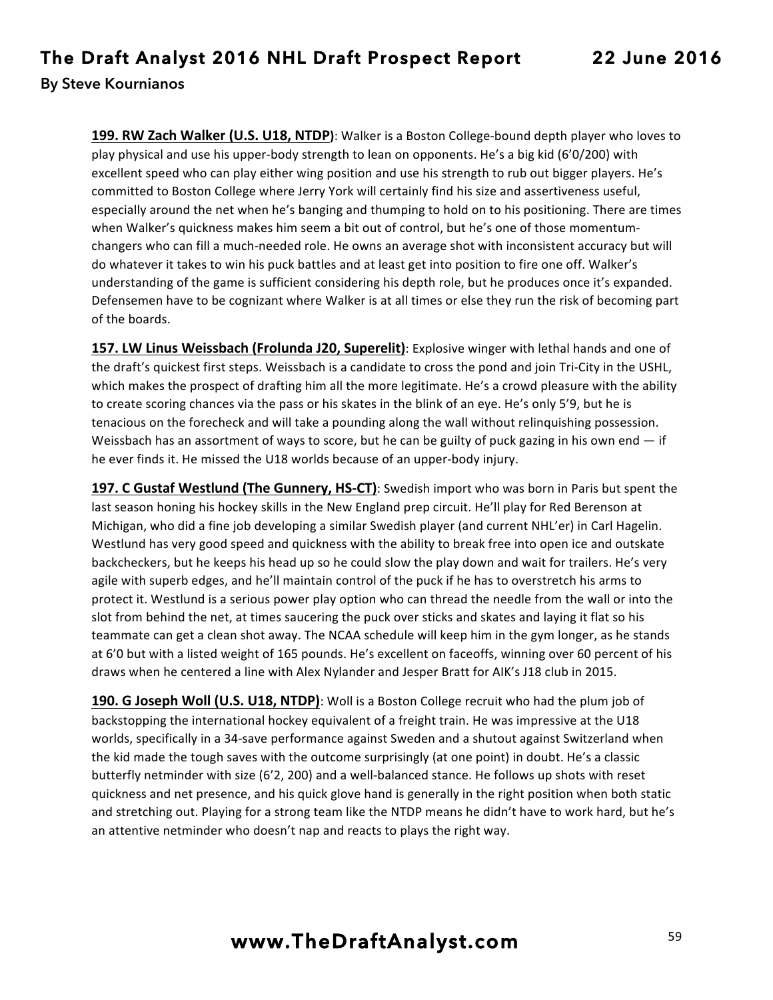**199. RW Zach Walker (U.S. U18, NTDP)**: Walker is a Boston College-bound depth player who loves to play physical and use his upper-body strength to lean on opponents. He's a big kid (6'0/200) with excellent speed who can play either wing position and use his strength to rub out bigger players. He's committed to Boston College where Jerry York will certainly find his size and assertiveness useful, especially around the net when he's banging and thumping to hold on to his positioning. There are times when Walker's quickness makes him seem a bit out of control, but he's one of those momentumchangers who can fill a much-needed role. He owns an average shot with inconsistent accuracy but will do whatever it takes to win his puck battles and at least get into position to fire one off. Walker's understanding of the game is sufficient considering his depth role, but he produces once it's expanded. Defensemen have to be cognizant where Walker is at all times or else they run the risk of becoming part of the boards.

**157. LW Linus Weissbach (Frolunda J20, Superelit)**: Explosive winger with lethal hands and one of the draft's quickest first steps. Weissbach is a candidate to cross the pond and join Tri-City in the USHL, which makes the prospect of drafting him all the more legitimate. He's a crowd pleasure with the ability to create scoring chances via the pass or his skates in the blink of an eye. He's only 5'9, but he is tenacious on the forecheck and will take a pounding along the wall without relinquishing possession. Weissbach has an assortment of ways to score, but he can be guilty of puck gazing in his own end  $-$  if he ever finds it. He missed the U18 worlds because of an upper-body injury.

**197. C Gustaf Westlund (The Gunnery, HS-CT)**: Swedish import who was born in Paris but spent the last season honing his hockey skills in the New England prep circuit. He'll play for Red Berenson at Michigan, who did a fine job developing a similar Swedish player (and current NHL'er) in Carl Hagelin. Westlund has very good speed and quickness with the ability to break free into open ice and outskate backcheckers, but he keeps his head up so he could slow the play down and wait for trailers. He's very agile with superb edges, and he'll maintain control of the puck if he has to overstretch his arms to protect it. Westlund is a serious power play option who can thread the needle from the wall or into the slot from behind the net, at times saucering the puck over sticks and skates and laying it flat so his teammate can get a clean shot away. The NCAA schedule will keep him in the gym longer, as he stands at 6'0 but with a listed weight of 165 pounds. He's excellent on faceoffs, winning over 60 percent of his draws when he centered a line with Alex Nylander and Jesper Bratt for AIK's J18 club in 2015.

**190. G Joseph Woll (U.S. U18, NTDP)**: Woll is a Boston College recruit who had the plum job of backstopping the international hockey equivalent of a freight train. He was impressive at the U18 worlds, specifically in a 34-save performance against Sweden and a shutout against Switzerland when the kid made the tough saves with the outcome surprisingly (at one point) in doubt. He's a classic butterfly netminder with size (6'2, 200) and a well-balanced stance. He follows up shots with reset quickness and net presence, and his quick glove hand is generally in the right position when both static and stretching out. Playing for a strong team like the NTDP means he didn't have to work hard, but he's an attentive netminder who doesn't nap and reacts to plays the right way.